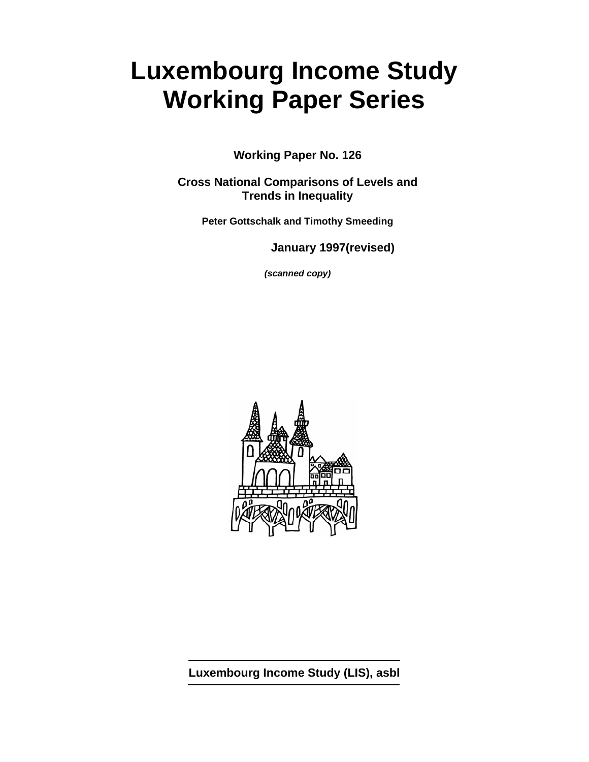# **Luxembourg Income Study Working Paper Series**

**Working Paper No. 126** 

**Cross National Comparisons of Levels and Trends in Inequality** 

**Peter Gottschalk and Timothy Smeeding** 

**January 1997(revised)** 

*(scanned copy)*



**Luxembourg Income Study (LIS), asbl**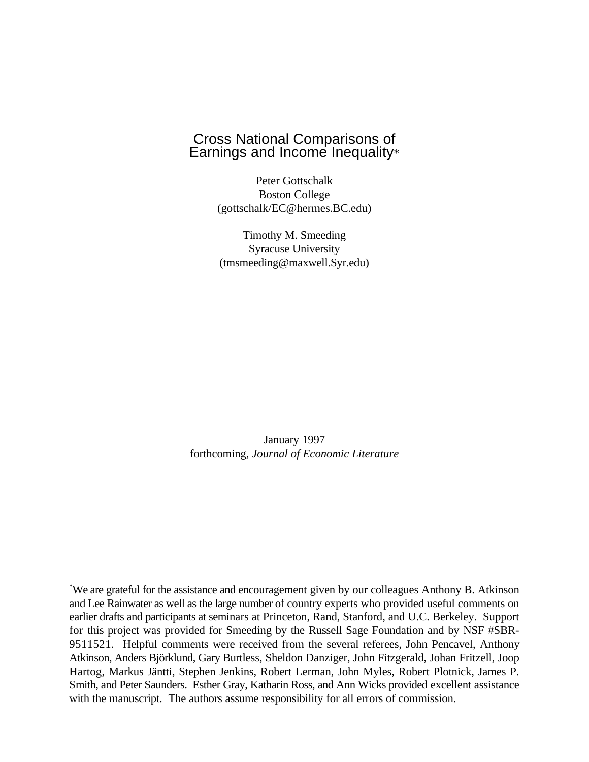# Cross National Comparisons of Earnings and Income Inequality\*

Peter Gottschalk Boston College (gottschalk/EC@hermes.BC.edu)

Timothy M. Smeeding Syracuse University (tmsmeeding@maxwell.Syr.edu)

January 1997 forthcoming, *Journal of Economic Literature*

We are grateful for the assistance and encouragement given by our colleagues Anthony B. Atkinson \* and Lee Rainwater as well as the large number of country experts who provided useful comments on earlier drafts and participants at seminars at Princeton, Rand, Stanford, and U.C. Berkeley. Support for this project was provided for Smeeding by the Russell Sage Foundation and by NSF #SBR-9511521. Helpful comments were received from the several referees, John Pencavel, Anthony Atkinson, Anders Björklund, Gary Burtless, Sheldon Danziger, John Fitzgerald, Johan Fritzell, Joop Hartog, Markus Jäntti, Stephen Jenkins, Robert Lerman, John Myles, Robert Plotnick, James P. Smith, and Peter Saunders. Esther Gray, Katharin Ross, and Ann Wicks provided excellent assistance with the manuscript. The authors assume responsibility for all errors of commission.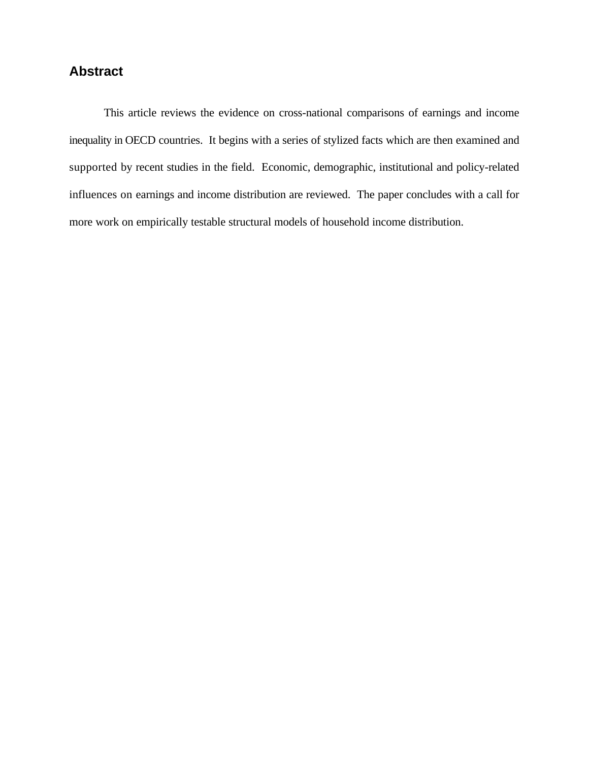# **Abstract**

This article reviews the evidence on cross-national comparisons of earnings and income inequality in OECD countries. It begins with a series of stylized facts which are then examined and supported by recent studies in the field. Economic, demographic, institutional and policy-related influences on earnings and income distribution are reviewed. The paper concludes with a call for more work on empirically testable structural models of household income distribution.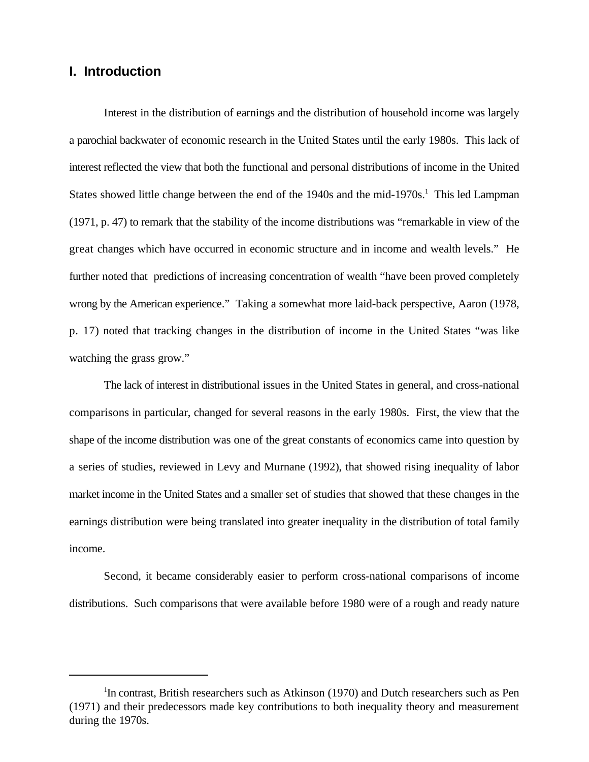## **I. Introduction**

Interest in the distribution of earnings and the distribution of household income was largely a parochial backwater of economic research in the United States until the early 1980s. This lack of interest reflected the view that both the functional and personal distributions of income in the United States showed little change between the end of the 1940s and the mid-1970s.<sup>1</sup> This led Lampman (1971, p. 47) to remark that the stability of the income distributions was "remarkable in view of the great changes which have occurred in economic structure and in income and wealth levels." He further noted that predictions of increasing concentration of wealth "have been proved completely wrong by the American experience." Taking a somewhat more laid-back perspective, Aaron (1978, p. 17) noted that tracking changes in the distribution of income in the United States "was like watching the grass grow."

The lack of interest in distributional issues in the United States in general, and cross-national comparisons in particular, changed for several reasons in the early 1980s. First, the view that the shape of the income distribution was one of the great constants of economics came into question by a series of studies, reviewed in Levy and Murnane (1992), that showed rising inequality of labor market income in the United States and a smaller set of studies that showed that these changes in the earnings distribution were being translated into greater inequality in the distribution of total family income.

Second, it became considerably easier to perform cross-national comparisons of income distributions. Such comparisons that were available before 1980 were of a rough and ready nature

 $\rm{^{1}In}$  contrast, British researchers such as Atkinson (1970) and Dutch researchers such as Pen (1971) and their predecessors made key contributions to both inequality theory and measurement during the 1970s.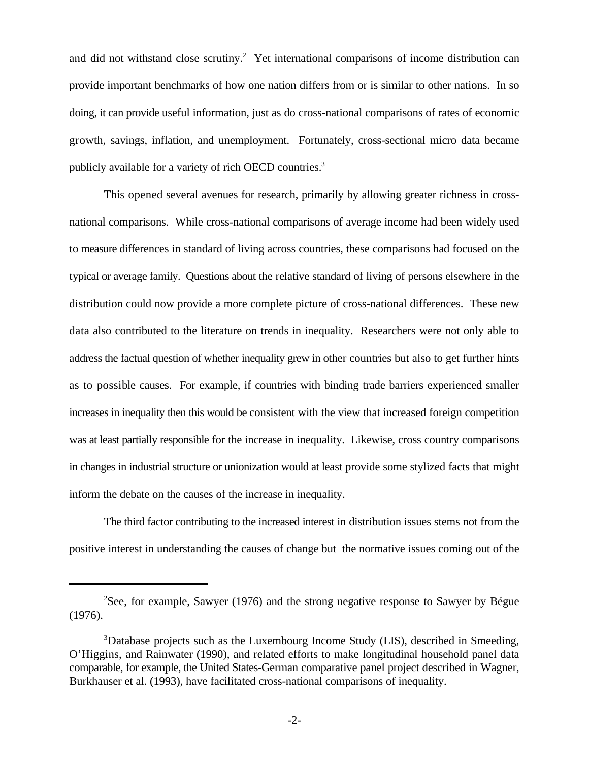and did not withstand close scrutiny.<sup>2</sup> Yet international comparisons of income distribution can provide important benchmarks of how one nation differs from or is similar to other nations. In so doing, it can provide useful information, just as do cross-national comparisons of rates of economic growth, savings, inflation, and unemployment. Fortunately, cross-sectional micro data became publicly available for a variety of rich OECD countries.<sup>3</sup>

This opened several avenues for research, primarily by allowing greater richness in crossnational comparisons. While cross-national comparisons of average income had been widely used to measure differences in standard of living across countries, these comparisons had focused on the typical or average family. Questions about the relative standard of living of persons elsewhere in the distribution could now provide a more complete picture of cross-national differences. These new data also contributed to the literature on trends in inequality. Researchers were not only able to address the factual question of whether inequality grew in other countries but also to get further hints as to possible causes. For example, if countries with binding trade barriers experienced smaller increases in inequality then this would be consistent with the view that increased foreign competition was at least partially responsible for the increase in inequality. Likewise, cross country comparisons in changes in industrial structure or unionization would at least provide some stylized facts that might inform the debate on the causes of the increase in inequality.

The third factor contributing to the increased interest in distribution issues stems not from the positive interest in understanding the causes of change but the normative issues coming out of the

<sup>&</sup>lt;sup>2</sup>See, for example, Sawyer (1976) and the strong negative response to Sawyer by Bégue (1976).

<sup>&</sup>lt;sup>3</sup>Database projects such as the Luxembourg Income Study (LIS), described in Smeeding, O'Higgins, and Rainwater (1990), and related efforts to make longitudinal household panel data comparable, for example, the United States-German comparative panel project described in Wagner, Burkhauser et al. (1993), have facilitated cross-national comparisons of inequality.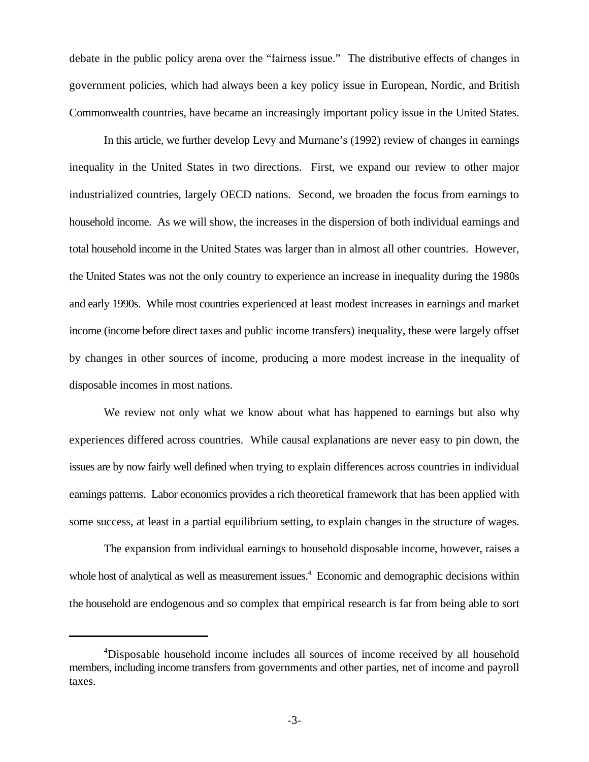debate in the public policy arena over the "fairness issue." The distributive effects of changes in government policies, which had always been a key policy issue in European, Nordic, and British Commonwealth countries, have became an increasingly important policy issue in the United States.

In this article, we further develop Levy and Murnane's (1992) review of changes in earnings inequality in the United States in two directions. First, we expand our review to other major industrialized countries, largely OECD nations. Second, we broaden the focus from earnings to household income. As we will show, the increases in the dispersion of both individual earnings and total household income in the United States was larger than in almost all other countries. However, the United States was not the only country to experience an increase in inequality during the 1980s and early 1990s. While most countries experienced at least modest increases in earnings and market income (income before direct taxes and public income transfers) inequality, these were largely offset by changes in other sources of income, producing a more modest increase in the inequality of disposable incomes in most nations.

We review not only what we know about what has happened to earnings but also why experiences differed across countries. While causal explanations are never easy to pin down, the issues are by now fairly well defined when trying to explain differences across countries in individual earnings patterns. Labor economics provides a rich theoretical framework that has been applied with some success, at least in a partial equilibrium setting, to explain changes in the structure of wages.

The expansion from individual earnings to household disposable income, however, raises a whole host of analytical as well as measurement issues.<sup>4</sup> Economic and demographic decisions within the household are endogenous and so complex that empirical research is far from being able to sort

<sup>&</sup>lt;sup>4</sup>Disposable household income includes all sources of income received by all household members, including income transfers from governments and other parties, net of income and payroll taxes.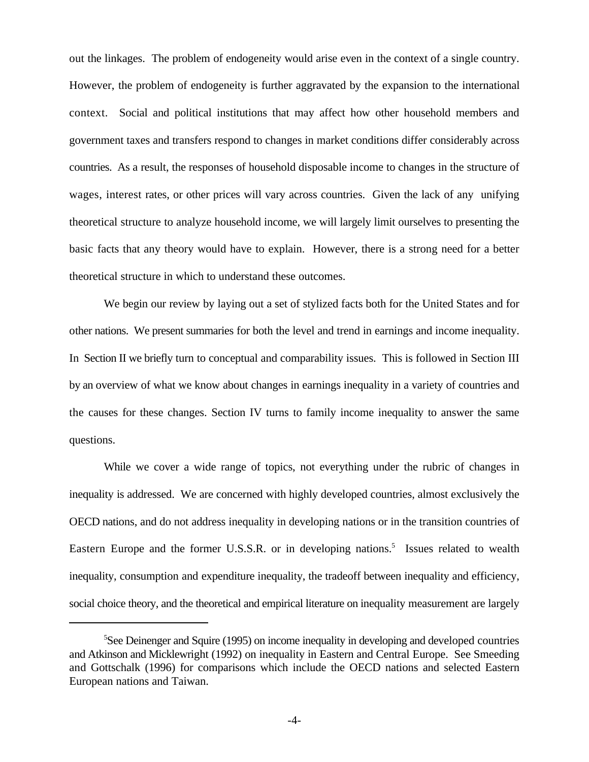out the linkages. The problem of endogeneity would arise even in the context of a single country. However, the problem of endogeneity is further aggravated by the expansion to the international context. Social and political institutions that may affect how other household members and government taxes and transfers respond to changes in market conditions differ considerably across countries. As a result, the responses of household disposable income to changes in the structure of wages, interest rates, or other prices will vary across countries. Given the lack of any unifying theoretical structure to analyze household income, we will largely limit ourselves to presenting the basic facts that any theory would have to explain. However, there is a strong need for a better theoretical structure in which to understand these outcomes.

We begin our review by laying out a set of stylized facts both for the United States and for other nations. We present summaries for both the level and trend in earnings and income inequality. In Section II we briefly turn to conceptual and comparability issues. This is followed in Section III by an overview of what we know about changes in earnings inequality in a variety of countries and the causes for these changes. Section IV turns to family income inequality to answer the same questions.

While we cover a wide range of topics, not everything under the rubric of changes in inequality is addressed. We are concerned with highly developed countries, almost exclusively the OECD nations, and do not address inequality in developing nations or in the transition countries of Eastern Europe and the former U.S.S.R. or in developing nations.<sup>5</sup> Issues related to wealth inequality, consumption and expenditure inequality, the tradeoff between inequality and efficiency, social choice theory, and the theoretical and empirical literature on inequality measurement are largely

 ${}^{5}$ See Deinenger and Squire (1995) on income inequality in developing and developed countries and Atkinson and Micklewright (1992) on inequality in Eastern and Central Europe. See Smeeding and Gottschalk (1996) for comparisons which include the OECD nations and selected Eastern European nations and Taiwan.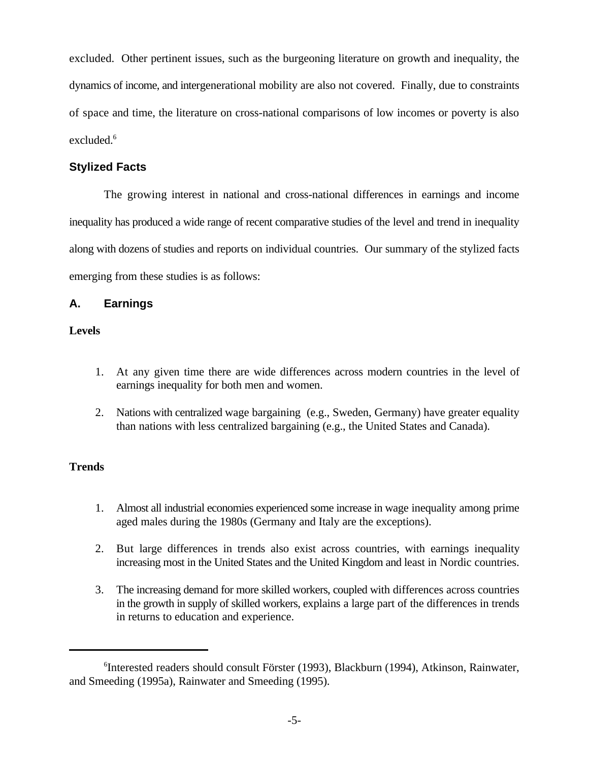excluded. Other pertinent issues, such as the burgeoning literature on growth and inequality, the dynamics of income, and intergenerational mobility are also not covered. Finally, due to constraints of space and time, the literature on cross-national comparisons of low incomes or poverty is also excluded. $6$ 

## **Stylized Facts**

The growing interest in national and cross-national differences in earnings and income inequality has produced a wide range of recent comparative studies of the level and trend in inequality along with dozens of studies and reports on individual countries. Our summary of the stylized facts emerging from these studies is as follows:

## **A. Earnings**

## **Levels**

- 1. At any given time there are wide differences across modern countries in the level of earnings inequality for both men and women.
- 2. Nations with centralized wage bargaining (e.g., Sweden, Germany) have greater equality than nations with less centralized bargaining (e.g., the United States and Canada).

## **Trends**

- 1. Almost all industrial economies experienced some increase in wage inequality among prime aged males during the 1980s (Germany and Italy are the exceptions).
- 2. But large differences in trends also exist across countries, with earnings inequality increasing most in the United States and the United Kingdom and least in Nordic countries.
- 3. The increasing demand for more skilled workers, coupled with differences across countries in the growth in supply of skilled workers, explains a large part of the differences in trends in returns to education and experience.

<sup>&</sup>lt;sup>6</sup>Interested readers should consult Förster (1993), Blackburn (1994), Atkinson, Rainwater, and Smeeding (1995a), Rainwater and Smeeding (1995).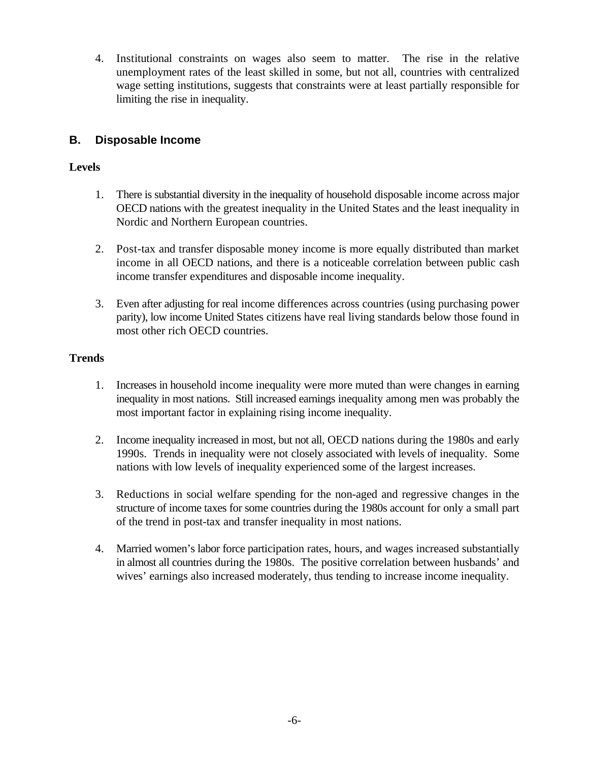4. Institutional constraints on wages also seem to matter. The rise in the relative unemployment rates of the least skilled in some, but not all, countries with centralized wage setting institutions, suggests that constraints were at least partially responsible for limiting the rise in inequality.

## **B. Disposable Income**

## **Levels**

- 1. There is substantial diversity in the inequality of household disposable income across major OECD nations with the greatest inequality in the United States and the least inequality in Nordic and Northern European countries.
- 2. Post-tax and transfer disposable money income is more equally distributed than market income in all OECD nations, and there is a noticeable correlation between public cash income transfer expenditures and disposable income inequality.
- 3. Even after adjusting for real income differences across countries (using purchasing power parity), low income United States citizens have real living standards below those found in most other rich OECD countries.

## **Trends**

- 1. Increases in household income inequality were more muted than were changes in earning inequality in most nations. Still increased earnings inequality among men was probably the most important factor in explaining rising income inequality.
- 2. Income inequality increased in most, but not all, OECD nations during the 1980s and early 1990s. Trends in inequality were not closely associated with levels of inequality. Some nations with low levels of inequality experienced some of the largest increases.
- 3. Reductions in social welfare spending for the non-aged and regressive changes in the structure of income taxes for some countries during the 1980s account for only a small part of the trend in post-tax and transfer inequality in most nations.
- 4. Married women's labor force participation rates, hours, and wages increased substantially in almost all countries during the 1980s. The positive correlation between husbands' and wives' earnings also increased moderately, thus tending to increase income inequality.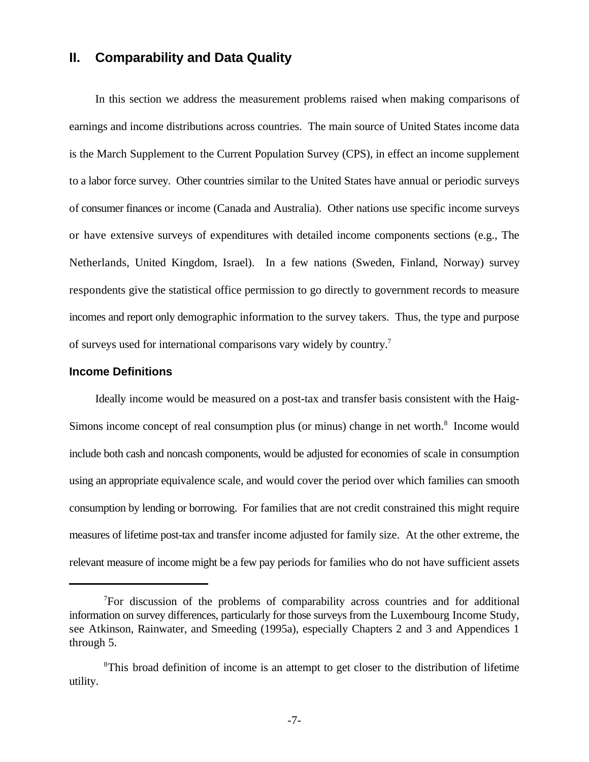## **II. Comparability and Data Quality**

In this section we address the measurement problems raised when making comparisons of earnings and income distributions across countries. The main source of United States income data is the March Supplement to the Current Population Survey (CPS), in effect an income supplement to a labor force survey. Other countries similar to the United States have annual or periodic surveys of consumer finances or income (Canada and Australia). Other nations use specific income surveys or have extensive surveys of expenditures with detailed income components sections (e.g., The Netherlands, United Kingdom, Israel). In a few nations (Sweden, Finland, Norway) survey respondents give the statistical office permission to go directly to government records to measure incomes and report only demographic information to the survey takers. Thus, the type and purpose of surveys used for international comparisons vary widely by country.<sup>7</sup>

## **Income Definitions**

Ideally income would be measured on a post-tax and transfer basis consistent with the Haig-Simons income concept of real consumption plus (or minus) change in net worth.<sup>8</sup> Income would include both cash and noncash components, would be adjusted for economies of scale in consumption using an appropriate equivalence scale, and would cover the period over which families can smooth consumption by lending or borrowing. For families that are not credit constrained this might require measures of lifetime post-tax and transfer income adjusted for family size. At the other extreme, the relevant measure of income might be a few pay periods for families who do not have sufficient assets

<sup>&</sup>lt;sup>7</sup>For discussion of the problems of comparability across countries and for additional information on survey differences, particularly for those surveys from the Luxembourg Income Study, see Atkinson, Rainwater, and Smeeding (1995a), especially Chapters 2 and 3 and Appendices 1 through 5.

<sup>&</sup>lt;sup>8</sup>This broad definition of income is an attempt to get closer to the distribution of lifetime utility.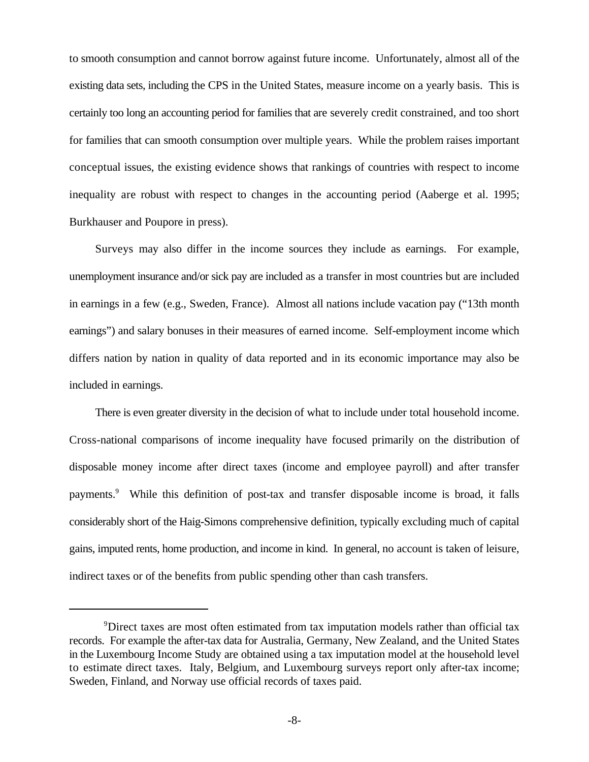to smooth consumption and cannot borrow against future income. Unfortunately, almost all of the existing data sets, including the CPS in the United States, measure income on a yearly basis. This is certainly too long an accounting period for families that are severely credit constrained, and too short for families that can smooth consumption over multiple years. While the problem raises important conceptual issues, the existing evidence shows that rankings of countries with respect to income inequality are robust with respect to changes in the accounting period (Aaberge et al. 1995; Burkhauser and Poupore in press).

Surveys may also differ in the income sources they include as earnings. For example, unemployment insurance and/or sick pay are included as a transfer in most countries but are included in earnings in a few (e.g., Sweden, France). Almost all nations include vacation pay ("13th month earnings") and salary bonuses in their measures of earned income. Self-employment income which differs nation by nation in quality of data reported and in its economic importance may also be included in earnings.

There is even greater diversity in the decision of what to include under total household income. Cross-national comparisons of income inequality have focused primarily on the distribution of disposable money income after direct taxes (income and employee payroll) and after transfer payments.<sup>9</sup> While this definition of post-tax and transfer disposable income is broad, it falls considerably short of the Haig-Simons comprehensive definition, typically excluding much of capital gains, imputed rents, home production, and income in kind. In general, no account is taken of leisure, indirect taxes or of the benefits from public spending other than cash transfers.

<sup>&</sup>lt;sup>9</sup>Direct taxes are most often estimated from tax imputation models rather than official tax records. For example the after-tax data for Australia, Germany, New Zealand, and the United States in the Luxembourg Income Study are obtained using a tax imputation model at the household level to estimate direct taxes. Italy, Belgium, and Luxembourg surveys report only after-tax income; Sweden, Finland, and Norway use official records of taxes paid.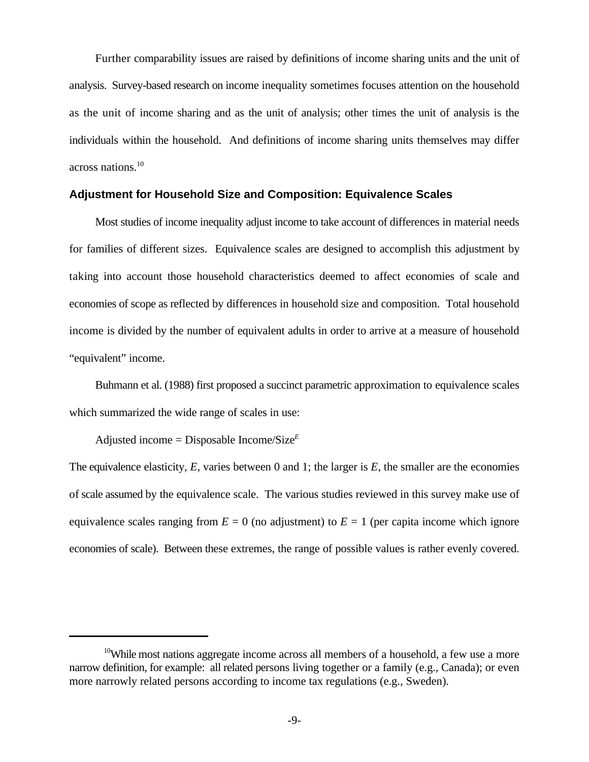Further comparability issues are raised by definitions of income sharing units and the unit of analysis. Survey-based research on income inequality sometimes focuses attention on the household as the unit of income sharing and as the unit of analysis; other times the unit of analysis is the individuals within the household. And definitions of income sharing units themselves may differ across nations.<sup>10</sup>

#### **Adjustment for Household Size and Composition: Equivalence Scales**

Most studies of income inequality adjust income to take account of differences in material needs for families of different sizes. Equivalence scales are designed to accomplish this adjustment by taking into account those household characteristics deemed to affect economies of scale and economies of scope as reflected by differences in household size and composition. Total household income is divided by the number of equivalent adults in order to arrive at a measure of household "equivalent" income.

Buhmann et al. (1988) first proposed a succinct parametric approximation to equivalence scales which summarized the wide range of scales in use:

Adjusted income = Disposable Income/Size*<sup>E</sup>*

The equivalence elasticity, *E*, varies between 0 and 1; the larger is *E*, the smaller are the economies of scale assumed by the equivalence scale. The various studies reviewed in this survey make use of equivalence scales ranging from  $E = 0$  (no adjustment) to  $E = 1$  (per capita income which ignore economies of scale). Between these extremes, the range of possible values is rather evenly covered.

<sup>&</sup>lt;sup>10</sup>While most nations aggregate income across all members of a household, a few use a more narrow definition, for example: all related persons living together or a family (e.g., Canada); or even more narrowly related persons according to income tax regulations (e.g., Sweden).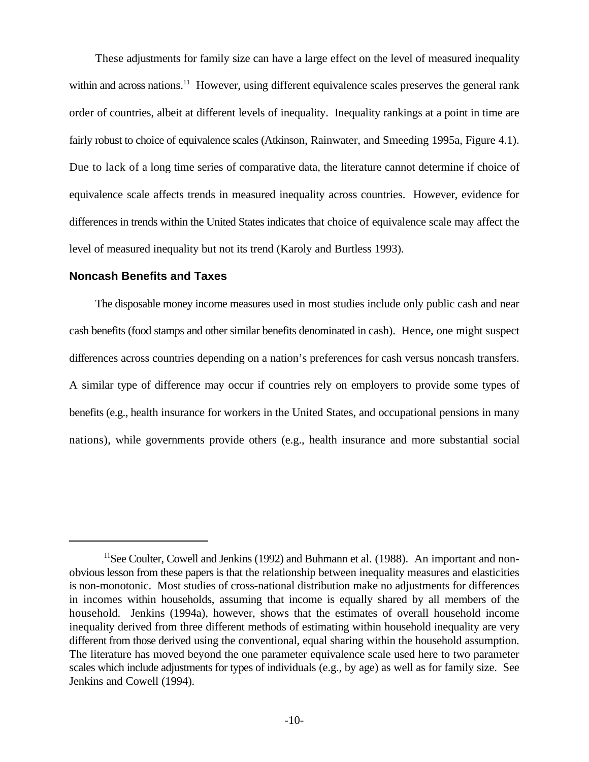These adjustments for family size can have a large effect on the level of measured inequality within and across nations.<sup>11</sup> However, using different equivalence scales preserves the general rank order of countries, albeit at different levels of inequality. Inequality rankings at a point in time are fairly robust to choice of equivalence scales (Atkinson, Rainwater, and Smeeding 1995a, Figure 4.1). Due to lack of a long time series of comparative data, the literature cannot determine if choice of equivalence scale affects trends in measured inequality across countries. However, evidence for differences in trends within the United States indicates that choice of equivalence scale may affect the level of measured inequality but not its trend (Karoly and Burtless 1993).

## **Noncash Benefits and Taxes**

The disposable money income measures used in most studies include only public cash and near cash benefits (food stamps and other similar benefits denominated in cash). Hence, one might suspect differences across countries depending on a nation's preferences for cash versus noncash transfers. A similar type of difference may occur if countries rely on employers to provide some types of benefits (e.g., health insurance for workers in the United States, and occupational pensions in many nations), while governments provide others (e.g., health insurance and more substantial social

 $11$ See Coulter, Cowell and Jenkins (1992) and Buhmann et al. (1988). An important and nonobvious lesson from these papers is that the relationship between inequality measures and elasticities is non-monotonic. Most studies of cross-national distribution make no adjustments for differences in incomes within households, assuming that income is equally shared by all members of the household. Jenkins (1994a), however, shows that the estimates of overall household income inequality derived from three different methods of estimating within household inequality are very different from those derived using the conventional, equal sharing within the household assumption. The literature has moved beyond the one parameter equivalence scale used here to two parameter scales which include adjustments for types of individuals (e.g., by age) as well as for family size. See Jenkins and Cowell (1994).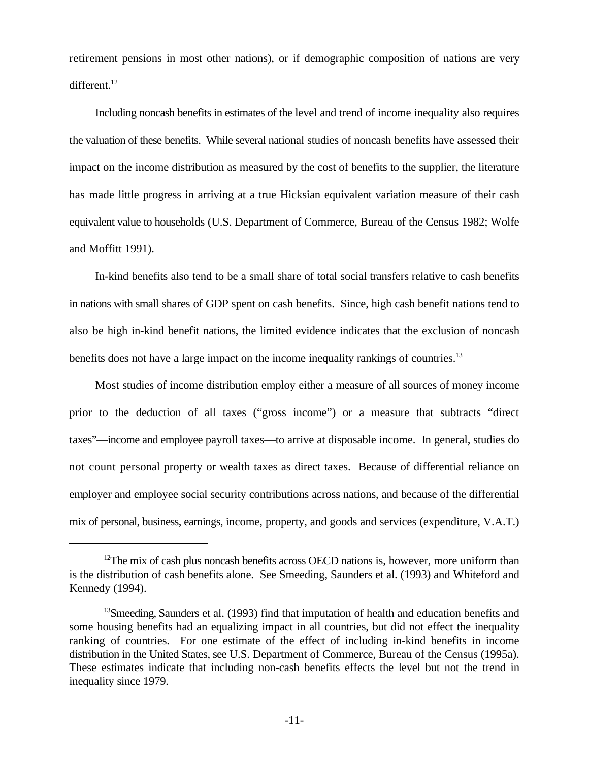retirement pensions in most other nations), or if demographic composition of nations are very different.<sup>12</sup>

Including noncash benefits in estimates of the level and trend of income inequality also requires the valuation of these benefits. While several national studies of noncash benefits have assessed their impact on the income distribution as measured by the cost of benefits to the supplier, the literature has made little progress in arriving at a true Hicksian equivalent variation measure of their cash equivalent value to households (U.S. Department of Commerce, Bureau of the Census 1982; Wolfe and Moffitt 1991).

In-kind benefits also tend to be a small share of total social transfers relative to cash benefits in nations with small shares of GDP spent on cash benefits. Since, high cash benefit nations tend to also be high in-kind benefit nations, the limited evidence indicates that the exclusion of noncash benefits does not have a large impact on the income inequality rankings of countries.<sup>13</sup>

Most studies of income distribution employ either a measure of all sources of money income prior to the deduction of all taxes ("gross income") or a measure that subtracts "direct taxes"—income and employee payroll taxes—to arrive at disposable income. In general, studies do not count personal property or wealth taxes as direct taxes. Because of differential reliance on employer and employee social security contributions across nations, and because of the differential mix of personal, business, earnings, income, property, and goods and services (expenditure, V.A.T.)

 $12$ The mix of cash plus noncash benefits across OECD nations is, however, more uniform than is the distribution of cash benefits alone. See Smeeding, Saunders et al. (1993) and Whiteford and Kennedy (1994).

 $^{13}$ Smeeding, Saunders et al. (1993) find that imputation of health and education benefits and some housing benefits had an equalizing impact in all countries, but did not effect the inequality ranking of countries. For one estimate of the effect of including in-kind benefits in income distribution in the United States, see U.S. Department of Commerce, Bureau of the Census (1995a). These estimates indicate that including non-cash benefits effects the level but not the trend in inequality since 1979.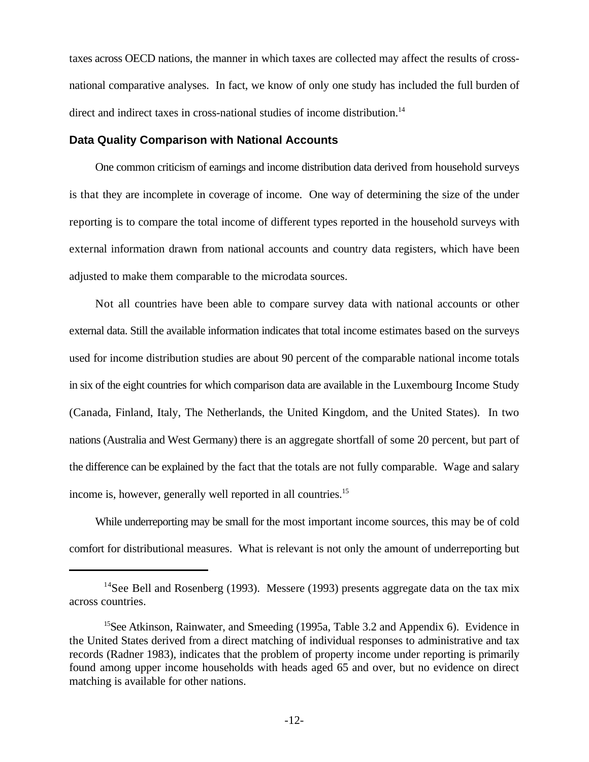taxes across OECD nations, the manner in which taxes are collected may affect the results of crossnational comparative analyses. In fact, we know of only one study has included the full burden of direct and indirect taxes in cross-national studies of income distribution.<sup>14</sup>

#### **Data Quality Comparison with National Accounts**

One common criticism of earnings and income distribution data derived from household surveys is that they are incomplete in coverage of income. One way of determining the size of the under reporting is to compare the total income of different types reported in the household surveys with external information drawn from national accounts and country data registers, which have been adjusted to make them comparable to the microdata sources.

Not all countries have been able to compare survey data with national accounts or other external data. Still the available information indicates that total income estimates based on the surveys used for income distribution studies are about 90 percent of the comparable national income totals in six of the eight countries for which comparison data are available in the Luxembourg Income Study (Canada, Finland, Italy, The Netherlands, the United Kingdom, and the United States). In two nations (Australia and West Germany) there is an aggregate shortfall of some 20 percent, but part of the difference can be explained by the fact that the totals are not fully comparable. Wage and salary income is, however, generally well reported in all countries.<sup>15</sup>

While underreporting may be small for the most important income sources, this may be of cold comfort for distributional measures. What is relevant is not only the amount of underreporting but

 $14$ See Bell and Rosenberg (1993). Messere (1993) presents aggregate data on the tax mix across countries.

<sup>&</sup>lt;sup>15</sup>See Atkinson, Rainwater, and Smeeding (1995a, Table 3.2 and Appendix 6). Evidence in the United States derived from a direct matching of individual responses to administrative and tax records (Radner 1983), indicates that the problem of property income under reporting is primarily found among upper income households with heads aged 65 and over, but no evidence on direct matching is available for other nations.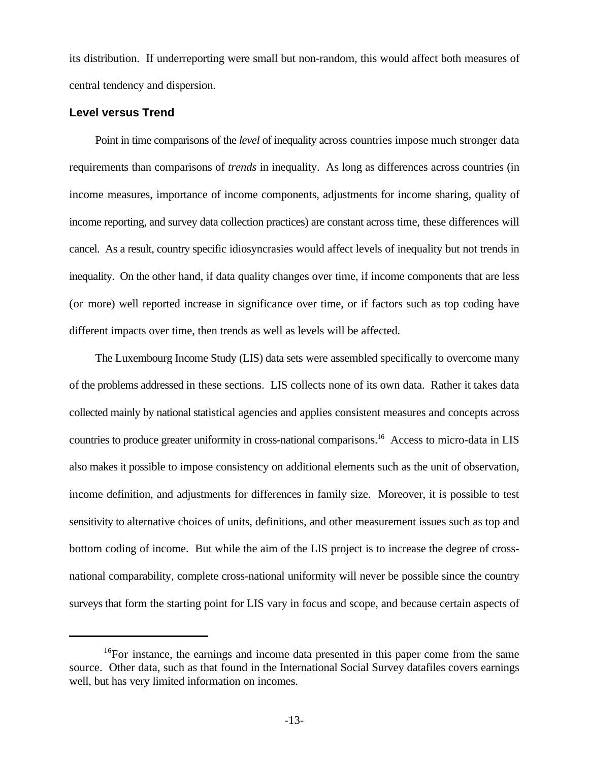its distribution. If underreporting were small but non-random, this would affect both measures of central tendency and dispersion.

## **Level versus Trend**

Point in time comparisons of the *level* of inequality across countries impose much stronger data requirements than comparisons of *trends* in inequality. As long as differences across countries (in income measures, importance of income components, adjustments for income sharing, quality of income reporting, and survey data collection practices) are constant across time, these differences will cancel. As a result, country specific idiosyncrasies would affect levels of inequality but not trends in inequality. On the other hand, if data quality changes over time, if income components that are less (or more) well reported increase in significance over time, or if factors such as top coding have different impacts over time, then trends as well as levels will be affected.

The Luxembourg Income Study (LIS) data sets were assembled specifically to overcome many of the problems addressed in these sections. LIS collects none of its own data. Rather it takes data collected mainly by national statistical agencies and applies consistent measures and concepts across countries to produce greater uniformity in cross-national comparisons.<sup>16</sup> Access to micro-data in LIS also makes it possible to impose consistency on additional elements such as the unit of observation, income definition, and adjustments for differences in family size. Moreover, it is possible to test sensitivity to alternative choices of units, definitions, and other measurement issues such as top and bottom coding of income. But while the aim of the LIS project is to increase the degree of crossnational comparability, complete cross-national uniformity will never be possible since the country surveys that form the starting point for LIS vary in focus and scope, and because certain aspects of

<sup>&</sup>lt;sup>16</sup>For instance, the earnings and income data presented in this paper come from the same source. Other data, such as that found in the International Social Survey datafiles covers earnings well, but has very limited information on incomes.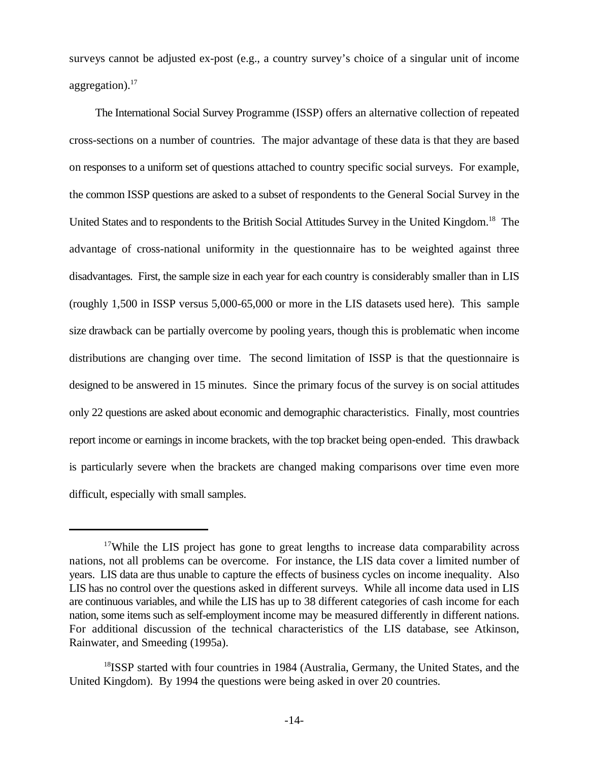surveys cannot be adjusted ex-post (e.g., a country survey's choice of a singular unit of income aggregation). $17$ 

The International Social Survey Programme (ISSP) offers an alternative collection of repeated cross-sections on a number of countries. The major advantage of these data is that they are based on responses to a uniform set of questions attached to country specific social surveys. For example, the common ISSP questions are asked to a subset of respondents to the General Social Survey in the United States and to respondents to the British Social Attitudes Survey in the United Kingdom.<sup>18</sup> The advantage of cross-national uniformity in the questionnaire has to be weighted against three disadvantages. First, the sample size in each year for each country is considerably smaller than in LIS (roughly 1,500 in ISSP versus 5,000-65,000 or more in the LIS datasets used here). This sample size drawback can be partially overcome by pooling years, though this is problematic when income distributions are changing over time. The second limitation of ISSP is that the questionnaire is designed to be answered in 15 minutes. Since the primary focus of the survey is on social attitudes only 22 questions are asked about economic and demographic characteristics. Finally, most countries report income or earnings in income brackets, with the top bracket being open-ended. This drawback is particularly severe when the brackets are changed making comparisons over time even more difficult, especially with small samples.

<sup>&</sup>lt;sup>17</sup>While the LIS project has gone to great lengths to increase data comparability across nations, not all problems can be overcome. For instance, the LIS data cover a limited number of years. LIS data are thus unable to capture the effects of business cycles on income inequality. Also LIS has no control over the questions asked in different surveys. While all income data used in LIS are continuous variables, and while the LIS has up to 38 different categories of cash income for each nation, some items such as self-employment income may be measured differently in different nations. For additional discussion of the technical characteristics of the LIS database, see Atkinson, Rainwater, and Smeeding (1995a).

<sup>&</sup>lt;sup>18</sup>ISSP started with four countries in 1984 (Australia, Germany, the United States, and the United Kingdom). By 1994 the questions were being asked in over 20 countries.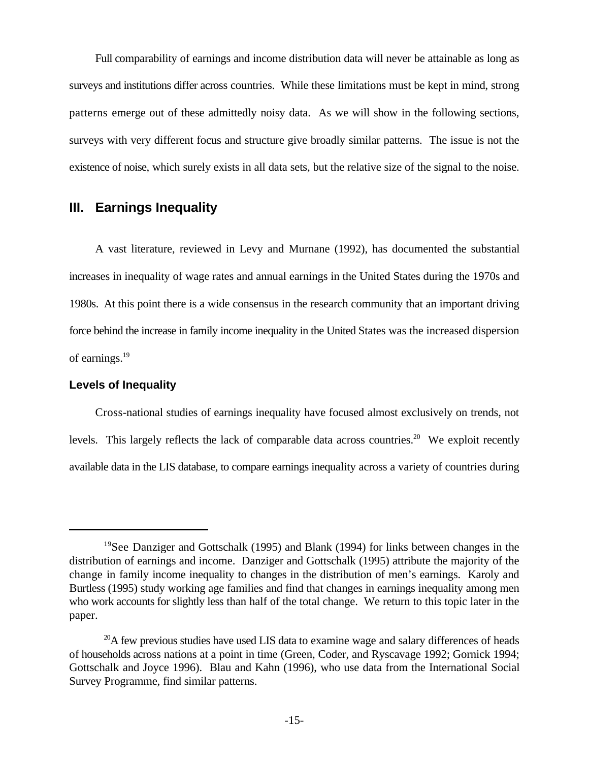Full comparability of earnings and income distribution data will never be attainable as long as surveys and institutions differ across countries. While these limitations must be kept in mind, strong patterns emerge out of these admittedly noisy data. As we will show in the following sections, surveys with very different focus and structure give broadly similar patterns. The issue is not the existence of noise, which surely exists in all data sets, but the relative size of the signal to the noise.

# **III. Earnings Inequality**

A vast literature, reviewed in Levy and Murnane (1992), has documented the substantial increases in inequality of wage rates and annual earnings in the United States during the 1970s and 1980s. At this point there is a wide consensus in the research community that an important driving force behind the increase in family income inequality in the United States was the increased dispersion of earnings.<sup>19</sup>

#### **Levels of Inequality**

Cross-national studies of earnings inequality have focused almost exclusively on trends, not levels. This largely reflects the lack of comparable data across countries.<sup>20</sup> We exploit recently available data in the LIS database, to compare earnings inequality across a variety of countries during

<sup>&</sup>lt;sup>19</sup>See Danziger and Gottschalk (1995) and Blank (1994) for links between changes in the distribution of earnings and income. Danziger and Gottschalk (1995) attribute the majority of the change in family income inequality to changes in the distribution of men's earnings. Karoly and Burtless (1995) study working age families and find that changes in earnings inequality among men who work accounts for slightly less than half of the total change. We return to this topic later in the paper.

 $^{20}$ A few previous studies have used LIS data to examine wage and salary differences of heads of households across nations at a point in time (Green, Coder, and Ryscavage 1992; Gornick 1994; Gottschalk and Joyce 1996). Blau and Kahn (1996), who use data from the International Social Survey Programme, find similar patterns.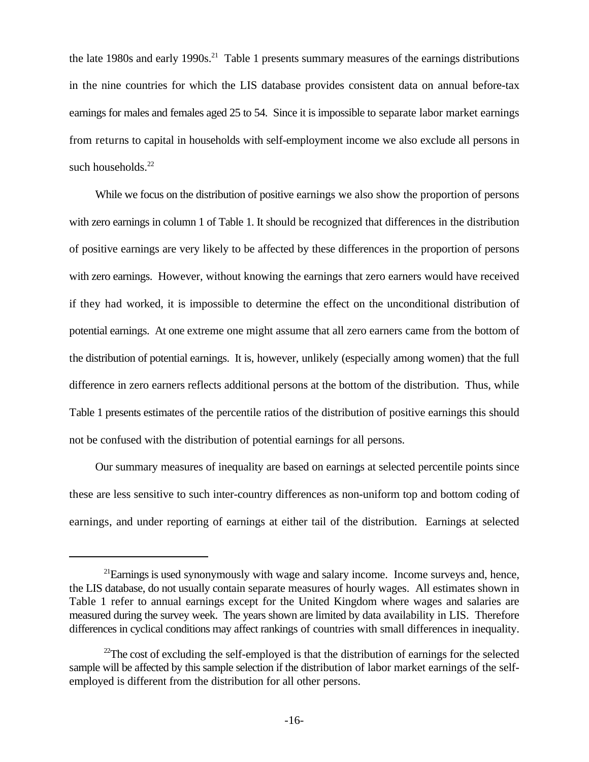the late 1980s and early 1990s.<sup>21</sup> Table 1 presents summary measures of the earnings distributions in the nine countries for which the LIS database provides consistent data on annual before-tax earnings for males and females aged 25 to 54. Since it is impossible to separate labor market earnings from returns to capital in households with self-employment income we also exclude all persons in such households.<sup>22</sup>

While we focus on the distribution of positive earnings we also show the proportion of persons with zero earnings in column 1 of Table 1. It should be recognized that differences in the distribution of positive earnings are very likely to be affected by these differences in the proportion of persons with zero earnings. However, without knowing the earnings that zero earners would have received if they had worked, it is impossible to determine the effect on the unconditional distribution of potential earnings. At one extreme one might assume that all zero earners came from the bottom of the distribution of potential earnings. It is, however, unlikely (especially among women) that the full difference in zero earners reflects additional persons at the bottom of the distribution. Thus, while Table 1 presents estimates of the percentile ratios of the distribution of positive earnings this should not be confused with the distribution of potential earnings for all persons.

Our summary measures of inequality are based on earnings at selected percentile points since these are less sensitive to such inter-country differences as non-uniform top and bottom coding of earnings, and under reporting of earnings at either tail of the distribution. Earnings at selected

 $^{21}$ Earnings is used synonymously with wage and salary income. Income surveys and, hence, the LIS database, do not usually contain separate measures of hourly wages. All estimates shown in Table 1 refer to annual earnings except for the United Kingdom where wages and salaries are measured during the survey week. The years shown are limited by data availability in LIS. Therefore differences in cyclical conditions may affect rankings of countries with small differences in inequality.

 $22$ The cost of excluding the self-employed is that the distribution of earnings for the selected sample will be affected by this sample selection if the distribution of labor market earnings of the selfemployed is different from the distribution for all other persons.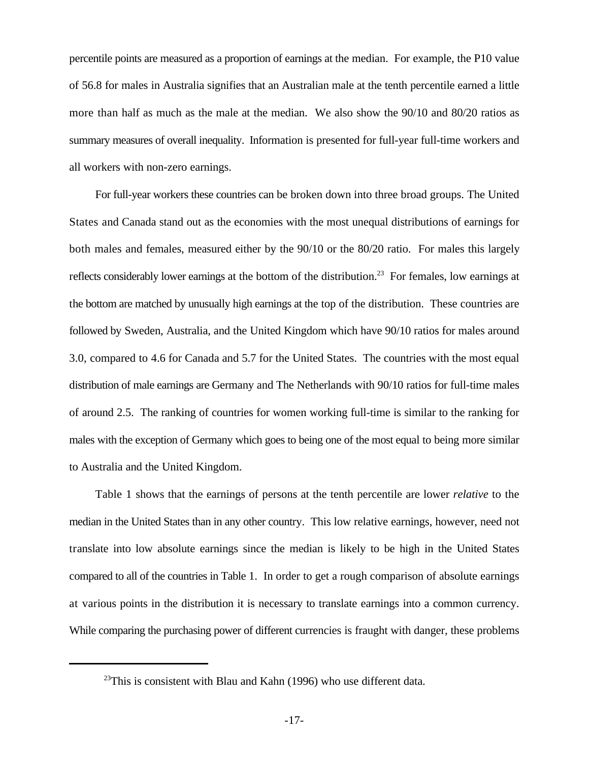percentile points are measured as a proportion of earnings at the median. For example, the P10 value of 56.8 for males in Australia signifies that an Australian male at the tenth percentile earned a little more than half as much as the male at the median. We also show the 90/10 and 80/20 ratios as summary measures of overall inequality. Information is presented for full-year full-time workers and all workers with non-zero earnings.

For full-year workers these countries can be broken down into three broad groups. The United States and Canada stand out as the economies with the most unequal distributions of earnings for both males and females, measured either by the 90/10 or the 80/20 ratio. For males this largely reflects considerably lower earnings at the bottom of the distribution.<sup>23</sup> For females, low earnings at the bottom are matched by unusually high earnings at the top of the distribution. These countries are followed by Sweden, Australia, and the United Kingdom which have 90/10 ratios for males around 3.0, compared to 4.6 for Canada and 5.7 for the United States. The countries with the most equal distribution of male earnings are Germany and The Netherlands with 90/10 ratios for full-time males of around 2.5. The ranking of countries for women working full-time is similar to the ranking for males with the exception of Germany which goes to being one of the most equal to being more similar to Australia and the United Kingdom.

Table 1 shows that the earnings of persons at the tenth percentile are lower *relative* to the median in the United States than in any other country. This low relative earnings, however, need not translate into low absolute earnings since the median is likely to be high in the United States compared to all of the countries in Table 1. In order to get a rough comparison of absolute earnings at various points in the distribution it is necessary to translate earnings into a common currency. While comparing the purchasing power of different currencies is fraught with danger, these problems

 $^{23}$ This is consistent with Blau and Kahn (1996) who use different data.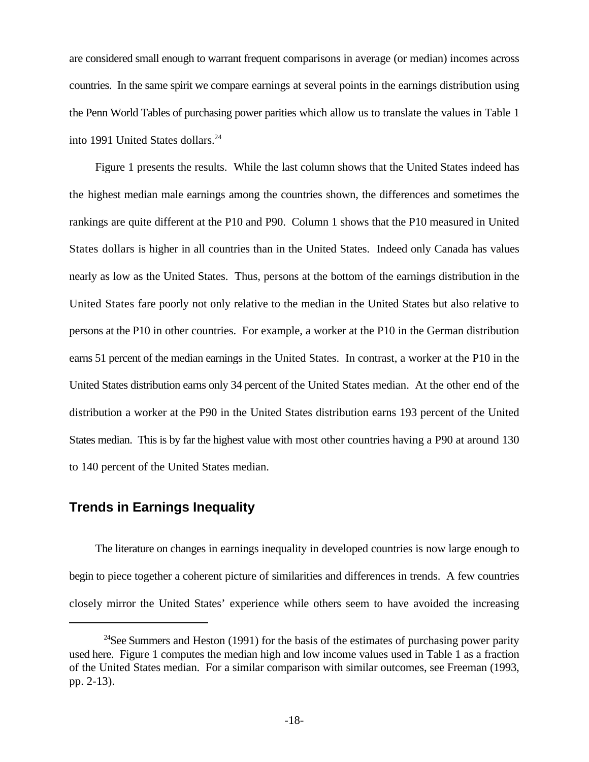are considered small enough to warrant frequent comparisons in average (or median) incomes across countries. In the same spirit we compare earnings at several points in the earnings distribution using the Penn World Tables of purchasing power parities which allow us to translate the values in Table 1 into 1991 United States dollars.<sup>24</sup>

Figure 1 presents the results. While the last column shows that the United States indeed has the highest median male earnings among the countries shown, the differences and sometimes the rankings are quite different at the P10 and P90. Column 1 shows that the P10 measured in United States dollars is higher in all countries than in the United States. Indeed only Canada has values nearly as low as the United States. Thus, persons at the bottom of the earnings distribution in the United States fare poorly not only relative to the median in the United States but also relative to persons at the P10 in other countries. For example, a worker at the P10 in the German distribution earns 51 percent of the median earnings in the United States. In contrast, a worker at the P10 in the United States distribution earns only 34 percent of the United States median. At the other end of the distribution a worker at the P90 in the United States distribution earns 193 percent of the United States median. This is by far the highest value with most other countries having a P90 at around 130 to 140 percent of the United States median.

# **Trends in Earnings Inequality**

The literature on changes in earnings inequality in developed countries is now large enough to begin to piece together a coherent picture of similarities and differences in trends. A few countries closely mirror the United States' experience while others seem to have avoided the increasing

<sup>&</sup>lt;sup>24</sup>See Summers and Heston (1991) for the basis of the estimates of purchasing power parity used here. Figure 1 computes the median high and low income values used in Table 1 as a fraction of the United States median. For a similar comparison with similar outcomes, see Freeman (1993, pp. 2-13).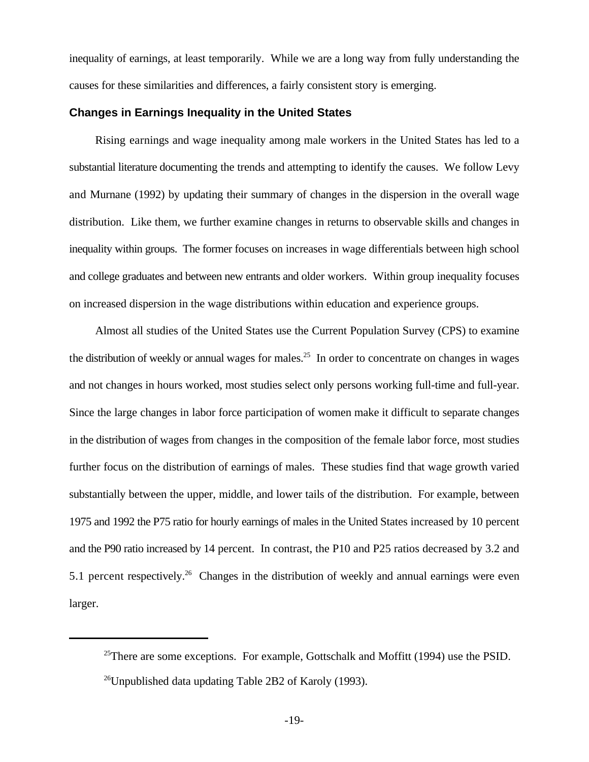inequality of earnings, at least temporarily. While we are a long way from fully understanding the causes for these similarities and differences, a fairly consistent story is emerging.

## **Changes in Earnings Inequality in the United States**

Rising earnings and wage inequality among male workers in the United States has led to a substantial literature documenting the trends and attempting to identify the causes. We follow Levy and Murnane (1992) by updating their summary of changes in the dispersion in the overall wage distribution. Like them, we further examine changes in returns to observable skills and changes in inequality within groups. The former focuses on increases in wage differentials between high school and college graduates and between new entrants and older workers. Within group inequality focuses on increased dispersion in the wage distributions within education and experience groups.

Almost all studies of the United States use the Current Population Survey (CPS) to examine the distribution of weekly or annual wages for males.<sup>25</sup> In order to concentrate on changes in wages and not changes in hours worked, most studies select only persons working full-time and full-year. Since the large changes in labor force participation of women make it difficult to separate changes in the distribution of wages from changes in the composition of the female labor force, most studies further focus on the distribution of earnings of males. These studies find that wage growth varied substantially between the upper, middle, and lower tails of the distribution. For example, between 1975 and 1992 the P75 ratio for hourly earnings of males in the United States increased by 10 percent and the P90 ratio increased by 14 percent. In contrast, the P10 and P25 ratios decreased by 3.2 and 5.1 percent respectively.<sup>26</sup> Changes in the distribution of weekly and annual earnings were even larger.

<sup>&</sup>lt;sup>25</sup>There are some exceptions. For example, Gottschalk and Moffitt (1994) use the PSID. <sup>26</sup>Unpublished data updating Table 2B2 of Karoly (1993).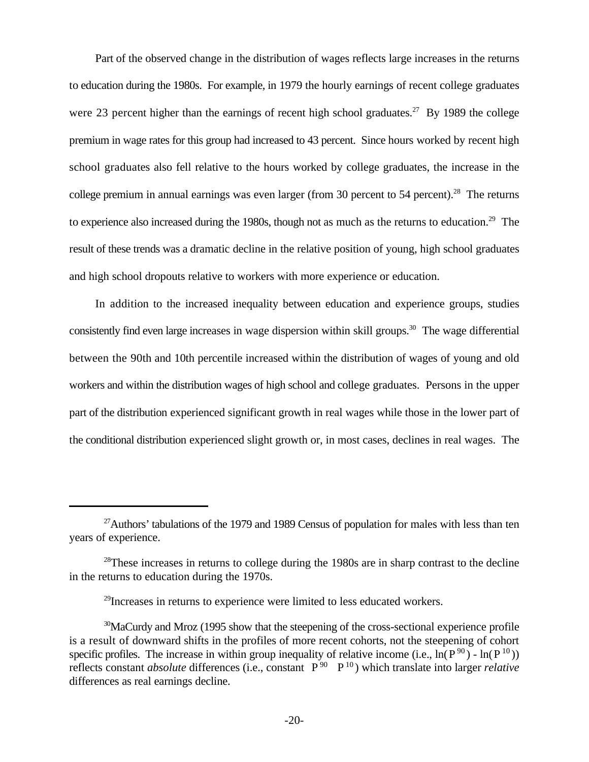Part of the observed change in the distribution of wages reflects large increases in the returns to education during the 1980s. For example, in 1979 the hourly earnings of recent college graduates were 23 percent higher than the earnings of recent high school graduates.<sup>27</sup> By 1989 the college premium in wage rates for this group had increased to 43 percent. Since hours worked by recent high school graduates also fell relative to the hours worked by college graduates, the increase in the college premium in annual earnings was even larger (from 30 percent to 54 percent).<sup>28</sup> The returns to experience also increased during the 1980s, though not as much as the returns to education.<sup>29</sup> The result of these trends was a dramatic decline in the relative position of young, high school graduates and high school dropouts relative to workers with more experience or education.

In addition to the increased inequality between education and experience groups, studies consistently find even large increases in wage dispersion within skill groups.<sup>30</sup> The wage differential between the 90th and 10th percentile increased within the distribution of wages of young and old workers and within the distribution wages of high school and college graduates. Persons in the upper part of the distribution experienced significant growth in real wages while those in the lower part of the conditional distribution experienced slight growth or, in most cases, declines in real wages. The

 $27$ Authors' tabulations of the 1979 and 1989 Census of population for males with less than ten years of experience.

<sup>&</sup>lt;sup>28</sup>These increases in returns to college during the 1980s are in sharp contrast to the decline in the returns to education during the 1970s.

 $^{29}$ Increases in returns to experience were limited to less educated workers.

specific profiles. The increase in within group inequality of relative income (i.e.,  $\ln(P^{90}) - \ln(P^{10})$ ) reflects constant *absolute* differences (i.e., constant  $P^{90} \quad P^{10}$ ) which translate into larger *relative*  $30$ MaCurdy and Mroz (1995 show that the steepening of the cross-sectional experience profile is a result of downward shifts in the profiles of more recent cohorts, not the steepening of cohort differences as real earnings decline.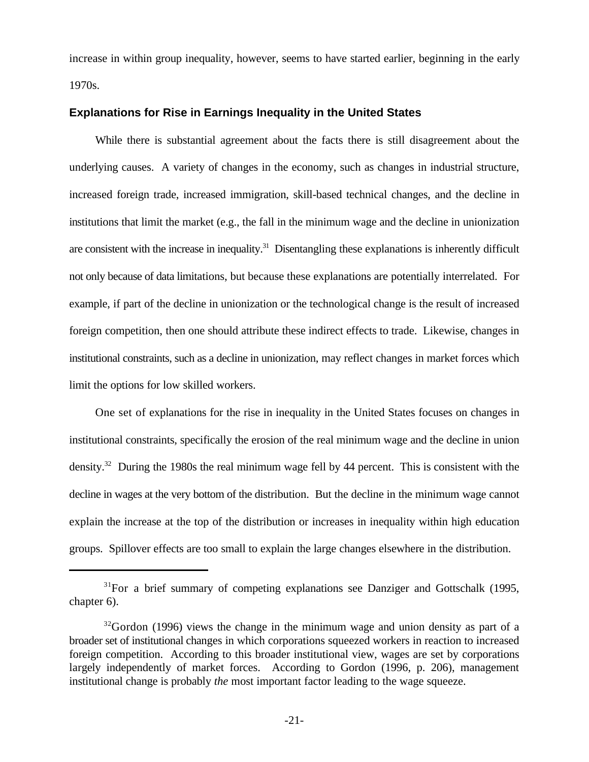increase in within group inequality, however, seems to have started earlier, beginning in the early 1970s.

## **Explanations for Rise in Earnings Inequality in the United States**

While there is substantial agreement about the facts there is still disagreement about the underlying causes. A variety of changes in the economy, such as changes in industrial structure, increased foreign trade, increased immigration, skill-based technical changes, and the decline in institutions that limit the market (e.g., the fall in the minimum wage and the decline in unionization are consistent with the increase in inequality.<sup>31</sup> Disentangling these explanations is inherently difficult not only because of data limitations, but because these explanations are potentially interrelated. For example, if part of the decline in unionization or the technological change is the result of increased foreign competition, then one should attribute these indirect effects to trade. Likewise, changes in institutional constraints, such as a decline in unionization, may reflect changes in market forces which limit the options for low skilled workers.

One set of explanations for the rise in inequality in the United States focuses on changes in institutional constraints, specifically the erosion of the real minimum wage and the decline in union density.<sup>32</sup> During the 1980s the real minimum wage fell by 44 percent. This is consistent with the decline in wages at the very bottom of the distribution. But the decline in the minimum wage cannot explain the increase at the top of the distribution or increases in inequality within high education groups. Spillover effects are too small to explain the large changes elsewhere in the distribution.

<sup>&</sup>lt;sup>31</sup>For a brief summary of competing explanations see Danziger and Gottschalk (1995, chapter 6).

 $32$ Gordon (1996) views the change in the minimum wage and union density as part of a broader set of institutional changes in which corporations squeezed workers in reaction to increased foreign competition. According to this broader institutional view, wages are set by corporations largely independently of market forces. According to Gordon (1996, p. 206), management institutional change is probably *the* most important factor leading to the wage squeeze.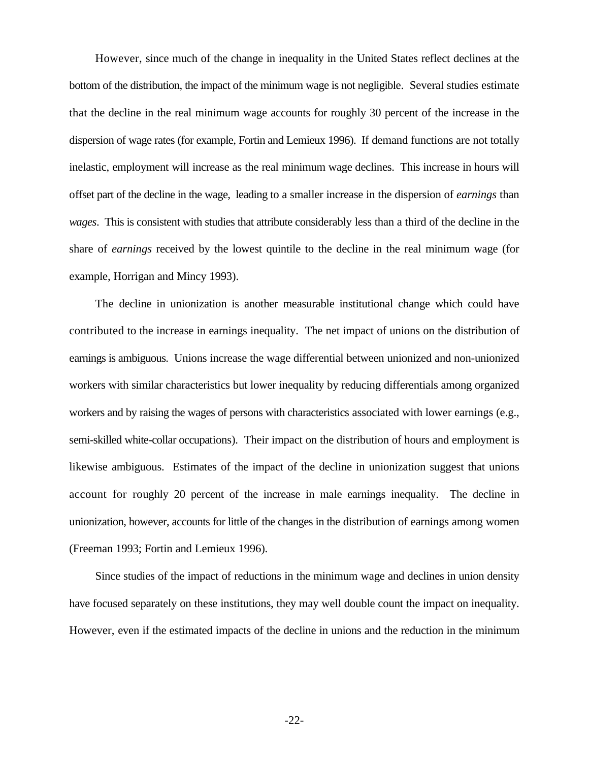However, since much of the change in inequality in the United States reflect declines at the bottom of the distribution, the impact of the minimum wage is not negligible. Several studies estimate that the decline in the real minimum wage accounts for roughly 30 percent of the increase in the dispersion of wage rates (for example, Fortin and Lemieux 1996). If demand functions are not totally inelastic, employment will increase as the real minimum wage declines. This increase in hours will offset part of the decline in the wage, leading to a smaller increase in the dispersion of *earnings* than *wages*. This is consistent with studies that attribute considerably less than a third of the decline in the share of *earnings* received by the lowest quintile to the decline in the real minimum wage (for example, Horrigan and Mincy 1993).

The decline in unionization is another measurable institutional change which could have contributed to the increase in earnings inequality. The net impact of unions on the distribution of earnings is ambiguous. Unions increase the wage differential between unionized and non-unionized workers with similar characteristics but lower inequality by reducing differentials among organized workers and by raising the wages of persons with characteristics associated with lower earnings (e.g., semi-skilled white-collar occupations). Their impact on the distribution of hours and employment is likewise ambiguous. Estimates of the impact of the decline in unionization suggest that unions account for roughly 20 percent of the increase in male earnings inequality. The decline in unionization, however, accounts for little of the changes in the distribution of earnings among women (Freeman 1993; Fortin and Lemieux 1996).

Since studies of the impact of reductions in the minimum wage and declines in union density have focused separately on these institutions, they may well double count the impact on inequality. However, even if the estimated impacts of the decline in unions and the reduction in the minimum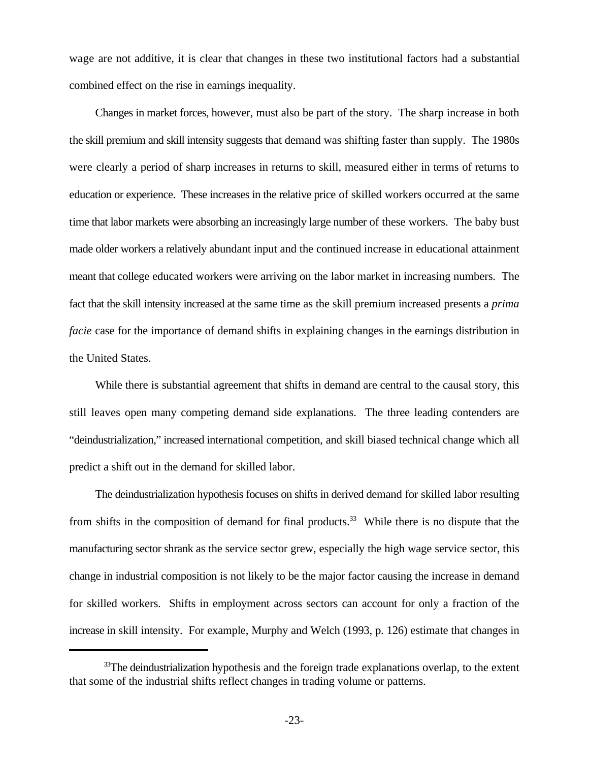wage are not additive, it is clear that changes in these two institutional factors had a substantial combined effect on the rise in earnings inequality.

Changes in market forces, however, must also be part of the story. The sharp increase in both the skill premium and skill intensity suggests that demand was shifting faster than supply. The 1980s were clearly a period of sharp increases in returns to skill, measured either in terms of returns to education or experience. These increases in the relative price of skilled workers occurred at the same time that labor markets were absorbing an increasingly large number of these workers. The baby bust made older workers a relatively abundant input and the continued increase in educational attainment meant that college educated workers were arriving on the labor market in increasing numbers. The fact that the skill intensity increased at the same time as the skill premium increased presents a *prima facie* case for the importance of demand shifts in explaining changes in the earnings distribution in the United States.

While there is substantial agreement that shifts in demand are central to the causal story, this still leaves open many competing demand side explanations. The three leading contenders are "deindustrialization," increased international competition, and skill biased technical change which all predict a shift out in the demand for skilled labor.

The deindustrialization hypothesis focuses on shifts in derived demand for skilled labor resulting from shifts in the composition of demand for final products.<sup>33</sup> While there is no dispute that the manufacturing sector shrank as the service sector grew, especially the high wage service sector, this change in industrial composition is not likely to be the major factor causing the increase in demand for skilled workers. Shifts in employment across sectors can account for only a fraction of the increase in skill intensity. For example, Murphy and Welch (1993, p. 126) estimate that changes in

 $33$ The deindustrialization hypothesis and the foreign trade explanations overlap, to the extent that some of the industrial shifts reflect changes in trading volume or patterns.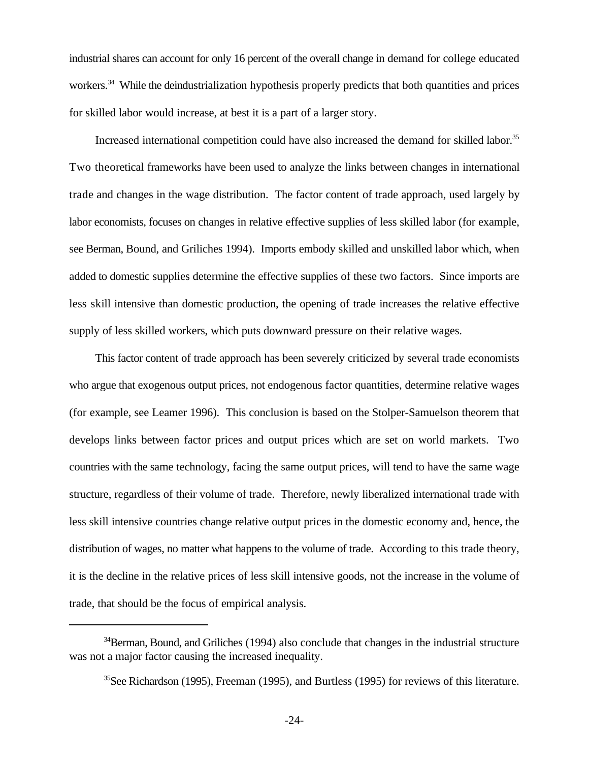industrial shares can account for only 16 percent of the overall change in demand for college educated workers.<sup>34</sup> While the deindustrialization hypothesis properly predicts that both quantities and prices for skilled labor would increase, at best it is a part of a larger story.

Increased international competition could have also increased the demand for skilled labor.<sup>35</sup> Two theoretical frameworks have been used to analyze the links between changes in international trade and changes in the wage distribution. The factor content of trade approach, used largely by labor economists, focuses on changes in relative effective supplies of less skilled labor (for example, see Berman, Bound, and Griliches 1994). Imports embody skilled and unskilled labor which, when added to domestic supplies determine the effective supplies of these two factors. Since imports are less skill intensive than domestic production, the opening of trade increases the relative effective supply of less skilled workers, which puts downward pressure on their relative wages.

This factor content of trade approach has been severely criticized by several trade economists who argue that exogenous output prices, not endogenous factor quantities, determine relative wages (for example, see Leamer 1996). This conclusion is based on the Stolper-Samuelson theorem that develops links between factor prices and output prices which are set on world markets. Two countries with the same technology, facing the same output prices, will tend to have the same wage structure, regardless of their volume of trade. Therefore, newly liberalized international trade with less skill intensive countries change relative output prices in the domestic economy and, hence, the distribution of wages, no matter what happens to the volume of trade. According to this trade theory, it is the decline in the relative prices of less skill intensive goods, not the increase in the volume of trade, that should be the focus of empirical analysis.

 $34$ Berman, Bound, and Griliches (1994) also conclude that changes in the industrial structure was not a major factor causing the increased inequality.

 ${}^{35}$ See Richardson (1995), Freeman (1995), and Burtless (1995) for reviews of this literature.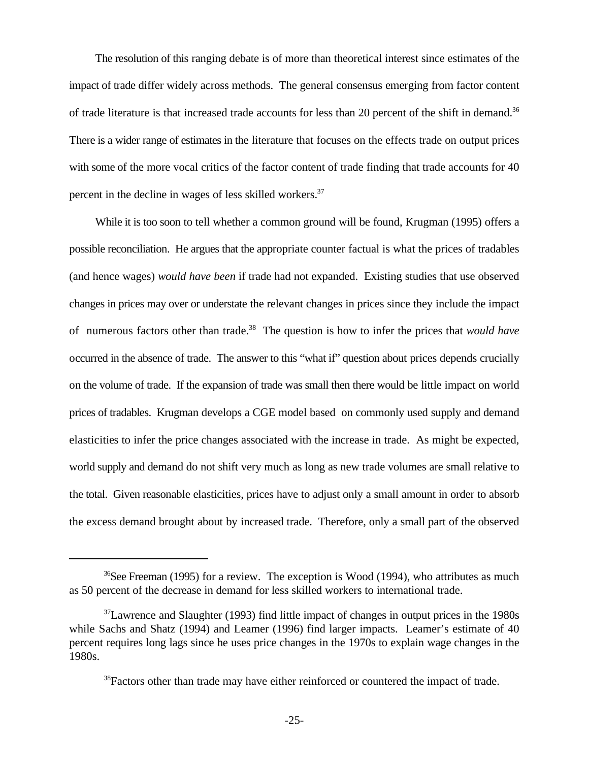The resolution of this ranging debate is of more than theoretical interest since estimates of the impact of trade differ widely across methods. The general consensus emerging from factor content of trade literature is that increased trade accounts for less than 20 percent of the shift in demand.<sup>36</sup> There is a wider range of estimates in the literature that focuses on the effects trade on output prices with some of the more vocal critics of the factor content of trade finding that trade accounts for 40 percent in the decline in wages of less skilled workers.<sup>37</sup>

While it is too soon to tell whether a common ground will be found, Krugman (1995) offers a possible reconciliation. He argues that the appropriate counter factual is what the prices of tradables (and hence wages) *would have been* if trade had not expanded. Existing studies that use observed changes in prices may over or understate the relevant changes in prices since they include the impact of numerous factors other than trade.<sup>38</sup> The question is how to infer the prices that *would have* occurred in the absence of trade. The answer to this "what if" question about prices depends crucially on the volume of trade. If the expansion of trade was small then there would be little impact on world prices of tradables. Krugman develops a CGE model based on commonly used supply and demand elasticities to infer the price changes associated with the increase in trade. As might be expected, world supply and demand do not shift very much as long as new trade volumes are small relative to the total. Given reasonable elasticities, prices have to adjust only a small amount in order to absorb the excess demand brought about by increased trade. Therefore, only a small part of the observed

<sup>&</sup>lt;sup>36</sup>See Freeman (1995) for a review. The exception is Wood (1994), who attributes as much as 50 percent of the decrease in demand for less skilled workers to international trade.

 $37$ Lawrence and Slaughter (1993) find little impact of changes in output prices in the 1980s while Sachs and Shatz (1994) and Leamer (1996) find larger impacts. Leamer's estimate of 40 percent requires long lags since he uses price changes in the 1970s to explain wage changes in the 1980s.

 $38$ Factors other than trade may have either reinforced or countered the impact of trade.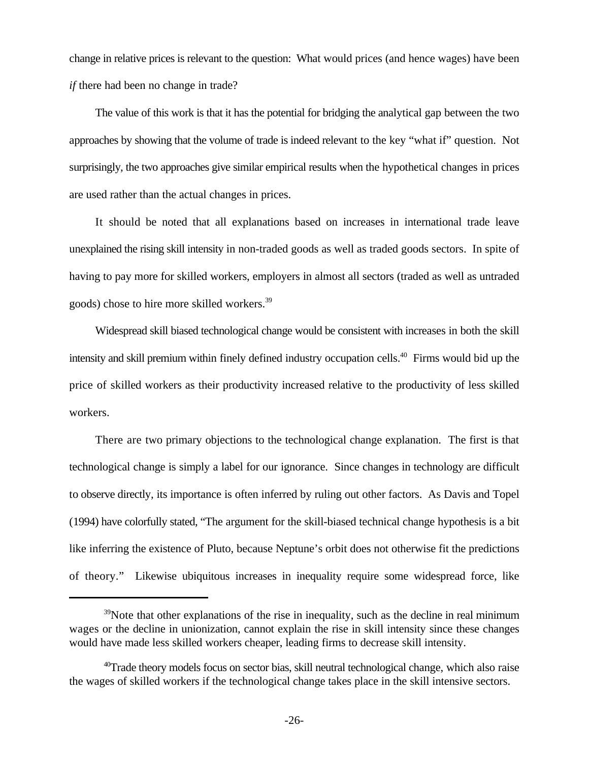change in relative prices is relevant to the question: What would prices (and hence wages) have been *if* there had been no change in trade?

The value of this work is that it has the potential for bridging the analytical gap between the two approaches by showing that the volume of trade is indeed relevant to the key "what if" question. Not surprisingly, the two approaches give similar empirical results when the hypothetical changes in prices are used rather than the actual changes in prices.

It should be noted that all explanations based on increases in international trade leave unexplained the rising skill intensity in non-traded goods as well as traded goods sectors. In spite of having to pay more for skilled workers, employers in almost all sectors (traded as well as untraded goods) chose to hire more skilled workers.<sup>39</sup>

Widespread skill biased technological change would be consistent with increases in both the skill intensity and skill premium within finely defined industry occupation cells.<sup>40</sup> Firms would bid up the price of skilled workers as their productivity increased relative to the productivity of less skilled workers.

There are two primary objections to the technological change explanation. The first is that technological change is simply a label for our ignorance. Since changes in technology are difficult to observe directly, its importance is often inferred by ruling out other factors. As Davis and Topel (1994) have colorfully stated, "The argument for the skill-biased technical change hypothesis is a bit like inferring the existence of Pluto, because Neptune's orbit does not otherwise fit the predictions of theory." Likewise ubiquitous increases in inequality require some widespread force, like

 $39$  Note that other explanations of the rise in inequality, such as the decline in real minimum wages or the decline in unionization, cannot explain the rise in skill intensity since these changes would have made less skilled workers cheaper, leading firms to decrease skill intensity.

 $^{40}$ Trade theory models focus on sector bias, skill neutral technological change, which also raise the wages of skilled workers if the technological change takes place in the skill intensive sectors.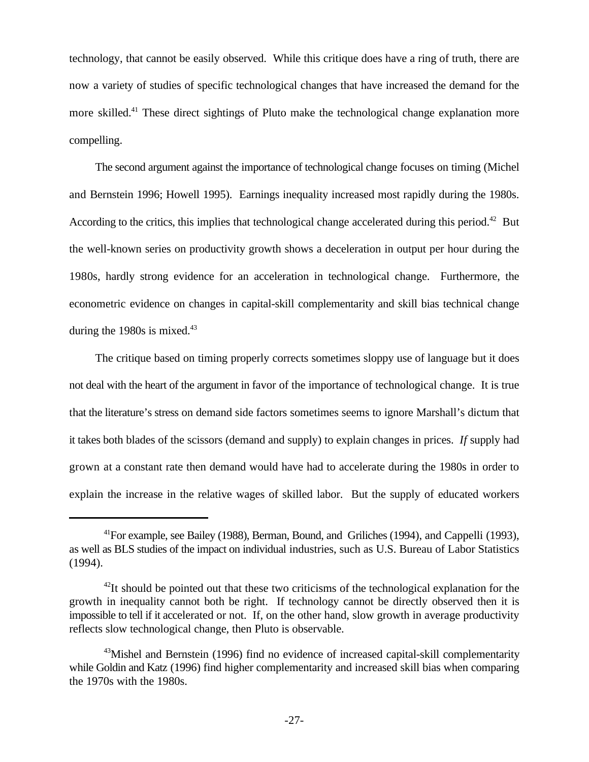technology, that cannot be easily observed. While this critique does have a ring of truth, there are now a variety of studies of specific technological changes that have increased the demand for the more skilled.<sup>41</sup> These direct sightings of Pluto make the technological change explanation more compelling.

The second argument against the importance of technological change focuses on timing (Michel and Bernstein 1996; Howell 1995). Earnings inequality increased most rapidly during the 1980s. According to the critics, this implies that technological change accelerated during this period.<sup>42</sup> But the well-known series on productivity growth shows a deceleration in output per hour during the 1980s, hardly strong evidence for an acceleration in technological change. Furthermore, the econometric evidence on changes in capital-skill complementarity and skill bias technical change during the 1980s is mixed. $43$ 

The critique based on timing properly corrects sometimes sloppy use of language but it does not deal with the heart of the argument in favor of the importance of technological change. It is true that the literature's stress on demand side factors sometimes seems to ignore Marshall's dictum that it takes both blades of the scissors (demand and supply) to explain changes in prices. *If* supply had grown at a constant rate then demand would have had to accelerate during the 1980s in order to explain the increase in the relative wages of skilled labor. But the supply of educated workers

 $^{41}$ For example, see Bailey (1988), Berman, Bound, and Griliches (1994), and Cappelli (1993), as well as BLS studies of the impact on individual industries, such as U.S. Bureau of Labor Statistics (1994).

 $^{42}$ It should be pointed out that these two criticisms of the technological explanation for the growth in inequality cannot both be right. If technology cannot be directly observed then it is impossible to tell if it accelerated or not. If, on the other hand, slow growth in average productivity reflects slow technological change, then Pluto is observable.

<sup>43</sup> Mishel and Bernstein (1996) find no evidence of increased capital-skill complementarity while Goldin and Katz (1996) find higher complementarity and increased skill bias when comparing the 1970s with the 1980s.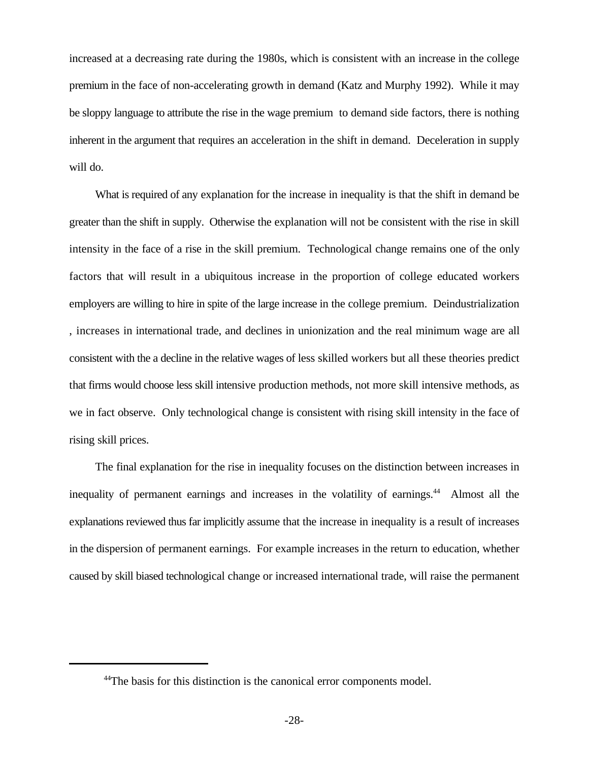increased at a decreasing rate during the 1980s, which is consistent with an increase in the college premium in the face of non-accelerating growth in demand (Katz and Murphy 1992). While it may be sloppy language to attribute the rise in the wage premium to demand side factors, there is nothing inherent in the argument that requires an acceleration in the shift in demand. Deceleration in supply will do.

What is required of any explanation for the increase in inequality is that the shift in demand be greater than the shift in supply. Otherwise the explanation will not be consistent with the rise in skill intensity in the face of a rise in the skill premium. Technological change remains one of the only factors that will result in a ubiquitous increase in the proportion of college educated workers employers are willing to hire in spite of the large increase in the college premium. Deindustrialization , increases in international trade, and declines in unionization and the real minimum wage are all consistent with the a decline in the relative wages of less skilled workers but all these theories predict that firms would choose less skill intensive production methods, not more skill intensive methods, as we in fact observe. Only technological change is consistent with rising skill intensity in the face of rising skill prices.

The final explanation for the rise in inequality focuses on the distinction between increases in inequality of permanent earnings and increases in the volatility of earnings.<sup>44</sup> Almost all the explanations reviewed thus far implicitly assume that the increase in inequality is a result of increases in the dispersion of permanent earnings. For example increases in the return to education, whether caused by skill biased technological change or increased international trade, will raise the permanent

<sup>&</sup>lt;sup>44</sup>The basis for this distinction is the canonical error components model.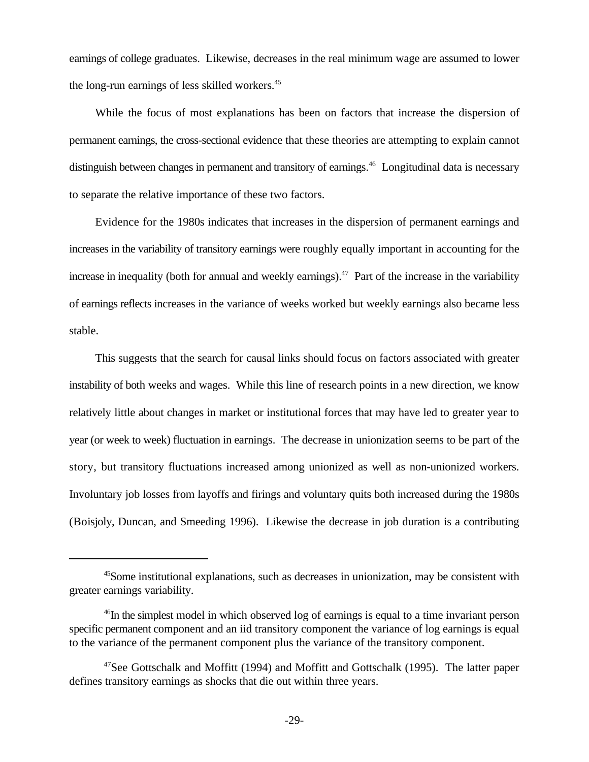earnings of college graduates. Likewise, decreases in the real minimum wage are assumed to lower the long-run earnings of less skilled workers.<sup>45</sup>

While the focus of most explanations has been on factors that increase the dispersion of permanent earnings, the cross-sectional evidence that these theories are attempting to explain cannot distinguish between changes in permanent and transitory of earnings.<sup>46</sup> Longitudinal data is necessary to separate the relative importance of these two factors.

Evidence for the 1980s indicates that increases in the dispersion of permanent earnings and increases in the variability of transitory earnings were roughly equally important in accounting for the increase in inequality (both for annual and weekly earnings).<sup> $47$ </sup> Part of the increase in the variability of earnings reflects increases in the variance of weeks worked but weekly earnings also became less stable.

This suggests that the search for causal links should focus on factors associated with greater instability of both weeks and wages. While this line of research points in a new direction, we know relatively little about changes in market or institutional forces that may have led to greater year to year (or week to week) fluctuation in earnings. The decrease in unionization seems to be part of the story, but transitory fluctuations increased among unionized as well as non-unionized workers. Involuntary job losses from layoffs and firings and voluntary quits both increased during the 1980s (Boisjoly, Duncan, and Smeeding 1996). Likewise the decrease in job duration is a contributing

 $45$  Some institutional explanations, such as decreases in unionization, may be consistent with greater earnings variability.

 $46$ In the simplest model in which observed log of earnings is equal to a time invariant person specific permanent component and an iid transitory component the variance of log earnings is equal to the variance of the permanent component plus the variance of the transitory component.

<sup>&</sup>lt;sup>47</sup>See Gottschalk and Moffitt (1994) and Moffitt and Gottschalk (1995). The latter paper defines transitory earnings as shocks that die out within three years.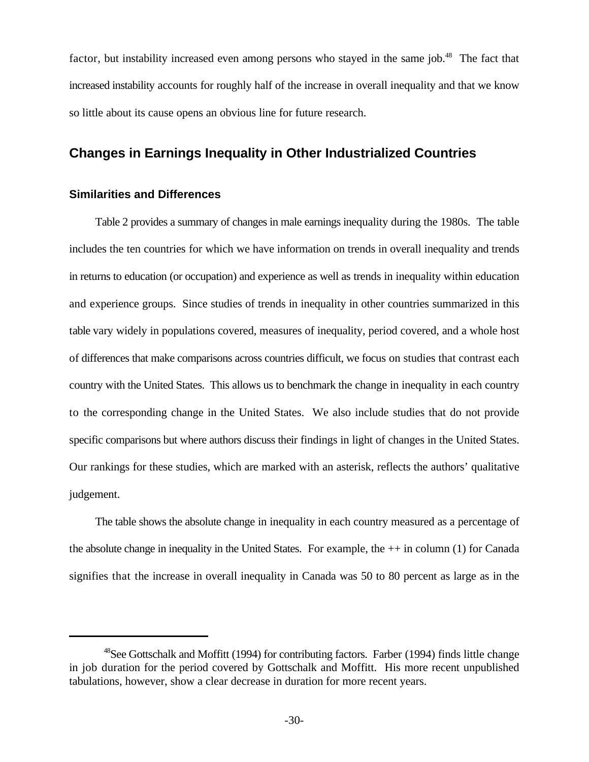factor, but instability increased even among persons who stayed in the same job.<sup>48</sup> The fact that increased instability accounts for roughly half of the increase in overall inequality and that we know so little about its cause opens an obvious line for future research.

# **Changes in Earnings Inequality in Other Industrialized Countries**

## **Similarities and Differences**

Table 2 provides a summary of changes in male earnings inequality during the 1980s. The table includes the ten countries for which we have information on trends in overall inequality and trends in returns to education (or occupation) and experience as well as trends in inequality within education and experience groups. Since studies of trends in inequality in other countries summarized in this table vary widely in populations covered, measures of inequality, period covered, and a whole host of differences that make comparisons across countries difficult, we focus on studies that contrast each country with the United States. This allows us to benchmark the change in inequality in each country to the corresponding change in the United States. We also include studies that do not provide specific comparisons but where authors discuss their findings in light of changes in the United States. Our rankings for these studies, which are marked with an asterisk, reflects the authors' qualitative judgement.

The table shows the absolute change in inequality in each country measured as a percentage of the absolute change in inequality in the United States. For example, the ++ in column (1) for Canada signifies that the increase in overall inequality in Canada was 50 to 80 percent as large as in the

 $48$ See Gottschalk and Moffitt (1994) for contributing factors. Farber (1994) finds little change in job duration for the period covered by Gottschalk and Moffitt. His more recent unpublished tabulations, however, show a clear decrease in duration for more recent years.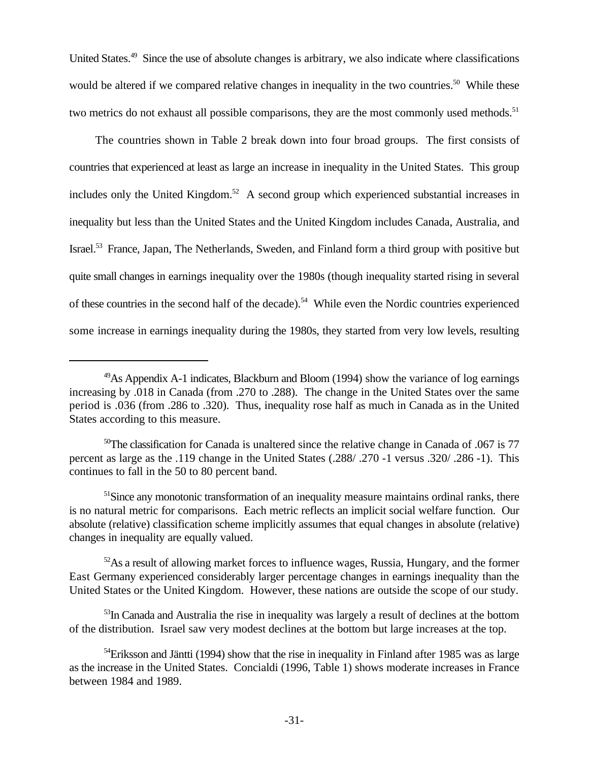United States.<sup>49</sup> Since the use of absolute changes is arbitrary, we also indicate where classifications would be altered if we compared relative changes in inequality in the two countries.<sup>50</sup> While these two metrics do not exhaust all possible comparisons, they are the most commonly used methods.<sup>51</sup>

The countries shown in Table 2 break down into four broad groups. The first consists of countries that experienced at least as large an increase in inequality in the United States. This group includes only the United Kingdom.<sup>52</sup> A second group which experienced substantial increases in inequality but less than the United States and the United Kingdom includes Canada, Australia, and Israel.<sup>53</sup> France, Japan, The Netherlands, Sweden, and Finland form a third group with positive but quite small changes in earnings inequality over the 1980s (though inequality started rising in several of these countries in the second half of the decade).<sup>54</sup> While even the Nordic countries experienced some increase in earnings inequality during the 1980s, they started from very low levels, resulting

 $49$ As Appendix A-1 indicates, Blackburn and Bloom (1994) show the variance of log earnings increasing by .018 in Canada (from .270 to .288). The change in the United States over the same period is .036 (from .286 to .320). Thus, inequality rose half as much in Canada as in the United States according to this measure.

 $50$ The classification for Canada is unaltered since the relative change in Canada of .067 is 77 percent as large as the .119 change in the United States (.288/ .270 -1 versus .320/ .286 -1). This continues to fall in the 50 to 80 percent band.

 $<sup>51</sup>$ Since any monotonic transformation of an inequality measure maintains ordinal ranks, there</sup> is no natural metric for comparisons. Each metric reflects an implicit social welfare function. Our absolute (relative) classification scheme implicitly assumes that equal changes in absolute (relative) changes in inequality are equally valued.

 $52$ As a result of allowing market forces to influence wages, Russia, Hungary, and the former East Germany experienced considerably larger percentage changes in earnings inequality than the United States or the United Kingdom. However, these nations are outside the scope of our study.

 $<sup>53</sup>$ In Canada and Australia the rise in inequality was largely a result of declines at the bottom</sup> of the distribution. Israel saw very modest declines at the bottom but large increases at the top.

 $54$ Eriksson and Jäntti (1994) show that the rise in inequality in Finland after 1985 was as large as the increase in the United States. Concialdi (1996, Table 1) shows moderate increases in France between 1984 and 1989.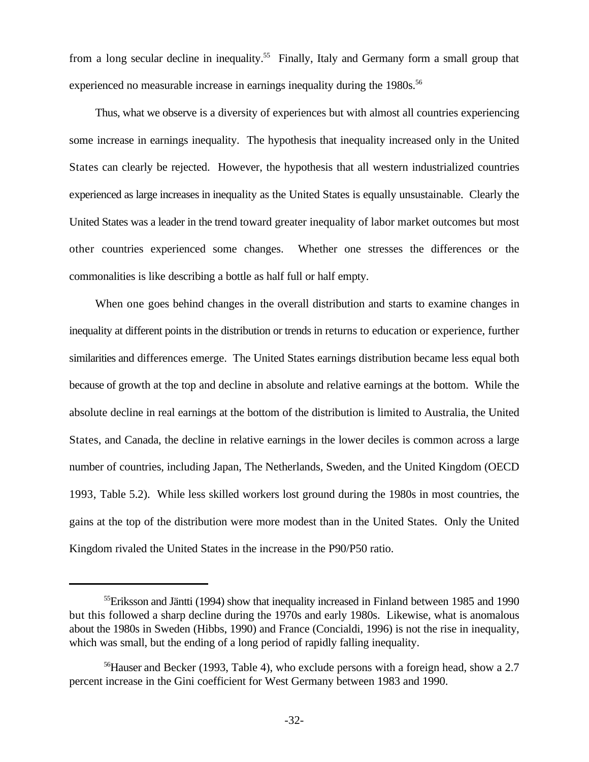from a long secular decline in inequality.<sup>55</sup> Finally, Italy and Germany form a small group that experienced no measurable increase in earnings inequality during the 1980s.<sup>56</sup>

Thus, what we observe is a diversity of experiences but with almost all countries experiencing some increase in earnings inequality. The hypothesis that inequality increased only in the United States can clearly be rejected. However, the hypothesis that all western industrialized countries experienced as large increases in inequality as the United States is equally unsustainable. Clearly the United States was a leader in the trend toward greater inequality of labor market outcomes but most other countries experienced some changes. Whether one stresses the differences or the commonalities is like describing a bottle as half full or half empty.

When one goes behind changes in the overall distribution and starts to examine changes in inequality at different points in the distribution or trends in returns to education or experience, further similarities and differences emerge. The United States earnings distribution became less equal both because of growth at the top and decline in absolute and relative earnings at the bottom. While the absolute decline in real earnings at the bottom of the distribution is limited to Australia, the United States, and Canada, the decline in relative earnings in the lower deciles is common across a large number of countries, including Japan, The Netherlands, Sweden, and the United Kingdom (OECD 1993, Table 5.2). While less skilled workers lost ground during the 1980s in most countries, the gains at the top of the distribution were more modest than in the United States. Only the United Kingdom rivaled the United States in the increase in the P90/P50 ratio.

 ${}^{55}$ Eriksson and Jäntti (1994) show that inequality increased in Finland between 1985 and 1990 but this followed a sharp decline during the 1970s and early 1980s. Likewise, what is anomalous about the 1980s in Sweden (Hibbs, 1990) and France (Concialdi, 1996) is not the rise in inequality, which was small, but the ending of a long period of rapidly falling inequality.

 $^{56}$ Hauser and Becker (1993, Table 4), who exclude persons with a foreign head, show a 2.7 percent increase in the Gini coefficient for West Germany between 1983 and 1990.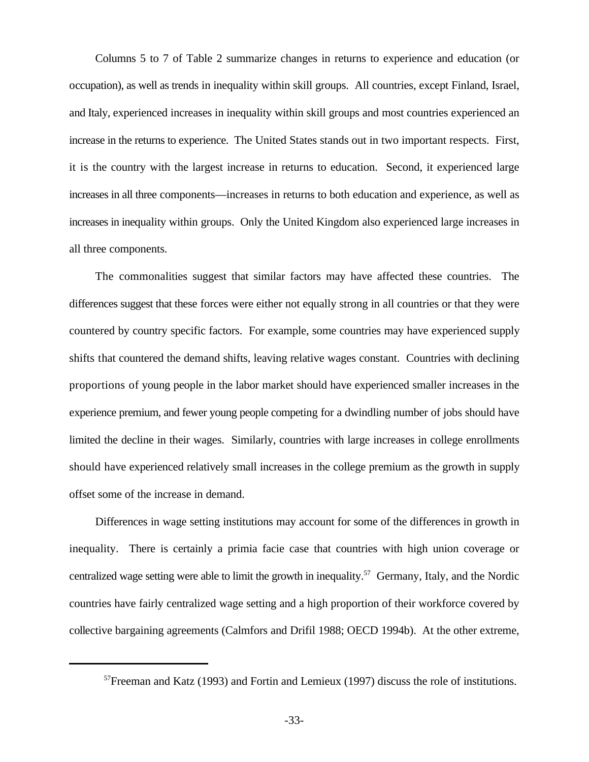Columns 5 to 7 of Table 2 summarize changes in returns to experience and education (or occupation), as well as trends in inequality within skill groups. All countries, except Finland, Israel, and Italy, experienced increases in inequality within skill groups and most countries experienced an increase in the returns to experience. The United States stands out in two important respects. First, it is the country with the largest increase in returns to education. Second, it experienced large increases in all three components—increases in returns to both education and experience, as well as increases in inequality within groups. Only the United Kingdom also experienced large increases in all three components.

The commonalities suggest that similar factors may have affected these countries. The differences suggest that these forces were either not equally strong in all countries or that they were countered by country specific factors. For example, some countries may have experienced supply shifts that countered the demand shifts, leaving relative wages constant. Countries with declining proportions of young people in the labor market should have experienced smaller increases in the experience premium, and fewer young people competing for a dwindling number of jobs should have limited the decline in their wages. Similarly, countries with large increases in college enrollments should have experienced relatively small increases in the college premium as the growth in supply offset some of the increase in demand.

Differences in wage setting institutions may account for some of the differences in growth in inequality. There is certainly a primia facie case that countries with high union coverage or centralized wage setting were able to limit the growth in inequality.<sup>57</sup> Germany, Italy, and the Nordic countries have fairly centralized wage setting and a high proportion of their workforce covered by collective bargaining agreements (Calmfors and Drifil 1988; OECD 1994b). At the other extreme,

 $57$  Freeman and Katz (1993) and Fortin and Lemieux (1997) discuss the role of institutions.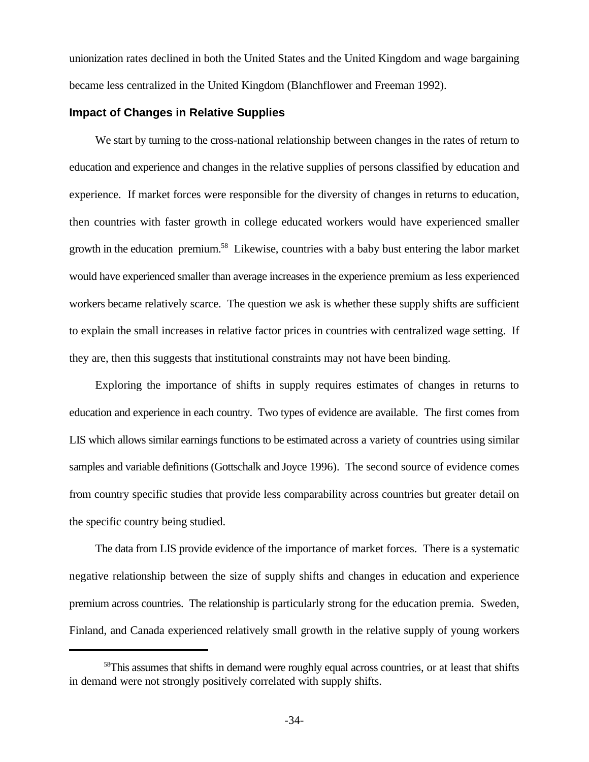unionization rates declined in both the United States and the United Kingdom and wage bargaining became less centralized in the United Kingdom (Blanchflower and Freeman 1992).

# **Impact of Changes in Relative Supplies**

We start by turning to the cross-national relationship between changes in the rates of return to education and experience and changes in the relative supplies of persons classified by education and experience. If market forces were responsible for the diversity of changes in returns to education, then countries with faster growth in college educated workers would have experienced smaller growth in the education premium.<sup>58</sup> Likewise, countries with a baby bust entering the labor market would have experienced smaller than average increases in the experience premium as less experienced workers became relatively scarce. The question we ask is whether these supply shifts are sufficient to explain the small increases in relative factor prices in countries with centralized wage setting. If they are, then this suggests that institutional constraints may not have been binding.

Exploring the importance of shifts in supply requires estimates of changes in returns to education and experience in each country. Two types of evidence are available. The first comes from LIS which allows similar earnings functions to be estimated across a variety of countries using similar samples and variable definitions (Gottschalk and Joyce 1996). The second source of evidence comes from country specific studies that provide less comparability across countries but greater detail on the specific country being studied.

The data from LIS provide evidence of the importance of market forces. There is a systematic negative relationship between the size of supply shifts and changes in education and experience premium across countries. The relationship is particularly strong for the education premia. Sweden, Finland, and Canada experienced relatively small growth in the relative supply of young workers

<sup>&</sup>lt;sup>58</sup>This assumes that shifts in demand were roughly equal across countries, or at least that shifts in demand were not strongly positively correlated with supply shifts.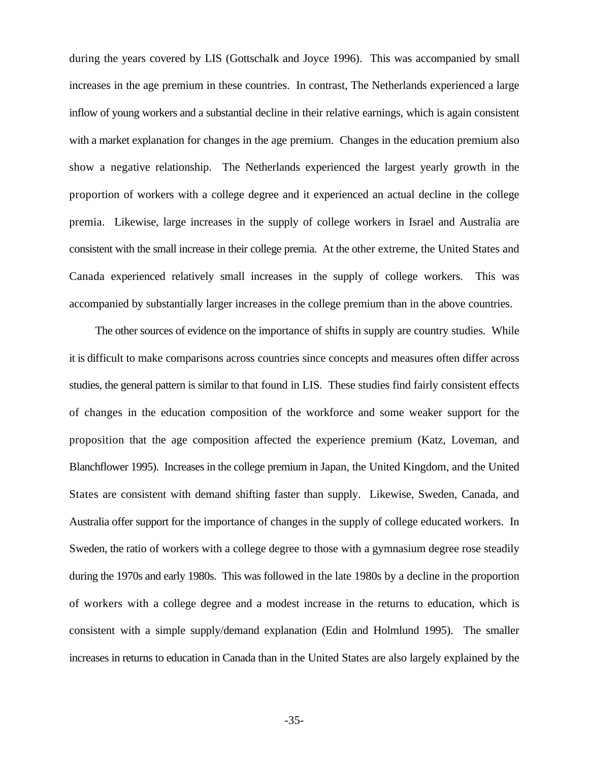during the years covered by LIS (Gottschalk and Joyce 1996). This was accompanied by small increases in the age premium in these countries. In contrast, The Netherlands experienced a large inflow of young workers and a substantial decline in their relative earnings, which is again consistent with a market explanation for changes in the age premium. Changes in the education premium also show a negative relationship. The Netherlands experienced the largest yearly growth in the proportion of workers with a college degree and it experienced an actual decline in the college premia. Likewise, large increases in the supply of college workers in Israel and Australia are consistent with the small increase in their college premia. At the other extreme, the United States and Canada experienced relatively small increases in the supply of college workers. This was accompanied by substantially larger increases in the college premium than in the above countries.

The other sources of evidence on the importance of shifts in supply are country studies. While it is difficult to make comparisons across countries since concepts and measures often differ across studies, the general pattern is similar to that found in LIS. These studies find fairly consistent effects of changes in the education composition of the workforce and some weaker support for the proposition that the age composition affected the experience premium (Katz, Loveman, and Blanchflower 1995). Increases in the college premium in Japan, the United Kingdom, and the United States are consistent with demand shifting faster than supply. Likewise, Sweden, Canada, and Australia offer support for the importance of changes in the supply of college educated workers. In Sweden, the ratio of workers with a college degree to those with a gymnasium degree rose steadily during the 1970s and early 1980s. This was followed in the late 1980s by a decline in the proportion of workers with a college degree and a modest increase in the returns to education, which is consistent with a simple supply/demand explanation (Edin and Holmlund 1995). The smaller increases in returns to education in Canada than in the United States are also largely explained by the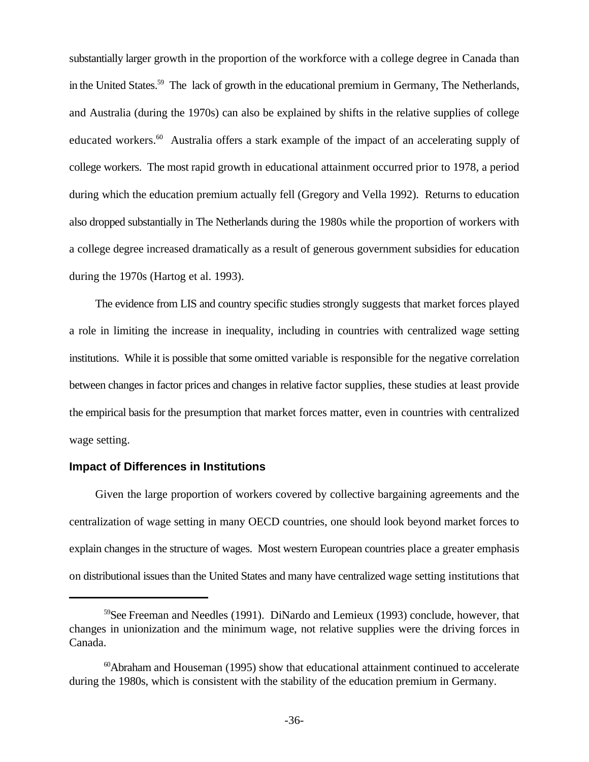substantially larger growth in the proportion of the workforce with a college degree in Canada than in the United States.<sup>59</sup> The lack of growth in the educational premium in Germany, The Netherlands, and Australia (during the 1970s) can also be explained by shifts in the relative supplies of college educated workers.<sup>60</sup> Australia offers a stark example of the impact of an accelerating supply of college workers. The most rapid growth in educational attainment occurred prior to 1978, a period during which the education premium actually fell (Gregory and Vella 1992). Returns to education also dropped substantially in The Netherlands during the 1980s while the proportion of workers with a college degree increased dramatically as a result of generous government subsidies for education during the 1970s (Hartog et al. 1993).

The evidence from LIS and country specific studies strongly suggests that market forces played a role in limiting the increase in inequality, including in countries with centralized wage setting institutions. While it is possible that some omitted variable is responsible for the negative correlation between changes in factor prices and changes in relative factor supplies, these studies at least provide the empirical basis for the presumption that market forces matter, even in countries with centralized wage setting.

#### **Impact of Differences in Institutions**

Given the large proportion of workers covered by collective bargaining agreements and the centralization of wage setting in many OECD countries, one should look beyond market forces to explain changes in the structure of wages. Most western European countries place a greater emphasis on distributional issues than the United States and many have centralized wage setting institutions that

 $59$ See Freeman and Needles (1991). DiNardo and Lemieux (1993) conclude, however, that changes in unionization and the minimum wage, not relative supplies were the driving forces in Canada.

 $\alpha$ <sup>60</sup>Abraham and Houseman (1995) show that educational attainment continued to accelerate during the 1980s, which is consistent with the stability of the education premium in Germany.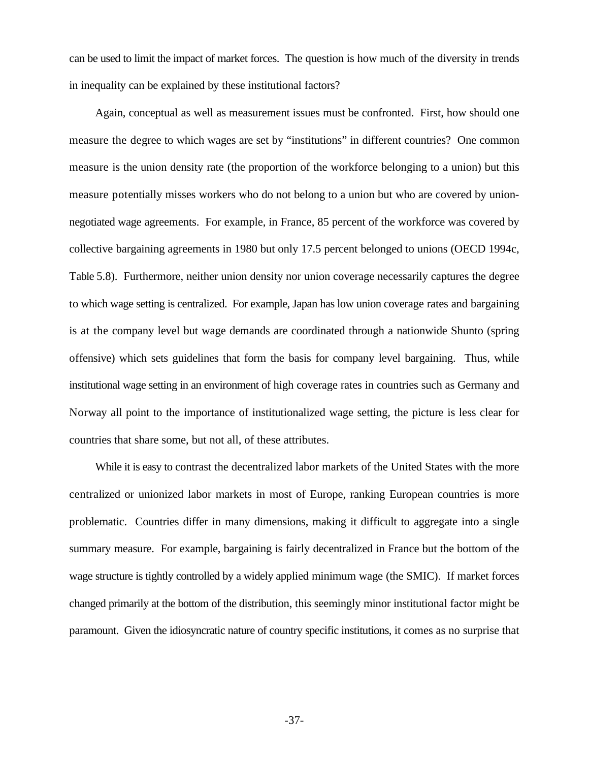can be used to limit the impact of market forces. The question is how much of the diversity in trends in inequality can be explained by these institutional factors?

Again, conceptual as well as measurement issues must be confronted. First, how should one measure the degree to which wages are set by "institutions" in different countries? One common measure is the union density rate (the proportion of the workforce belonging to a union) but this measure potentially misses workers who do not belong to a union but who are covered by unionnegotiated wage agreements. For example, in France, 85 percent of the workforce was covered by collective bargaining agreements in 1980 but only 17.5 percent belonged to unions (OECD 1994c, Table 5.8). Furthermore, neither union density nor union coverage necessarily captures the degree to which wage setting is centralized. For example, Japan has low union coverage rates and bargaining is at the company level but wage demands are coordinated through a nationwide Shunto (spring offensive) which sets guidelines that form the basis for company level bargaining. Thus, while institutional wage setting in an environment of high coverage rates in countries such as Germany and Norway all point to the importance of institutionalized wage setting, the picture is less clear for countries that share some, but not all, of these attributes.

While it is easy to contrast the decentralized labor markets of the United States with the more centralized or unionized labor markets in most of Europe, ranking European countries is more problematic. Countries differ in many dimensions, making it difficult to aggregate into a single summary measure. For example, bargaining is fairly decentralized in France but the bottom of the wage structure is tightly controlled by a widely applied minimum wage (the SMIC). If market forces changed primarily at the bottom of the distribution, this seemingly minor institutional factor might be paramount. Given the idiosyncratic nature of country specific institutions, it comes as no surprise that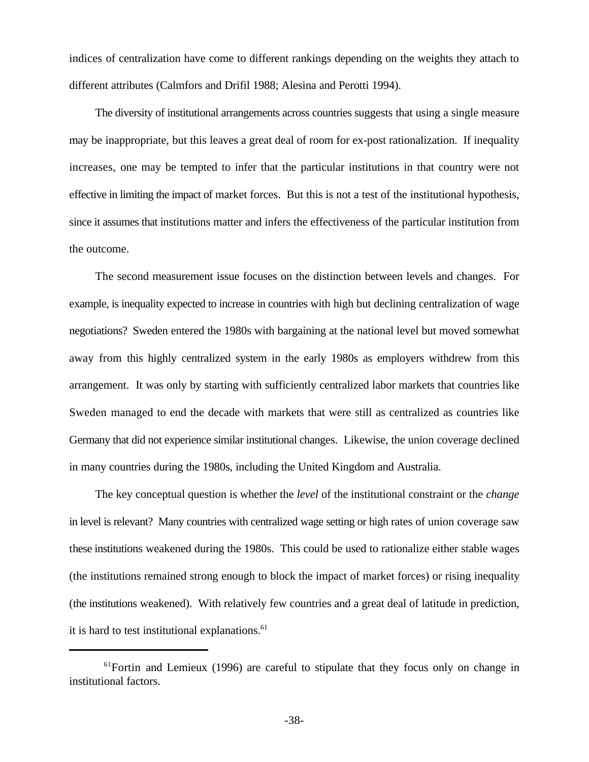indices of centralization have come to different rankings depending on the weights they attach to different attributes (Calmfors and Drifil 1988; Alesina and Perotti 1994).

The diversity of institutional arrangements across countries suggests that using a single measure may be inappropriate, but this leaves a great deal of room for ex-post rationalization. If inequality increases, one may be tempted to infer that the particular institutions in that country were not effective in limiting the impact of market forces. But this is not a test of the institutional hypothesis, since it assumes that institutions matter and infers the effectiveness of the particular institution from the outcome.

The second measurement issue focuses on the distinction between levels and changes. For example, is inequality expected to increase in countries with high but declining centralization of wage negotiations? Sweden entered the 1980s with bargaining at the national level but moved somewhat away from this highly centralized system in the early 1980s as employers withdrew from this arrangement. It was only by starting with sufficiently centralized labor markets that countries like Sweden managed to end the decade with markets that were still as centralized as countries like Germany that did not experience similar institutional changes. Likewise, the union coverage declined in many countries during the 1980s, including the United Kingdom and Australia.

The key conceptual question is whether the *level* of the institutional constraint or the *change* in level is relevant? Many countries with centralized wage setting or high rates of union coverage saw these institutions weakened during the 1980s. This could be used to rationalize either stable wages (the institutions remained strong enough to block the impact of market forces) or rising inequality (the institutions weakened). With relatively few countries and a great deal of latitude in prediction, it is hard to test institutional explanations. $61$ 

 $61$  Fortin and Lemieux (1996) are careful to stipulate that they focus only on change in institutional factors.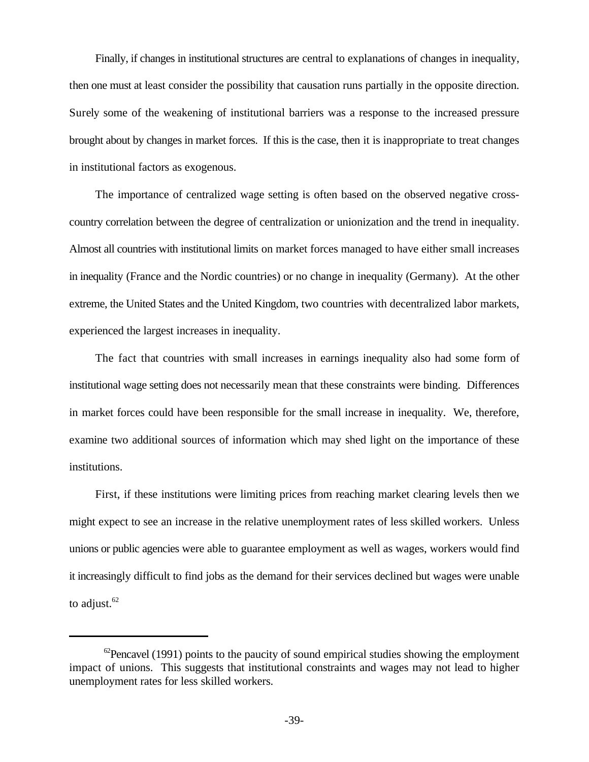Finally, if changes in institutional structures are central to explanations of changes in inequality, then one must at least consider the possibility that causation runs partially in the opposite direction. Surely some of the weakening of institutional barriers was a response to the increased pressure brought about by changes in market forces. If this is the case, then it is inappropriate to treat changes in institutional factors as exogenous.

The importance of centralized wage setting is often based on the observed negative crosscountry correlation between the degree of centralization or unionization and the trend in inequality. Almost all countries with institutional limits on market forces managed to have either small increases in inequality (France and the Nordic countries) or no change in inequality (Germany). At the other extreme, the United States and the United Kingdom, two countries with decentralized labor markets, experienced the largest increases in inequality.

The fact that countries with small increases in earnings inequality also had some form of institutional wage setting does not necessarily mean that these constraints were binding. Differences in market forces could have been responsible for the small increase in inequality. We, therefore, examine two additional sources of information which may shed light on the importance of these institutions.

First, if these institutions were limiting prices from reaching market clearing levels then we might expect to see an increase in the relative unemployment rates of less skilled workers. Unless unions or public agencies were able to guarantee employment as well as wages, workers would find it increasingly difficult to find jobs as the demand for their services declined but wages were unable to adjust. $62$ 

 ${}^{62}$ Pencavel (1991) points to the paucity of sound empirical studies showing the employment impact of unions. This suggests that institutional constraints and wages may not lead to higher unemployment rates for less skilled workers.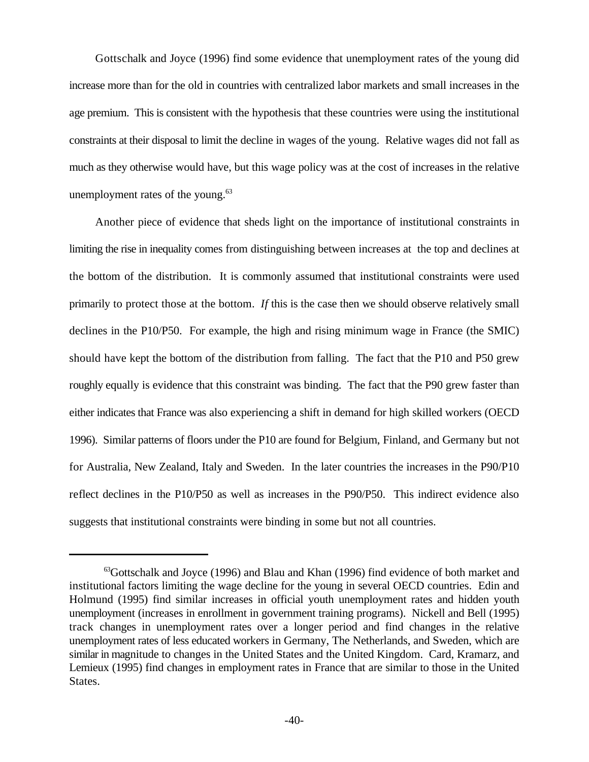Gottschalk and Joyce (1996) find some evidence that unemployment rates of the young did increase more than for the old in countries with centralized labor markets and small increases in the age premium. This is consistent with the hypothesis that these countries were using the institutional constraints at their disposal to limit the decline in wages of the young. Relative wages did not fall as much as they otherwise would have, but this wage policy was at the cost of increases in the relative unemployment rates of the young. $63$ 

Another piece of evidence that sheds light on the importance of institutional constraints in limiting the rise in inequality comes from distinguishing between increases at the top and declines at the bottom of the distribution. It is commonly assumed that institutional constraints were used primarily to protect those at the bottom. *If* this is the case then we should observe relatively small declines in the P10/P50. For example, the high and rising minimum wage in France (the SMIC) should have kept the bottom of the distribution from falling. The fact that the P10 and P50 grew roughly equally is evidence that this constraint was binding. The fact that the P90 grew faster than either indicates that France was also experiencing a shift in demand for high skilled workers (OECD 1996). Similar patterns of floors under the P10 are found for Belgium, Finland, and Germany but not for Australia, New Zealand, Italy and Sweden. In the later countries the increases in the P90/P10 reflect declines in the P10/P50 as well as increases in the P90/P50. This indirect evidence also suggests that institutional constraints were binding in some but not all countries.

 $^{63}$ Gottschalk and Joyce (1996) and Blau and Khan (1996) find evidence of both market and institutional factors limiting the wage decline for the young in several OECD countries. Edin and Holmund (1995) find similar increases in official youth unemployment rates and hidden youth unemployment (increases in enrollment in government training programs). Nickell and Bell (1995) track changes in unemployment rates over a longer period and find changes in the relative unemployment rates of less educated workers in Germany, The Netherlands, and Sweden, which are similar in magnitude to changes in the United States and the United Kingdom. Card, Kramarz, and Lemieux (1995) find changes in employment rates in France that are similar to those in the United States.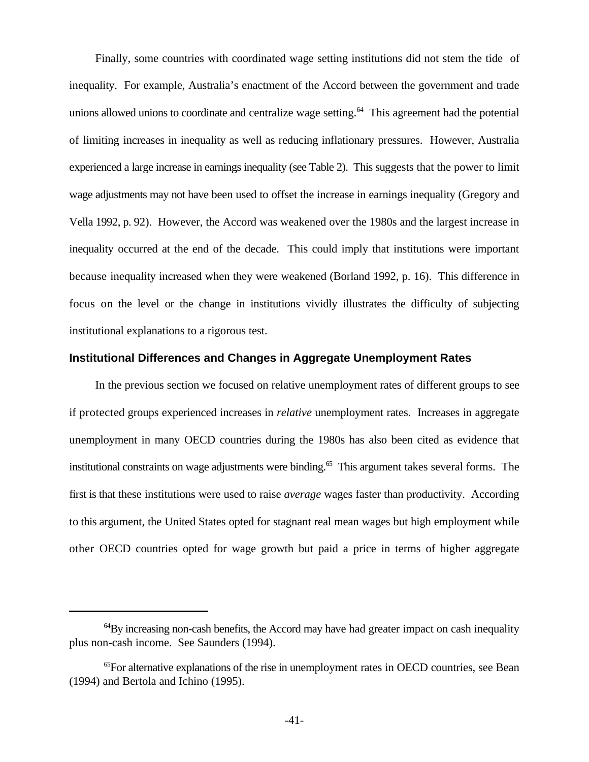Finally, some countries with coordinated wage setting institutions did not stem the tide of inequality. For example, Australia's enactment of the Accord between the government and trade unions allowed unions to coordinate and centralize wage setting.<sup>64</sup> This agreement had the potential of limiting increases in inequality as well as reducing inflationary pressures. However, Australia experienced a large increase in earnings inequality (see Table 2). This suggests that the power to limit wage adjustments may not have been used to offset the increase in earnings inequality (Gregory and Vella 1992, p. 92). However, the Accord was weakened over the 1980s and the largest increase in inequality occurred at the end of the decade. This could imply that institutions were important because inequality increased when they were weakened (Borland 1992, p. 16). This difference in focus on the level or the change in institutions vividly illustrates the difficulty of subjecting institutional explanations to a rigorous test.

#### **Institutional Differences and Changes in Aggregate Unemployment Rates**

In the previous section we focused on relative unemployment rates of different groups to see if protected groups experienced increases in *relative* unemployment rates. Increases in aggregate unemployment in many OECD countries during the 1980s has also been cited as evidence that institutional constraints on wage adjustments were binding.<sup>65</sup> This argument takes several forms. The first is that these institutions were used to raise *average* wages faster than productivity. According to this argument, the United States opted for stagnant real mean wages but high employment while other OECD countries opted for wage growth but paid a price in terms of higher aggregate

 $^{64}$ By increasing non-cash benefits, the Accord may have had greater impact on cash inequality plus non-cash income. See Saunders (1994).

 ${}^{65}$ For alternative explanations of the rise in unemployment rates in OECD countries, see Bean (1994) and Bertola and Ichino (1995).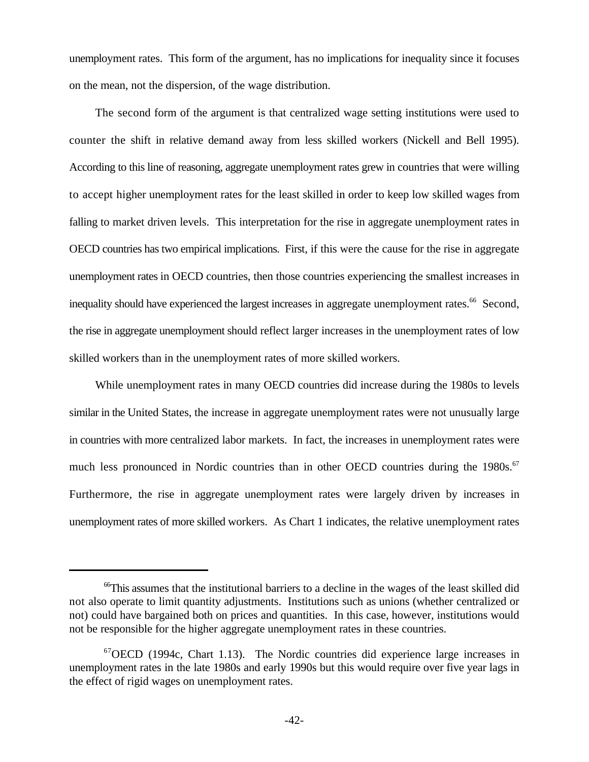unemployment rates. This form of the argument, has no implications for inequality since it focuses on the mean, not the dispersion, of the wage distribution.

The second form of the argument is that centralized wage setting institutions were used to counter the shift in relative demand away from less skilled workers (Nickell and Bell 1995). According to this line of reasoning, aggregate unemployment rates grew in countries that were willing to accept higher unemployment rates for the least skilled in order to keep low skilled wages from falling to market driven levels. This interpretation for the rise in aggregate unemployment rates in OECD countries has two empirical implications. First, if this were the cause for the rise in aggregate unemployment rates in OECD countries, then those countries experiencing the smallest increases in inequality should have experienced the largest increases in aggregate unemployment rates.<sup>66</sup> Second, the rise in aggregate unemployment should reflect larger increases in the unemployment rates of low skilled workers than in the unemployment rates of more skilled workers.

While unemployment rates in many OECD countries did increase during the 1980s to levels similar in the United States, the increase in aggregate unemployment rates were not unusually large in countries with more centralized labor markets. In fact, the increases in unemployment rates were much less pronounced in Nordic countries than in other OECD countries during the 1980s.<sup>67</sup> Furthermore, the rise in aggregate unemployment rates were largely driven by increases in unemployment rates of more skilled workers. As Chart 1 indicates, the relative unemployment rates

<sup>&</sup>lt;sup>66</sup>This assumes that the institutional barriers to a decline in the wages of the least skilled did not also operate to limit quantity adjustments. Institutions such as unions (whether centralized or not) could have bargained both on prices and quantities. In this case, however, institutions would not be responsible for the higher aggregate unemployment rates in these countries.

<sup>&</sup>lt;sup>67</sup>OECD (1994c, Chart 1.13). The Nordic countries did experience large increases in unemployment rates in the late 1980s and early 1990s but this would require over five year lags in the effect of rigid wages on unemployment rates.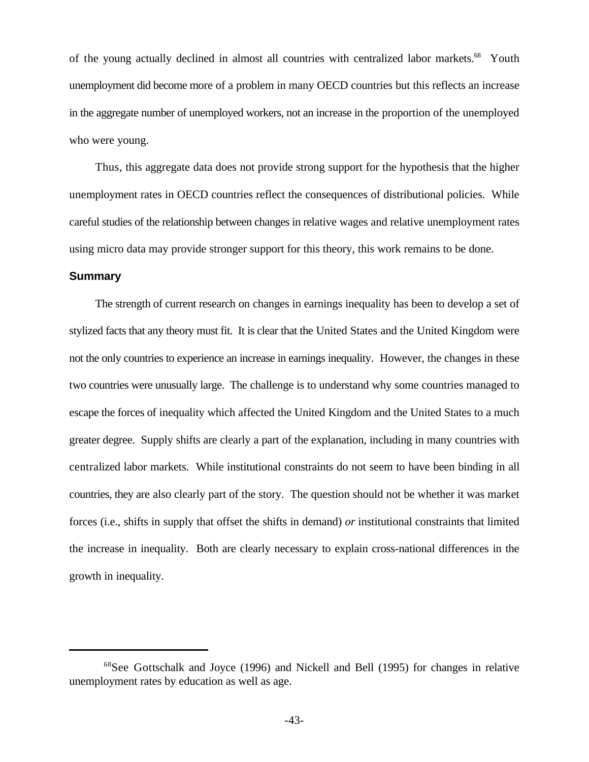of the young actually declined in almost all countries with centralized labor markets.<sup>68</sup> Youth unemployment did become more of a problem in many OECD countries but this reflects an increase in the aggregate number of unemployed workers, not an increase in the proportion of the unemployed who were young.

Thus, this aggregate data does not provide strong support for the hypothesis that the higher unemployment rates in OECD countries reflect the consequences of distributional policies. While careful studies of the relationship between changes in relative wages and relative unemployment rates using micro data may provide stronger support for this theory, this work remains to be done.

# **Summary**

The strength of current research on changes in earnings inequality has been to develop a set of stylized facts that any theory must fit. It is clear that the United States and the United Kingdom were not the only countries to experience an increase in earnings inequality. However, the changes in these two countries were unusually large. The challenge is to understand why some countries managed to escape the forces of inequality which affected the United Kingdom and the United States to a much greater degree. Supply shifts are clearly a part of the explanation, including in many countries with centralized labor markets. While institutional constraints do not seem to have been binding in all countries, they are also clearly part of the story. The question should not be whether it was market forces (i.e., shifts in supply that offset the shifts in demand) *or* institutional constraints that limited the increase in inequality. Both are clearly necessary to explain cross-national differences in the growth in inequality.

<sup>&</sup>lt;sup>68</sup>See Gottschalk and Joyce (1996) and Nickell and Bell (1995) for changes in relative unemployment rates by education as well as age.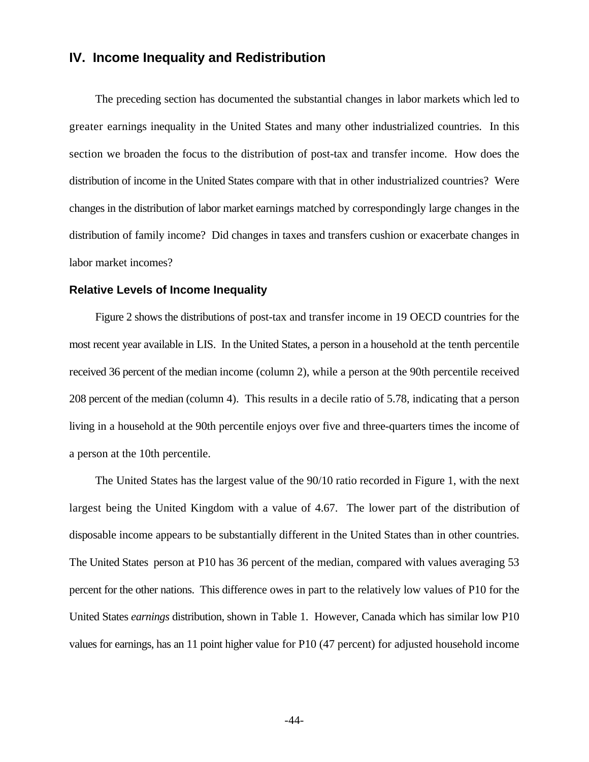# **IV. Income Inequality and Redistribution**

The preceding section has documented the substantial changes in labor markets which led to greater earnings inequality in the United States and many other industrialized countries. In this section we broaden the focus to the distribution of post-tax and transfer income. How does the distribution of income in the United States compare with that in other industrialized countries? Were changes in the distribution of labor market earnings matched by correspondingly large changes in the distribution of family income? Did changes in taxes and transfers cushion or exacerbate changes in labor market incomes?

#### **Relative Levels of Income Inequality**

Figure 2 shows the distributions of post-tax and transfer income in 19 OECD countries for the most recent year available in LIS. In the United States, a person in a household at the tenth percentile received 36 percent of the median income (column 2), while a person at the 90th percentile received 208 percent of the median (column 4). This results in a decile ratio of 5.78, indicating that a person living in a household at the 90th percentile enjoys over five and three-quarters times the income of a person at the 10th percentile.

The United States has the largest value of the 90/10 ratio recorded in Figure 1, with the next largest being the United Kingdom with a value of 4.67. The lower part of the distribution of disposable income appears to be substantially different in the United States than in other countries. The United States person at P10 has 36 percent of the median, compared with values averaging 53 percent for the other nations. This difference owes in part to the relatively low values of P10 for the United States *earnings* distribution, shown in Table 1. However, Canada which has similar low P10 values for earnings, has an 11 point higher value for P10 (47 percent) for adjusted household income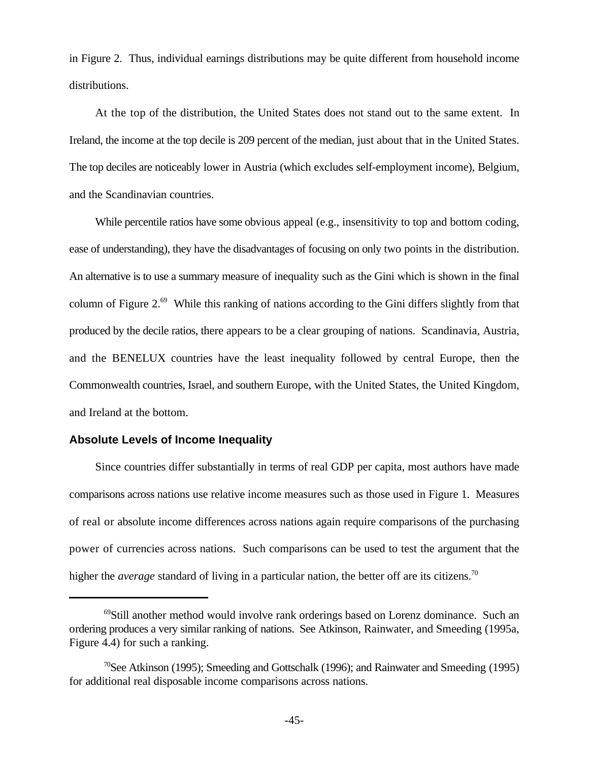in Figure 2. Thus, individual earnings distributions may be quite different from household income distributions.

At the top of the distribution, the United States does not stand out to the same extent. In Ireland, the income at the top decile is 209 percent of the median, just about that in the United States. The top deciles are noticeably lower in Austria (which excludes self-employment income), Belgium, and the Scandinavian countries.

While percentile ratios have some obvious appeal (e.g., insensitivity to top and bottom coding, ease of understanding), they have the disadvantages of focusing on only two points in the distribution. An alternative is to use a summary measure of inequality such as the Gini which is shown in the final column of Figure 2. $^{69}$  While this ranking of nations according to the Gini differs slightly from that produced by the decile ratios, there appears to be a clear grouping of nations. Scandinavia, Austria, and the BENELUX countries have the least inequality followed by central Europe, then the Commonwealth countries, Israel, and southern Europe, with the United States, the United Kingdom, and Ireland at the bottom.

# **Absolute Levels of Income Inequality**

Since countries differ substantially in terms of real GDP per capita, most authors have made comparisons across nations use relative income measures such as those used in Figure 1. Measures of real or absolute income differences across nations again require comparisons of the purchasing power of currencies across nations. Such comparisons can be used to test the argument that the higher the *average* standard of living in a particular nation, the better off are its citizens.<sup>70</sup>

 $\frac{69}{5}$ Still another method would involve rank orderings based on Lorenz dominance. Such an ordering produces a very similar ranking of nations. See Atkinson, Rainwater, and Smeeding (1995a, Figure 4.4) for such a ranking.

<sup>&</sup>lt;sup>70</sup>See Atkinson (1995); Smeeding and Gottschalk (1996); and Rainwater and Smeeding (1995) for additional real disposable income comparisons across nations.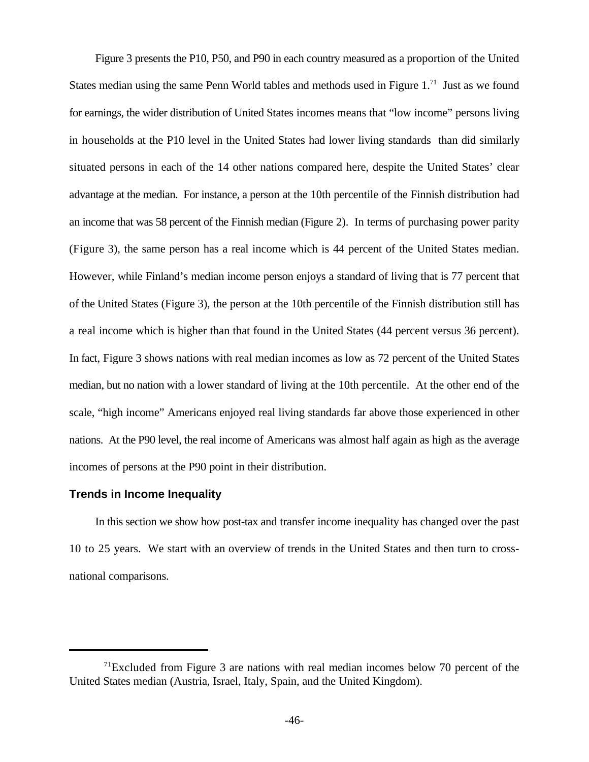Figure 3 presents the P10, P50, and P90 in each country measured as a proportion of the United States median using the same Penn World tables and methods used in Figure  $1<sup>71</sup>$  Just as we found for earnings, the wider distribution of United States incomes means that "low income" persons living in households at the P10 level in the United States had lower living standards than did similarly situated persons in each of the 14 other nations compared here, despite the United States' clear advantage at the median. For instance, a person at the 10th percentile of the Finnish distribution had an income that was 58 percent of the Finnish median (Figure 2). In terms of purchasing power parity (Figure 3), the same person has a real income which is 44 percent of the United States median. However, while Finland's median income person enjoys a standard of living that is 77 percent that of the United States (Figure 3), the person at the 10th percentile of the Finnish distribution still has a real income which is higher than that found in the United States (44 percent versus 36 percent). In fact, Figure 3 shows nations with real median incomes as low as 72 percent of the United States median, but no nation with a lower standard of living at the 10th percentile. At the other end of the scale, "high income" Americans enjoyed real living standards far above those experienced in other nations. At the P90 level, the real income of Americans was almost half again as high as the average incomes of persons at the P90 point in their distribution.

### **Trends in Income Inequality**

In this section we show how post-tax and transfer income inequality has changed over the past 10 to 25 years. We start with an overview of trends in the United States and then turn to crossnational comparisons.

 $71$ Excluded from Figure 3 are nations with real median incomes below 70 percent of the United States median (Austria, Israel, Italy, Spain, and the United Kingdom).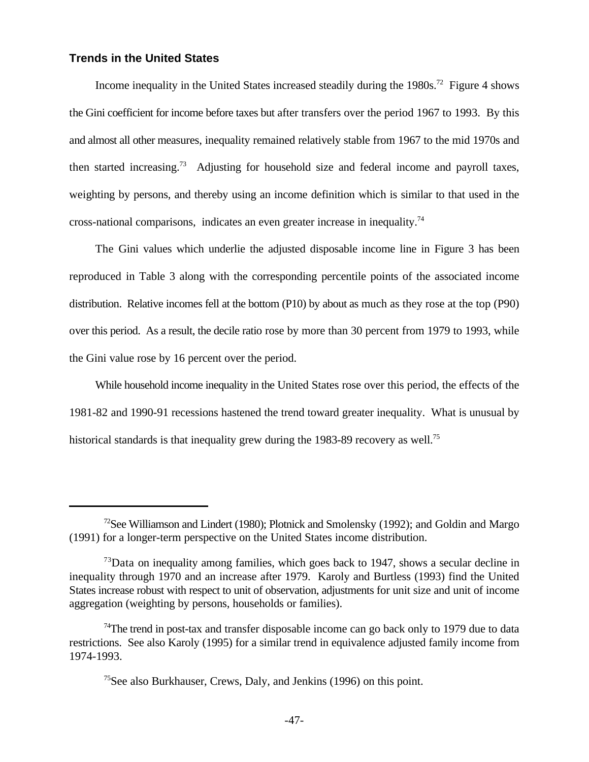# **Trends in the United States**

Income inequality in the United States increased steadily during the  $1980s$ <sup>72</sup> Figure 4 shows the Gini coefficient for income before taxes but after transfers over the period 1967 to 1993. By this and almost all other measures, inequality remained relatively stable from 1967 to the mid 1970s and then started increasing.<sup>73</sup> Adjusting for household size and federal income and payroll taxes, weighting by persons, and thereby using an income definition which is similar to that used in the cross-national comparisons, indicates an even greater increase in inequality.<sup>74</sup>

The Gini values which underlie the adjusted disposable income line in Figure 3 has been reproduced in Table 3 along with the corresponding percentile points of the associated income distribution. Relative incomes fell at the bottom (P10) by about as much as they rose at the top (P90) over this period. As a result, the decile ratio rose by more than 30 percent from 1979 to 1993, while the Gini value rose by 16 percent over the period.

While household income inequality in the United States rose over this period, the effects of the 1981-82 and 1990-91 recessions hastened the trend toward greater inequality. What is unusual by historical standards is that inequality grew during the 1983-89 recovery as well.<sup>75</sup>

<sup>&</sup>lt;sup>72</sup>See Williamson and Lindert (1980); Plotnick and Smolensky (1992); and Goldin and Margo (1991) for a longer-term perspective on the United States income distribution.

 $73$ Data on inequality among families, which goes back to 1947, shows a secular decline in inequality through 1970 and an increase after 1979. Karoly and Burtless (1993) find the United States increase robust with respect to unit of observation, adjustments for unit size and unit of income aggregation (weighting by persons, households or families).

<sup>&</sup>lt;sup>74</sup>The trend in post-tax and transfer disposable income can go back only to 1979 due to data restrictions. See also Karoly (1995) for a similar trend in equivalence adjusted family income from 1974-1993.

<sup>&</sup>lt;sup>75</sup>See also Burkhauser, Crews, Daly, and Jenkins  $(1996)$  on this point.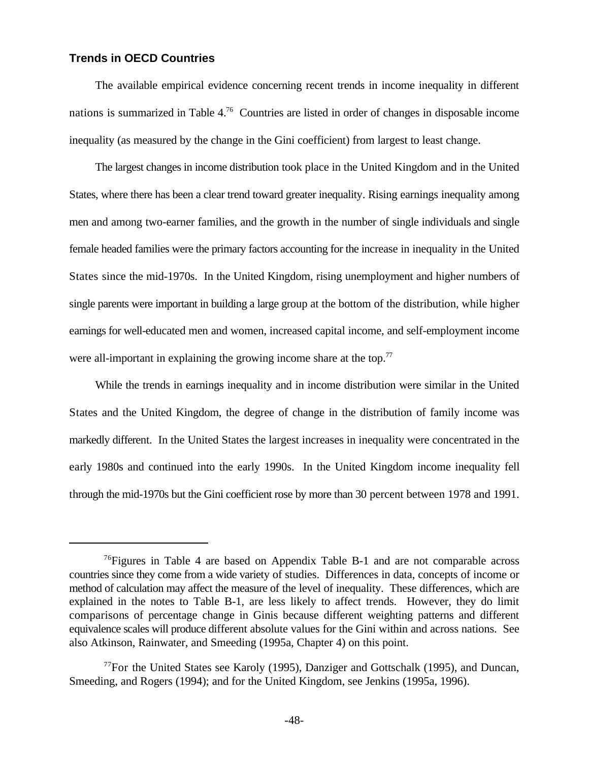# **Trends in OECD Countries**

The available empirical evidence concerning recent trends in income inequality in different nations is summarized in Table  $4.^{76}$  Countries are listed in order of changes in disposable income inequality (as measured by the change in the Gini coefficient) from largest to least change.

The largest changes in income distribution took place in the United Kingdom and in the United States, where there has been a clear trend toward greater inequality. Rising earnings inequality among men and among two-earner families, and the growth in the number of single individuals and single female headed families were the primary factors accounting for the increase in inequality in the United States since the mid-1970s. In the United Kingdom, rising unemployment and higher numbers of single parents were important in building a large group at the bottom of the distribution, while higher earnings for well-educated men and women, increased capital income, and self-employment income were all-important in explaining the growing income share at the top.<sup>77</sup>

While the trends in earnings inequality and in income distribution were similar in the United States and the United Kingdom, the degree of change in the distribution of family income was markedly different. In the United States the largest increases in inequality were concentrated in the early 1980s and continued into the early 1990s. In the United Kingdom income inequality fell through the mid-1970s but the Gini coefficient rose by more than 30 percent between 1978 and 1991.

 $76$ Figures in Table 4 are based on Appendix Table B-1 and are not comparable across countries since they come from a wide variety of studies. Differences in data, concepts of income or method of calculation may affect the measure of the level of inequality. These differences, which are explained in the notes to Table B-1, are less likely to affect trends. However, they do limit comparisons of percentage change in Ginis because different weighting patterns and different equivalence scales will produce different absolute values for the Gini within and across nations. See also Atkinson, Rainwater, and Smeeding (1995a, Chapter 4) on this point.

 $^{77}$ For the United States see Karoly (1995), Danziger and Gottschalk (1995), and Duncan, Smeeding, and Rogers (1994); and for the United Kingdom, see Jenkins (1995a, 1996).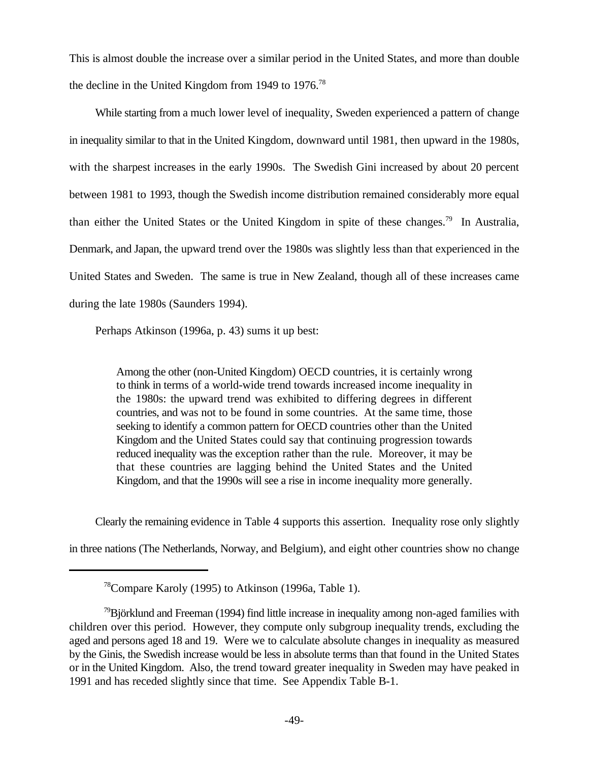This is almost double the increase over a similar period in the United States, and more than double the decline in the United Kingdom from 1949 to 1976.<sup>78</sup>

While starting from a much lower level of inequality, Sweden experienced a pattern of change in inequality similar to that in the United Kingdom, downward until 1981, then upward in the 1980s, with the sharpest increases in the early 1990s. The Swedish Gini increased by about 20 percent between 1981 to 1993, though the Swedish income distribution remained considerably more equal than either the United States or the United Kingdom in spite of these changes.<sup>79</sup> In Australia, Denmark, and Japan, the upward trend over the 1980s was slightly less than that experienced in the United States and Sweden. The same is true in New Zealand, though all of these increases came during the late 1980s (Saunders 1994).

Perhaps Atkinson (1996a, p. 43) sums it up best:

Among the other (non-United Kingdom) OECD countries, it is certainly wrong to think in terms of a world-wide trend towards increased income inequality in the 1980s: the upward trend was exhibited to differing degrees in different countries, and was not to be found in some countries. At the same time, those seeking to identify a common pattern for OECD countries other than the United Kingdom and the United States could say that continuing progression towards reduced inequality was the exception rather than the rule. Moreover, it may be that these countries are lagging behind the United States and the United Kingdom, and that the 1990s will see a rise in income inequality more generally.

Clearly the remaining evidence in Table 4 supports this assertion. Inequality rose only slightly

in three nations (The Netherlands, Norway, and Belgium), and eight other countries show no change

 $78$ Compare Karoly (1995) to Atkinson (1996a, Table 1).

 $\frac{79}{9}$ Björklund and Freeman (1994) find little increase in inequality among non-aged families with children over this period. However, they compute only subgroup inequality trends, excluding the aged and persons aged 18 and 19. Were we to calculate absolute changes in inequality as measured by the Ginis, the Swedish increase would be less in absolute terms than that found in the United States or in the United Kingdom. Also, the trend toward greater inequality in Sweden may have peaked in 1991 and has receded slightly since that time. See Appendix Table B-1.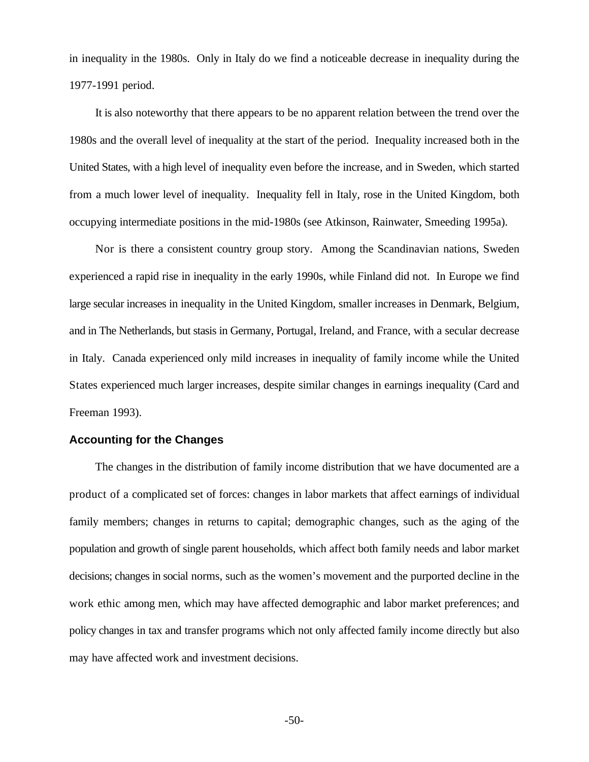in inequality in the 1980s. Only in Italy do we find a noticeable decrease in inequality during the 1977-1991 period.

It is also noteworthy that there appears to be no apparent relation between the trend over the 1980s and the overall level of inequality at the start of the period. Inequality increased both in the United States, with a high level of inequality even before the increase, and in Sweden, which started from a much lower level of inequality. Inequality fell in Italy, rose in the United Kingdom, both occupying intermediate positions in the mid-1980s (see Atkinson, Rainwater, Smeeding 1995a).

Nor is there a consistent country group story. Among the Scandinavian nations, Sweden experienced a rapid rise in inequality in the early 1990s, while Finland did not. In Europe we find large secular increases in inequality in the United Kingdom, smaller increases in Denmark, Belgium, and in The Netherlands, but stasis in Germany, Portugal, Ireland, and France, with a secular decrease in Italy. Canada experienced only mild increases in inequality of family income while the United States experienced much larger increases, despite similar changes in earnings inequality (Card and Freeman 1993).

# **Accounting for the Changes**

The changes in the distribution of family income distribution that we have documented are a product of a complicated set of forces: changes in labor markets that affect earnings of individual family members; changes in returns to capital; demographic changes, such as the aging of the population and growth of single parent households, which affect both family needs and labor market decisions; changes in social norms, such as the women's movement and the purported decline in the work ethic among men, which may have affected demographic and labor market preferences; and policy changes in tax and transfer programs which not only affected family income directly but also may have affected work and investment decisions.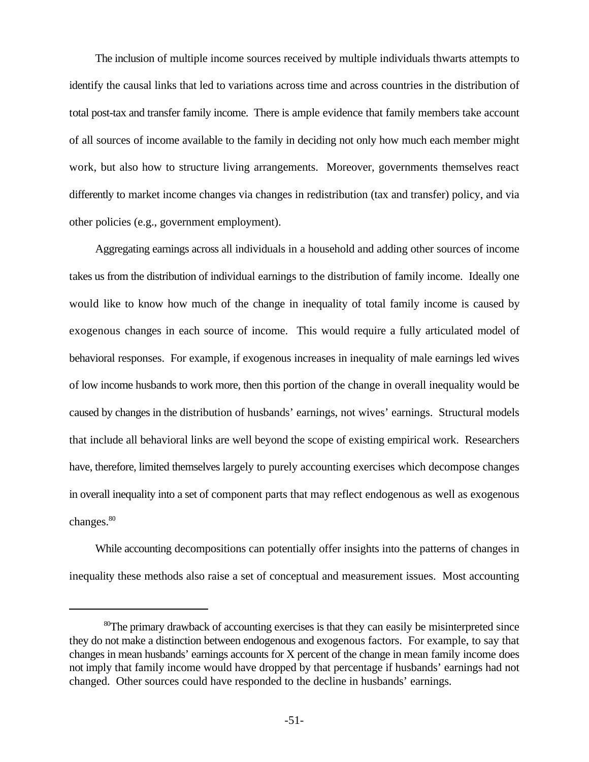The inclusion of multiple income sources received by multiple individuals thwarts attempts to identify the causal links that led to variations across time and across countries in the distribution of total post-tax and transfer family income. There is ample evidence that family members take account of all sources of income available to the family in deciding not only how much each member might work, but also how to structure living arrangements. Moreover, governments themselves react differently to market income changes via changes in redistribution (tax and transfer) policy, and via other policies (e.g., government employment).

Aggregating earnings across all individuals in a household and adding other sources of income takes us from the distribution of individual earnings to the distribution of family income. Ideally one would like to know how much of the change in inequality of total family income is caused by exogenous changes in each source of income. This would require a fully articulated model of behavioral responses. For example, if exogenous increases in inequality of male earnings led wives of low income husbands to work more, then this portion of the change in overall inequality would be caused by changes in the distribution of husbands' earnings, not wives' earnings. Structural models that include all behavioral links are well beyond the scope of existing empirical work. Researchers have, therefore, limited themselves largely to purely accounting exercises which decompose changes in overall inequality into a set of component parts that may reflect endogenous as well as exogenous changes.<sup>80</sup>

While accounting decompositions can potentially offer insights into the patterns of changes in inequality these methods also raise a set of conceptual and measurement issues. Most accounting

 ${}^{80}$ The primary drawback of accounting exercises is that they can easily be misinterpreted since they do not make a distinction between endogenous and exogenous factors. For example, to say that changes in mean husbands' earnings accounts for X percent of the change in mean family income does not imply that family income would have dropped by that percentage if husbands' earnings had not changed. Other sources could have responded to the decline in husbands' earnings.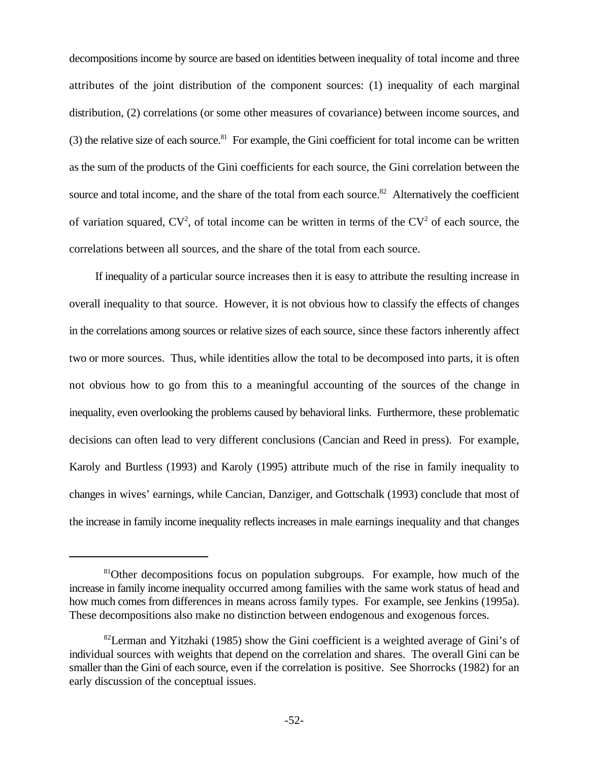decompositions income by source are based on identities between inequality of total income and three attributes of the joint distribution of the component sources: (1) inequality of each marginal distribution, (2) correlations (or some other measures of covariance) between income sources, and (3) the relative size of each source. <sup>81</sup> For example, the Gini coefficient for total income can be written as the sum of the products of the Gini coefficients for each source, the Gini correlation between the source and total income, and the share of the total from each source.<sup>82</sup> Alternatively the coefficient of variation squared,  $CV^2$ , of total income can be written in terms of the  $CV^2$  of each source, the correlations between all sources, and the share of the total from each source.

If inequality of a particular source increases then it is easy to attribute the resulting increase in overall inequality to that source. However, it is not obvious how to classify the effects of changes in the correlations among sources or relative sizes of each source, since these factors inherently affect two or more sources. Thus, while identities allow the total to be decomposed into parts, it is often not obvious how to go from this to a meaningful accounting of the sources of the change in inequality, even overlooking the problems caused by behavioral links. Furthermore, these problematic decisions can often lead to very different conclusions (Cancian and Reed in press). For example, Karoly and Burtless (1993) and Karoly (1995) attribute much of the rise in family inequality to changes in wives' earnings, while Cancian, Danziger, and Gottschalk (1993) conclude that most of the increase in family income inequality reflects increases in male earnings inequality and that changes

<sup>&</sup>lt;sup>81</sup>Other decompositions focus on population subgroups. For example, how much of the increase in family income inequality occurred among families with the same work status of head and how much comes from differences in means across family types. For example, see Jenkins (1995a). These decompositions also make no distinction between endogenous and exogenous forces.

<sup>&</sup>lt;sup>82</sup>Lerman and Yitzhaki (1985) show the Gini coefficient is a weighted average of Gini's of individual sources with weights that depend on the correlation and shares. The overall Gini can be smaller than the Gini of each source, even if the correlation is positive. See Shorrocks (1982) for an early discussion of the conceptual issues.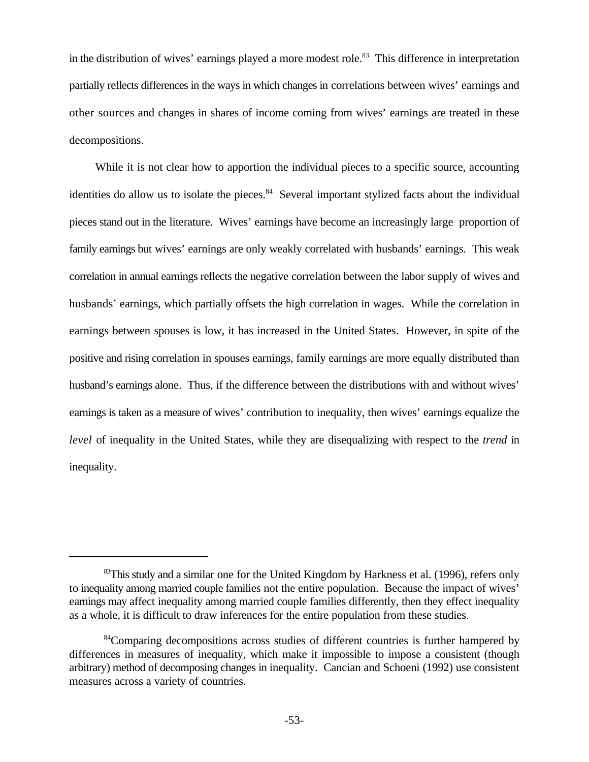in the distribution of wives' earnings played a more modest role.<sup>83</sup> This difference in interpretation partially reflects differences in the ways in which changes in correlations between wives' earnings and other sources and changes in shares of income coming from wives' earnings are treated in these decompositions.

While it is not clear how to apportion the individual pieces to a specific source, accounting identities do allow us to isolate the pieces.<sup>84</sup> Several important stylized facts about the individual pieces stand out in the literature. Wives' earnings have become an increasingly large proportion of family earnings but wives' earnings are only weakly correlated with husbands' earnings. This weak correlation in annual earnings reflects the negative correlation between the labor supply of wives and husbands' earnings, which partially offsets the high correlation in wages. While the correlation in earnings between spouses is low, it has increased in the United States. However, in spite of the positive and rising correlation in spouses earnings, family earnings are more equally distributed than husband's earnings alone. Thus, if the difference between the distributions with and without wives' earnings is taken as a measure of wives' contribution to inequality, then wives' earnings equalize the *level* of inequality in the United States, while they are disequalizing with respect to the *trend* in inequality.

 $83$ This study and a similar one for the United Kingdom by Harkness et al. (1996), refers only to inequality among married couple families not the entire population. Because the impact of wives' earnings may affect inequality among married couple families differently, then they effect inequality as a whole, it is difficult to draw inferences for the entire population from these studies.

<sup>&</sup>lt;sup>84</sup>Comparing decompositions across studies of different countries is further hampered by differences in measures of inequality, which make it impossible to impose a consistent (though arbitrary) method of decomposing changes in inequality. Cancian and Schoeni (1992) use consistent measures across a variety of countries.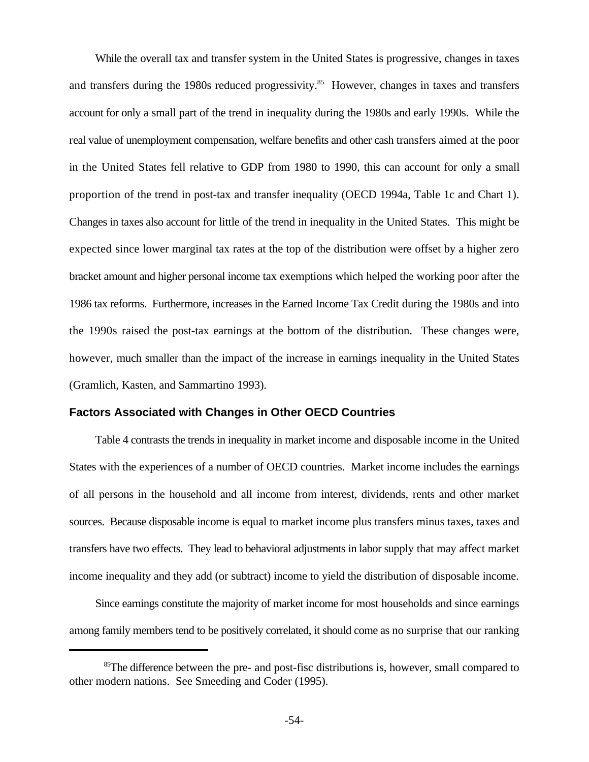While the overall tax and transfer system in the United States is progressive, changes in taxes and transfers during the 1980s reduced progressivity.<sup>85</sup> However, changes in taxes and transfers account for only a small part of the trend in inequality during the 1980s and early 1990s. While the real value of unemployment compensation, welfare benefits and other cash transfers aimed at the poor in the United States fell relative to GDP from 1980 to 1990, this can account for only a small proportion of the trend in post-tax and transfer inequality (OECD 1994a, Table 1c and Chart 1). Changes in taxes also account for little of the trend in inequality in the United States. This might be expected since lower marginal tax rates at the top of the distribution were offset by a higher zero bracket amount and higher personal income tax exemptions which helped the working poor after the 1986 tax reforms. Furthermore, increases in the Earned Income Tax Credit during the 1980s and into the 1990s raised the post-tax earnings at the bottom of the distribution. These changes were, however, much smaller than the impact of the increase in earnings inequality in the United States (Gramlich, Kasten, and Sammartino 1993).

### **Factors Associated with Changes in Other OECD Countries**

Table 4 contrasts the trends in inequality in market income and disposable income in the United States with the experiences of a number of OECD countries. Market income includes the earnings of all persons in the household and all income from interest, dividends, rents and other market sources. Because disposable income is equal to market income plus transfers minus taxes, taxes and transfers have two effects. They lead to behavioral adjustments in labor supply that may affect market income inequality and they add (or subtract) income to yield the distribution of disposable income.

Since earnings constitute the majority of market income for most households and since earnings among family members tend to be positively correlated, it should come as no surprise that our ranking

 ${}^{85}$ The difference between the pre- and post-fisc distributions is, however, small compared to other modern nations. See Smeeding and Coder (1995).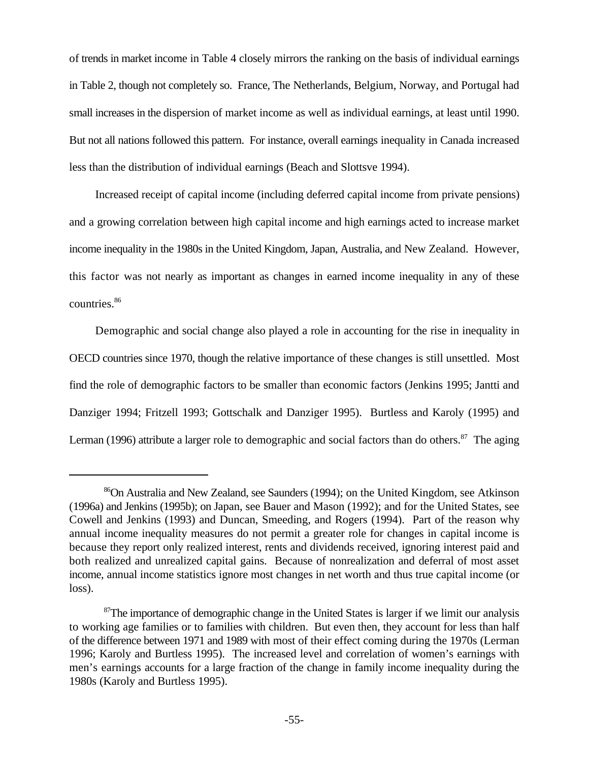of trends in market income in Table 4 closely mirrors the ranking on the basis of individual earnings in Table 2, though not completely so. France, The Netherlands, Belgium, Norway, and Portugal had small increases in the dispersion of market income as well as individual earnings, at least until 1990. But not all nations followed this pattern. For instance, overall earnings inequality in Canada increased less than the distribution of individual earnings (Beach and Slottsve 1994).

Increased receipt of capital income (including deferred capital income from private pensions) and a growing correlation between high capital income and high earnings acted to increase market income inequality in the 1980s in the United Kingdom, Japan, Australia, and New Zealand. However, this factor was not nearly as important as changes in earned income inequality in any of these countries.<sup>86</sup>

Demographic and social change also played a role in accounting for the rise in inequality in OECD countries since 1970, though the relative importance of these changes is still unsettled. Most find the role of demographic factors to be smaller than economic factors (Jenkins 1995; Jantti and Danziger 1994; Fritzell 1993; Gottschalk and Danziger 1995). Burtless and Karoly (1995) and Lerman (1996) attribute a larger role to demographic and social factors than do others.<sup>87</sup> The aging

<sup>&</sup>lt;sup>86</sup>On Australia and New Zealand, see Saunders (1994); on the United Kingdom, see Atkinson (1996a) and Jenkins (1995b); on Japan, see Bauer and Mason (1992); and for the United States, see Cowell and Jenkins (1993) and Duncan, Smeeding, and Rogers (1994). Part of the reason why annual income inequality measures do not permit a greater role for changes in capital income is because they report only realized interest, rents and dividends received, ignoring interest paid and both realized and unrealized capital gains. Because of nonrealization and deferral of most asset income, annual income statistics ignore most changes in net worth and thus true capital income (or loss).

 $\sigma$ The importance of demographic change in the United States is larger if we limit our analysis to working age families or to families with children. But even then, they account for less than half of the difference between 1971 and 1989 with most of their effect coming during the 1970s (Lerman 1996; Karoly and Burtless 1995). The increased level and correlation of women's earnings with men's earnings accounts for a large fraction of the change in family income inequality during the 1980s (Karoly and Burtless 1995).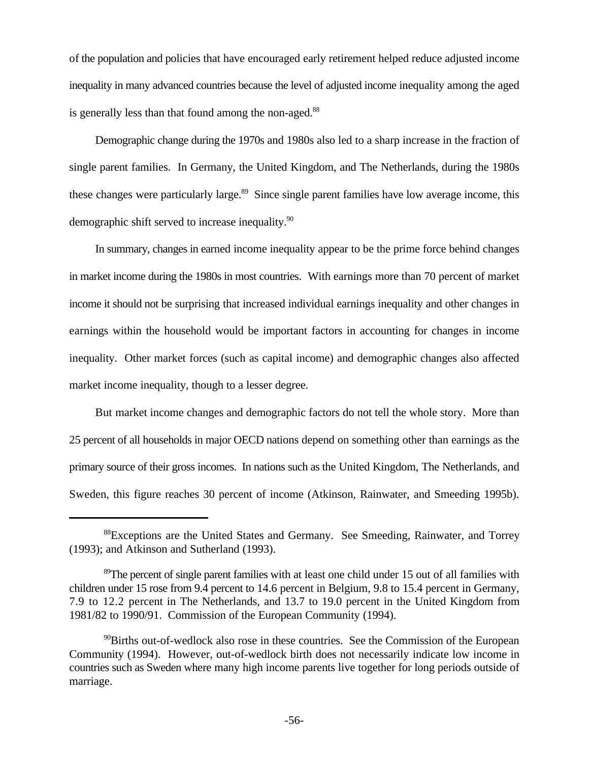of the population and policies that have encouraged early retirement helped reduce adjusted income inequality in many advanced countries because the level of adjusted income inequality among the aged is generally less than that found among the non-aged.<sup>88</sup>

Demographic change during the 1970s and 1980s also led to a sharp increase in the fraction of single parent families. In Germany, the United Kingdom, and The Netherlands, during the 1980s these changes were particularly large.<sup>89</sup> Since single parent families have low average income, this demographic shift served to increase inequality.<sup>90</sup>

In summary, changes in earned income inequality appear to be the prime force behind changes in market income during the 1980s in most countries. With earnings more than 70 percent of market income it should not be surprising that increased individual earnings inequality and other changes in earnings within the household would be important factors in accounting for changes in income inequality. Other market forces (such as capital income) and demographic changes also affected market income inequality, though to a lesser degree.

But market income changes and demographic factors do not tell the whole story. More than 25 percent of all households in major OECD nations depend on something other than earnings as the primary source of their gross incomes. In nations such as the United Kingdom, The Netherlands, and Sweden, this figure reaches 30 percent of income (Atkinson, Rainwater, and Smeeding 1995b).

<sup>88</sup>Exceptions are the United States and Germany. See Smeeding, Rainwater, and Torrey (1993); and Atkinson and Sutherland (1993).

 $\sigma$ The percent of single parent families with at least one child under 15 out of all families with children under 15 rose from 9.4 percent to 14.6 percent in Belgium, 9.8 to 15.4 percent in Germany, 7.9 to 12.2 percent in The Netherlands, and 13.7 to 19.0 percent in the United Kingdom from 1981/82 to 1990/91. Commission of the European Community (1994).

 $\rm^{90}$ Births out-of-wedlock also rose in these countries. See the Commission of the European Community (1994). However, out-of-wedlock birth does not necessarily indicate low income in countries such as Sweden where many high income parents live together for long periods outside of marriage.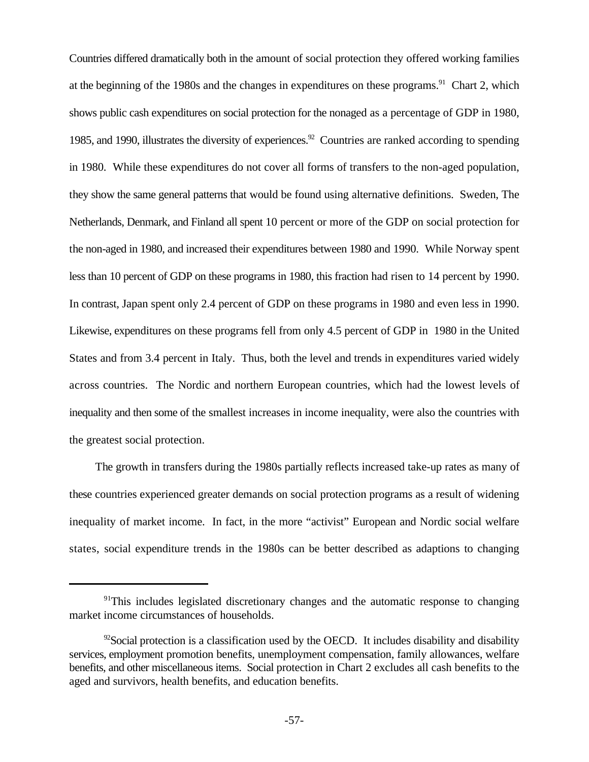Countries differed dramatically both in the amount of social protection they offered working families at the beginning of the 1980s and the changes in expenditures on these programs.<sup>91</sup> Chart 2, which shows public cash expenditures on social protection for the nonaged as a percentage of GDP in 1980, 1985, and 1990, illustrates the diversity of experiences.<sup>92</sup> Countries are ranked according to spending in 1980. While these expenditures do not cover all forms of transfers to the non-aged population, they show the same general patterns that would be found using alternative definitions. Sweden, The Netherlands, Denmark, and Finland all spent 10 percent or more of the GDP on social protection for the non-aged in 1980, and increased their expenditures between 1980 and 1990. While Norway spent less than 10 percent of GDP on these programs in 1980, this fraction had risen to 14 percent by 1990. In contrast, Japan spent only 2.4 percent of GDP on these programs in 1980 and even less in 1990. Likewise, expenditures on these programs fell from only 4.5 percent of GDP in 1980 in the United States and from 3.4 percent in Italy. Thus, both the level and trends in expenditures varied widely across countries. The Nordic and northern European countries, which had the lowest levels of inequality and then some of the smallest increases in income inequality, were also the countries with the greatest social protection.

The growth in transfers during the 1980s partially reflects increased take-up rates as many of these countries experienced greater demands on social protection programs as a result of widening inequality of market income. In fact, in the more "activist" European and Nordic social welfare states, social expenditure trends in the 1980s can be better described as adaptions to changing

<sup>&</sup>lt;sup>91</sup>This includes legislated discretionary changes and the automatic response to changing market income circumstances of households.

 $\frac{92}$ Social protection is a classification used by the OECD. It includes disability and disability services, employment promotion benefits, unemployment compensation, family allowances, welfare benefits, and other miscellaneous items. Social protection in Chart 2 excludes all cash benefits to the aged and survivors, health benefits, and education benefits.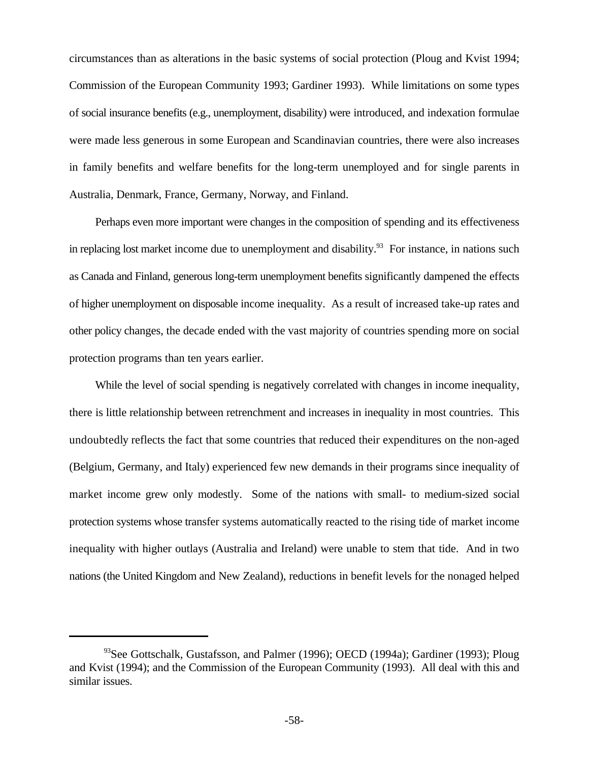circumstances than as alterations in the basic systems of social protection (Ploug and Kvist 1994; Commission of the European Community 1993; Gardiner 1993). While limitations on some types of social insurance benefits (e.g., unemployment, disability) were introduced, and indexation formulae were made less generous in some European and Scandinavian countries, there were also increases in family benefits and welfare benefits for the long-term unemployed and for single parents in Australia, Denmark, France, Germany, Norway, and Finland.

Perhaps even more important were changes in the composition of spending and its effectiveness in replacing lost market income due to unemployment and disability.<sup>93</sup> For instance, in nations such as Canada and Finland, generous long-term unemployment benefits significantly dampened the effects of higher unemployment on disposable income inequality. As a result of increased take-up rates and other policy changes, the decade ended with the vast majority of countries spending more on social protection programs than ten years earlier.

While the level of social spending is negatively correlated with changes in income inequality, there is little relationship between retrenchment and increases in inequality in most countries. This undoubtedly reflects the fact that some countries that reduced their expenditures on the non-aged (Belgium, Germany, and Italy) experienced few new demands in their programs since inequality of market income grew only modestly. Some of the nations with small- to medium-sized social protection systems whose transfer systems automatically reacted to the rising tide of market income inequality with higher outlays (Australia and Ireland) were unable to stem that tide. And in two nations (the United Kingdom and New Zealand), reductions in benefit levels for the nonaged helped

 $93$ See Gottschalk, Gustafsson, and Palmer (1996); OECD (1994a); Gardiner (1993); Ploug and Kvist (1994); and the Commission of the European Community (1993). All deal with this and similar issues.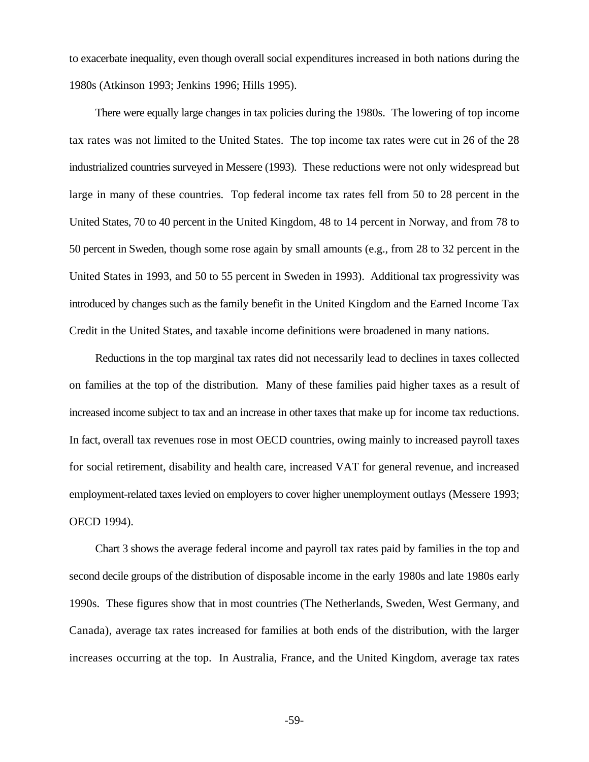to exacerbate inequality, even though overall social expenditures increased in both nations during the 1980s (Atkinson 1993; Jenkins 1996; Hills 1995).

There were equally large changes in tax policies during the 1980s. The lowering of top income tax rates was not limited to the United States. The top income tax rates were cut in 26 of the 28 industrialized countries surveyed in Messere (1993). These reductions were not only widespread but large in many of these countries. Top federal income tax rates fell from 50 to 28 percent in the United States, 70 to 40 percent in the United Kingdom, 48 to 14 percent in Norway, and from 78 to 50 percent in Sweden, though some rose again by small amounts (e.g., from 28 to 32 percent in the United States in 1993, and 50 to 55 percent in Sweden in 1993). Additional tax progressivity was introduced by changes such as the family benefit in the United Kingdom and the Earned Income Tax Credit in the United States, and taxable income definitions were broadened in many nations.

Reductions in the top marginal tax rates did not necessarily lead to declines in taxes collected on families at the top of the distribution. Many of these families paid higher taxes as a result of increased income subject to tax and an increase in other taxes that make up for income tax reductions. In fact, overall tax revenues rose in most OECD countries, owing mainly to increased payroll taxes for social retirement, disability and health care, increased VAT for general revenue, and increased employment-related taxes levied on employers to cover higher unemployment outlays (Messere 1993; OECD 1994).

Chart 3 shows the average federal income and payroll tax rates paid by families in the top and second decile groups of the distribution of disposable income in the early 1980s and late 1980s early 1990s. These figures show that in most countries (The Netherlands, Sweden, West Germany, and Canada), average tax rates increased for families at both ends of the distribution, with the larger increases occurring at the top. In Australia, France, and the United Kingdom, average tax rates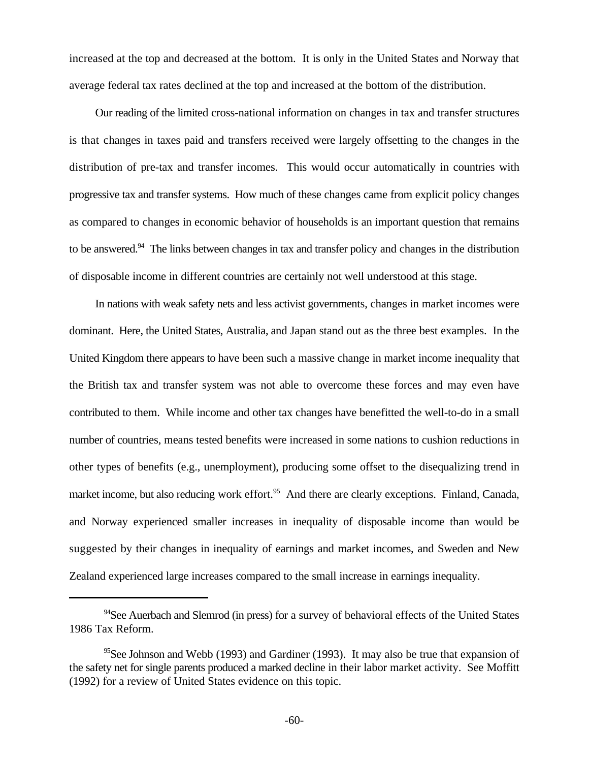increased at the top and decreased at the bottom. It is only in the United States and Norway that average federal tax rates declined at the top and increased at the bottom of the distribution.

Our reading of the limited cross-national information on changes in tax and transfer structures is that changes in taxes paid and transfers received were largely offsetting to the changes in the distribution of pre-tax and transfer incomes. This would occur automatically in countries with progressive tax and transfer systems. How much of these changes came from explicit policy changes as compared to changes in economic behavior of households is an important question that remains to be answered.<sup>94</sup> The links between changes in tax and transfer policy and changes in the distribution of disposable income in different countries are certainly not well understood at this stage.

In nations with weak safety nets and less activist governments, changes in market incomes were dominant. Here, the United States, Australia, and Japan stand out as the three best examples. In the United Kingdom there appears to have been such a massive change in market income inequality that the British tax and transfer system was not able to overcome these forces and may even have contributed to them. While income and other tax changes have benefitted the well-to-do in a small number of countries, means tested benefits were increased in some nations to cushion reductions in other types of benefits (e.g., unemployment), producing some offset to the disequalizing trend in market income, but also reducing work effort.<sup>95</sup> And there are clearly exceptions. Finland, Canada, and Norway experienced smaller increases in inequality of disposable income than would be suggested by their changes in inequality of earnings and market incomes, and Sweden and New Zealand experienced large increases compared to the small increase in earnings inequality.

 $^{94}$ See Auerbach and Slemrod (in press) for a survey of behavioral effects of the United States 1986 Tax Reform.

 $<sup>95</sup>$ See Johnson and Webb (1993) and Gardiner (1993). It may also be true that expansion of</sup> the safety net for single parents produced a marked decline in their labor market activity. See Moffitt (1992) for a review of United States evidence on this topic.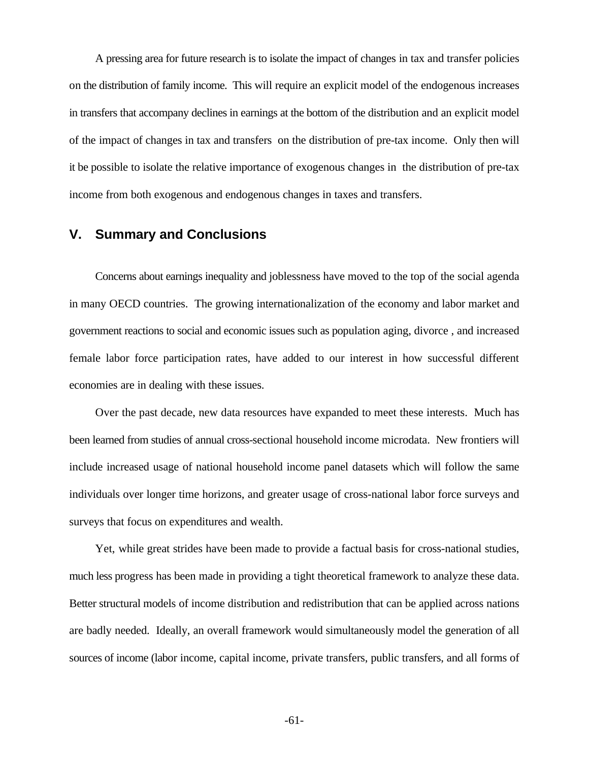A pressing area for future research is to isolate the impact of changes in tax and transfer policies on the distribution of family income. This will require an explicit model of the endogenous increases in transfers that accompany declines in earnings at the bottom of the distribution and an explicit model of the impact of changes in tax and transfers on the distribution of pre-tax income. Only then will it be possible to isolate the relative importance of exogenous changes in the distribution of pre-tax income from both exogenous and endogenous changes in taxes and transfers.

# **V. Summary and Conclusions**

Concerns about earnings inequality and joblessness have moved to the top of the social agenda in many OECD countries. The growing internationalization of the economy and labor market and government reactions to social and economic issues such as population aging, divorce , and increased female labor force participation rates, have added to our interest in how successful different economies are in dealing with these issues.

Over the past decade, new data resources have expanded to meet these interests. Much has been learned from studies of annual cross-sectional household income microdata. New frontiers will include increased usage of national household income panel datasets which will follow the same individuals over longer time horizons, and greater usage of cross-national labor force surveys and surveys that focus on expenditures and wealth.

Yet, while great strides have been made to provide a factual basis for cross-national studies, much less progress has been made in providing a tight theoretical framework to analyze these data. Better structural models of income distribution and redistribution that can be applied across nations are badly needed. Ideally, an overall framework would simultaneously model the generation of all sources of income (labor income, capital income, private transfers, public transfers, and all forms of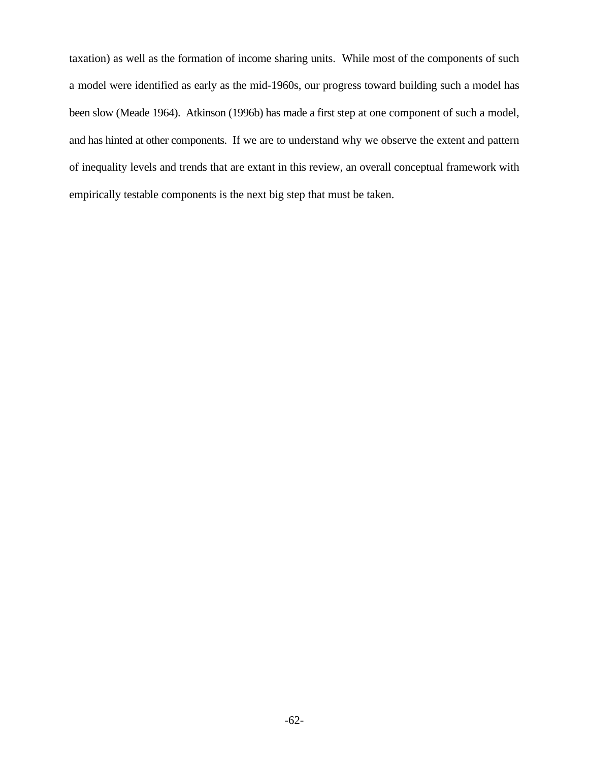taxation) as well as the formation of income sharing units. While most of the components of such a model were identified as early as the mid-1960s, our progress toward building such a model has been slow (Meade 1964). Atkinson (1996b) has made a first step at one component of such a model, and has hinted at other components. If we are to understand why we observe the extent and pattern of inequality levels and trends that are extant in this review, an overall conceptual framework with empirically testable components is the next big step that must be taken.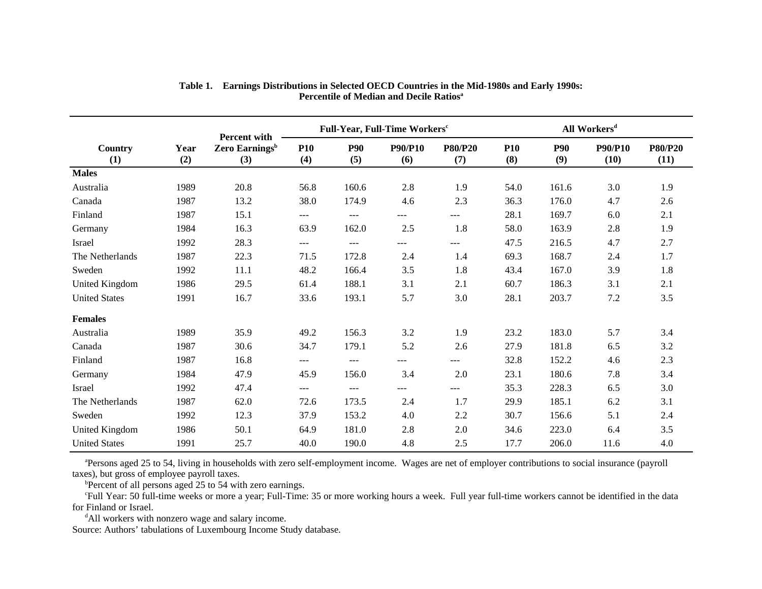|                      |             |                                                          |                   |                   | Full-Year, Full-Time Workers <sup>c</sup> |                       | All Workers <sup>d</sup> |                   |                        |                        |  |
|----------------------|-------------|----------------------------------------------------------|-------------------|-------------------|-------------------------------------------|-----------------------|--------------------------|-------------------|------------------------|------------------------|--|
| Country<br>(1)       | Year<br>(2) | <b>Percent with</b><br>Zero Earnings <sup>b</sup><br>(3) | <b>P10</b><br>(4) | <b>P90</b><br>(5) | <b>P90/P10</b><br>(6)                     | <b>P80/P20</b><br>(7) | <b>P10</b><br>(8)        | <b>P90</b><br>(9) | <b>P90/P10</b><br>(10) | <b>P80/P20</b><br>(11) |  |
| <b>Males</b>         |             |                                                          |                   |                   |                                           |                       |                          |                   |                        |                        |  |
| Australia            | 1989        | 20.8                                                     | 56.8              | 160.6             | 2.8                                       | 1.9                   | 54.0                     | 161.6             | 3.0                    | 1.9                    |  |
| Canada               | 1987        | 13.2                                                     | 38.0              | 174.9             | 4.6                                       | 2.3                   | 36.3                     | 176.0             | 4.7                    | 2.6                    |  |
| Finland              | 1987        | 15.1                                                     | $---$             | ---               | ---                                       | $---$                 | 28.1                     | 169.7             | 6.0                    | 2.1                    |  |
| Germany              | 1984        | 16.3                                                     | 63.9              | 162.0             | 2.5                                       | 1.8                   | 58.0                     | 163.9             | 2.8                    | 1.9                    |  |
| Israel               | 1992        | 28.3                                                     | $---$             | $---$             | ---                                       | $---$                 | 47.5                     | 216.5             | 4.7                    | 2.7                    |  |
| The Netherlands      | 1987        | 22.3                                                     | 71.5              | 172.8             | 2.4                                       | 1.4                   | 69.3                     | 168.7             | 2.4                    | 1.7                    |  |
| Sweden               | 1992        | 11.1                                                     | 48.2              | 166.4             | 3.5                                       | 1.8                   | 43.4                     | 167.0             | 3.9                    | 1.8                    |  |
| United Kingdom       | 1986        | 29.5                                                     | 61.4              | 188.1             | 3.1                                       | 2.1                   | 60.7                     | 186.3             | 3.1                    | 2.1                    |  |
| <b>United States</b> | 1991        | 16.7                                                     | 33.6              | 193.1             | 5.7                                       | 3.0                   | 28.1                     | 203.7             | 7.2                    | 3.5                    |  |
| <b>Females</b>       |             |                                                          |                   |                   |                                           |                       |                          |                   |                        |                        |  |
| Australia            | 1989        | 35.9                                                     | 49.2              | 156.3             | 3.2                                       | 1.9                   | 23.2                     | 183.0             | 5.7                    | 3.4                    |  |
| Canada               | 1987        | 30.6                                                     | 34.7              | 179.1             | 5.2                                       | 2.6                   | 27.9                     | 181.8             | 6.5                    | 3.2                    |  |
| Finland              | 1987        | 16.8                                                     | $---$             | ---               | ---                                       | ---                   | 32.8                     | 152.2             | 4.6                    | 2.3                    |  |
| Germany              | 1984        | 47.9                                                     | 45.9              | 156.0             | 3.4                                       | 2.0                   | 23.1                     | 180.6             | 7.8                    | 3.4                    |  |
| Israel               | 1992        | 47.4                                                     | $---$             | ---               | ---                                       | ---                   | 35.3                     | 228.3             | 6.5                    | 3.0                    |  |
| The Netherlands      | 1987        | 62.0                                                     | 72.6              | 173.5             | 2.4                                       | 1.7                   | 29.9                     | 185.1             | 6.2                    | 3.1                    |  |
| Sweden               | 1992        | 12.3                                                     | 37.9              | 153.2             | 4.0                                       | 2.2                   | 30.7                     | 156.6             | 5.1                    | 2.4                    |  |
| United Kingdom       | 1986        | 50.1                                                     | 64.9              | 181.0             | 2.8                                       | 2.0                   | 34.6                     | 223.0             | 6.4                    | 3.5                    |  |
| <b>United States</b> | 1991        | 25.7                                                     | 40.0              | 190.0             | 4.8                                       | 2.5                   | 17.7                     | 206.0             | 11.6                   | 4.0                    |  |

#### **Table 1. Earnings Distributions in Selected OECD Countries in the Mid-1980s and Early 1990s: Percentile of Median and Decile Ratios<sup>a</sup>**

<sup>a</sup>Persons aged 25 to 54, living in households with zero self-employment income. Wages are net of employer contributions to social insurance (payroll taxes), but gross of employee payroll taxes.

 $b$ Percent of all persons aged 25 to 54 with zero earnings.

 Full Year: 50 full-time weeks or more a year; Full-Time: 35 or more working hours a week. Full year full-time workers cannot be identified in the data <sup>c</sup> for Finland or Israel.

<sup>d</sup>All workers with nonzero wage and salary income.

Source: Authors' tabulations of Luxembourg Income Study database.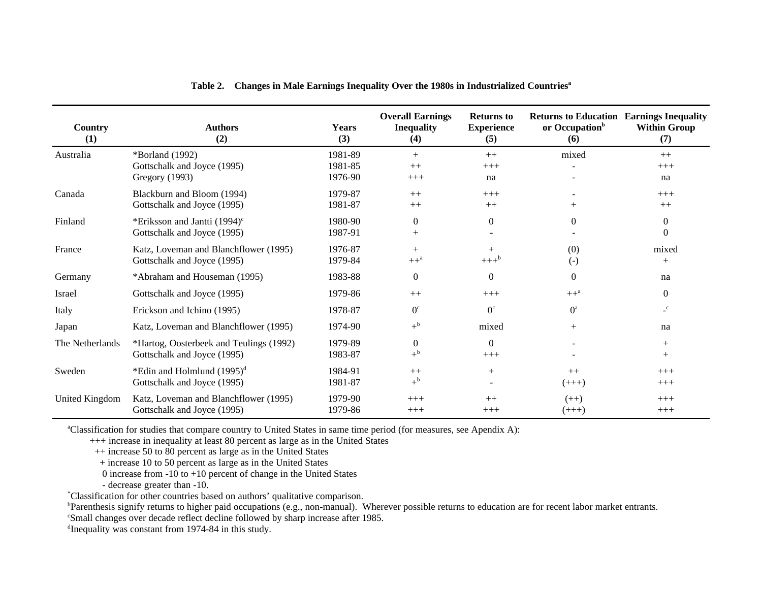| <b>Country</b><br>(1) | <b>Authors</b><br>(2)                    | <b>Years</b><br>(3) | <b>Overall Earnings</b><br><b>Inequality</b><br>(4) | <b>Returns to</b><br><b>Experience</b><br>(5) | <b>Returns to Education Earnings Inequality</b><br>or Occupation <sup>b</sup><br>(6) | <b>Within Group</b><br>(7) |
|-----------------------|------------------------------------------|---------------------|-----------------------------------------------------|-----------------------------------------------|--------------------------------------------------------------------------------------|----------------------------|
| Australia             | *Borland (1992)                          | 1981-89             | $^{+}$                                              | $++$                                          | mixed                                                                                | $++$                       |
|                       | Gottschalk and Joyce (1995)              | 1981-85             | $++$                                                | $+++$                                         |                                                                                      | $+++$                      |
|                       | Gregory (1993)                           | 1976-90             | $+++$                                               | na                                            |                                                                                      | na                         |
| Canada                | Blackburn and Bloom (1994)               | 1979-87             | $++$                                                | $+++$                                         |                                                                                      | $+++$                      |
|                       | Gottschalk and Joyce (1995)              | 1981-87             | $++$                                                | $++$                                          | $^{+}$                                                                               | $++$                       |
| Finland               | *Eriksson and Jantti (1994) <sup>c</sup> | 1980-90             | $\theta$                                            | $\overline{0}$                                | $\Omega$                                                                             | $\theta$                   |
|                       | Gottschalk and Joyce (1995)              | 1987-91             | $^{+}$                                              |                                               |                                                                                      | $\Omega$                   |
| France                | Katz, Loveman and Blanchflower (1995)    | 1976-87             | $^{+}$                                              | $^{+}$                                        | (0)                                                                                  | mixed                      |
|                       | Gottschalk and Joyce (1995)              | 1979-84             | $++^a$                                              | $+++^b$                                       | $(-)$                                                                                | $^{+}$                     |
| Germany               | *Abraham and Houseman (1995)             | 1983-88             | $\overline{0}$                                      | $\Omega$                                      | $\Omega$                                                                             | na                         |
| Israel                | Gottschalk and Joyce (1995)              | 1979-86             | $++$                                                | $+++$                                         | $++^a$                                                                               | $\Omega$                   |
| Italy                 | Erickson and Ichino (1995)               | 1978-87             | $0^{\circ}$                                         | $0^{\circ}$                                   | O <sup>a</sup>                                                                       | $\mathbf{C}$               |
| Japan                 | Katz, Loveman and Blanchflower (1995)    | 1974-90             | $+^{\rm b}$                                         | mixed                                         | $+$                                                                                  | na                         |
| The Netherlands       | *Hartog, Oosterbeek and Teulings (1992)  | 1979-89             | $\theta$                                            | $\Omega$                                      |                                                                                      | $+$                        |
|                       | Gottschalk and Joyce (1995)              | 1983-87             | $+^{\rm b}$                                         | $+++$                                         |                                                                                      | $^{+}$                     |
| Sweden                | *Edin and Holmlund $(1995)^d$            | 1984-91             | $++$                                                | $^{+}$                                        | $++$                                                                                 | $+++$                      |
|                       | Gottschalk and Joyce (1995)              | 1981-87             | $+^{\rm b}$                                         |                                               | $(+++)$                                                                              | $+++$                      |
| United Kingdom        | Katz, Loveman and Blanchflower (1995)    | 1979-90             | $+++$                                               | $++$                                          | $(++)$                                                                               | $+++$                      |
|                       | Gottschalk and Joyce (1995)              | 1979-86             | $+++$                                               | $+++$                                         | $(+++)$                                                                              | $+++$                      |

|  |  |  |  | Table 2. Changes in Male Earnings Inequality Over the 1980s in Industrialized Countries <sup>a</sup> |
|--|--|--|--|------------------------------------------------------------------------------------------------------|
|--|--|--|--|------------------------------------------------------------------------------------------------------|

<sup>a</sup>Classification for studies that compare country to United States in same time period (for measures, see Apendix A):

+++ increase in inequality at least 80 percent as large as in the United States

++ increase 50 to 80 percent as large as in the United States

+ increase 10 to 50 percent as large as in the United States

0 increase from  $-10$  to  $+10$  percent of change in the United States

- decrease greater than -10.

Classification for other countries based on authors' qualitative comparison. \*

**Parenthesis signify returns to higher paid occupations (e.g., non-manual). Wherever possible returns to education are for recent labor market entrants.** 

Small changes over decade reflect decline followed by sharp increase after 1985. <sup>c</sup>

 $d$ Inequality was constant from 1974-84 in this study.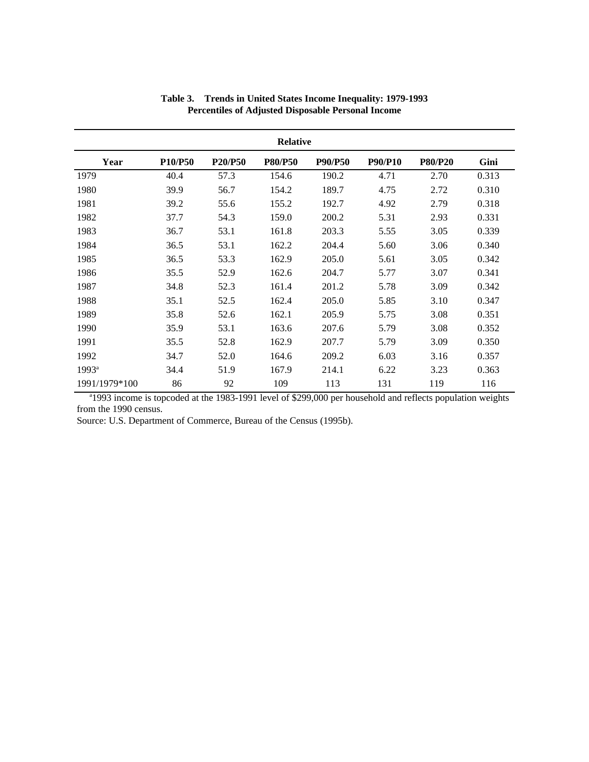| <b>Relative</b> |                |         |                |                |                |                |       |  |  |
|-----------------|----------------|---------|----------------|----------------|----------------|----------------|-------|--|--|
| Year            | <b>P10/P50</b> | P20/P50 | <b>P80/P50</b> | <b>P90/P50</b> | <b>P90/P10</b> | <b>P80/P20</b> | Gini  |  |  |
| 1979            | 40.4           | 57.3    | 154.6          | 190.2          | 4.71           | 2.70           | 0.313 |  |  |
| 1980            | 39.9           | 56.7    | 154.2          | 189.7          | 4.75           | 2.72           | 0.310 |  |  |
| 1981            | 39.2           | 55.6    | 155.2          | 192.7          | 4.92           | 2.79           | 0.318 |  |  |
| 1982            | 37.7           | 54.3    | 159.0          | 200.2          | 5.31           | 2.93           | 0.331 |  |  |
| 1983            | 36.7           | 53.1    | 161.8          | 203.3          | 5.55           | 3.05           | 0.339 |  |  |
| 1984            | 36.5           | 53.1    | 162.2          | 204.4          | 5.60           | 3.06           | 0.340 |  |  |
| 1985            | 36.5           | 53.3    | 162.9          | 205.0          | 5.61           | 3.05           | 0.342 |  |  |
| 1986            | 35.5           | 52.9    | 162.6          | 204.7          | 5.77           | 3.07           | 0.341 |  |  |
| 1987            | 34.8           | 52.3    | 161.4          | 201.2          | 5.78           | 3.09           | 0.342 |  |  |
| 1988            | 35.1           | 52.5    | 162.4          | 205.0          | 5.85           | 3.10           | 0.347 |  |  |
| 1989            | 35.8           | 52.6    | 162.1          | 205.9          | 5.75           | 3.08           | 0.351 |  |  |
| 1990            | 35.9           | 53.1    | 163.6          | 207.6          | 5.79           | 3.08           | 0.352 |  |  |
| 1991            | 35.5           | 52.8    | 162.9          | 207.7          | 5.79           | 3.09           | 0.350 |  |  |
| 1992            | 34.7           | 52.0    | 164.6          | 209.2          | 6.03           | 3.16           | 0.357 |  |  |
| $1993^a$        | 34.4           | 51.9    | 167.9          | 214.1          | 6.22           | 3.23           | 0.363 |  |  |
| 1991/1979*100   | 86             | 92      | 109            | 113            | 131            | 119            | 116   |  |  |

#### **Table 3. Trends in United States Income Inequality: 1979-1993 Percentiles of Adjusted Disposable Personal Income**

<sup>a</sup>1993 income is topcoded at the 1983-1991 level of \$299,000 per household and reflects population weights from the 1990 census.

Source: U.S. Department of Commerce, Bureau of the Census (1995b).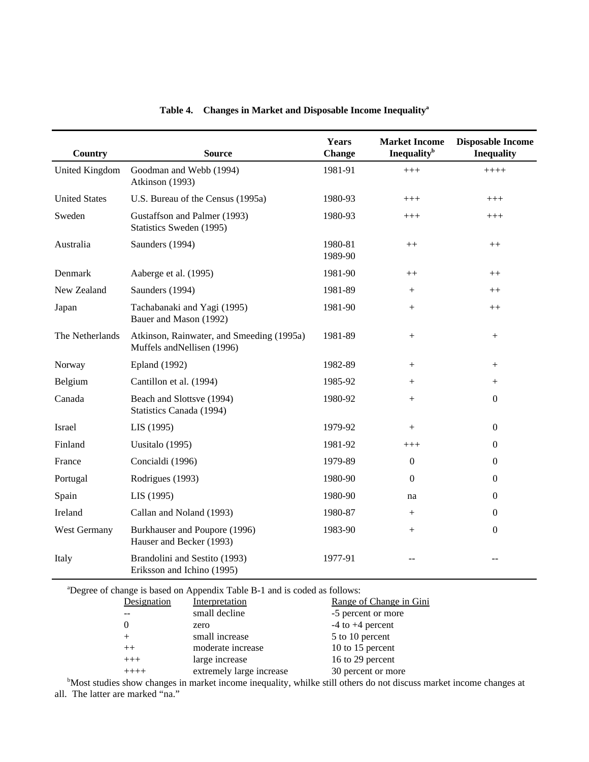| Country              | <b>Source</b>                                                            | Years<br><b>Change</b> | <b>Market Income</b><br><b>Inequality</b> <sup>b</sup> | <b>Disposable Income</b><br><b>Inequality</b> |
|----------------------|--------------------------------------------------------------------------|------------------------|--------------------------------------------------------|-----------------------------------------------|
| United Kingdom       | Goodman and Webb (1994)<br>Atkinson (1993)                               | 1981-91                | $+++$                                                  | $++++$                                        |
| <b>United States</b> | U.S. Bureau of the Census (1995a)                                        | 1980-93                | $+++$                                                  | $+++$                                         |
| Sweden               | Gustaffson and Palmer (1993)<br>Statistics Sweden (1995)                 | 1980-93                | $^{+++}$                                               | $^{+++}$                                      |
| Australia            | Saunders (1994)                                                          | 1980-81<br>1989-90     | $^{++}$                                                | $^{++}$                                       |
| Denmark              | Aaberge et al. (1995)                                                    | 1981-90                | $^{++}$                                                | $^{++}$                                       |
| New Zealand          | Saunders (1994)                                                          | 1981-89                | $^{+}$                                                 | $++$                                          |
| Japan                | Tachabanaki and Yagi (1995)<br>Bauer and Mason (1992)                    | 1981-90                | $\! + \!\!\!\!$                                        | $++$                                          |
| The Netherlands      | Atkinson, Rainwater, and Smeeding (1995a)<br>Muffels and Nellisen (1996) | 1981-89                | $\boldsymbol{+}$                                       | $^{+}$                                        |
| Norway               | <b>Epland</b> (1992)                                                     | 1982-89                | $^{+}$                                                 | $^{+}$                                        |
| Belgium              | Cantillon et al. (1994)                                                  | 1985-92                | $^{+}$                                                 | $^{+}$                                        |
| Canada               | Beach and Slottsve (1994)<br>Statistics Canada (1994)                    | 1980-92                | $^{+}$                                                 | $\mathbf{0}$                                  |
| Israel               | LIS (1995)                                                               | 1979-92                | $\boldsymbol{+}$                                       | $\boldsymbol{0}$                              |
| Finland              | Uusitalo (1995)                                                          | 1981-92                | $^{+++}$                                               | $\boldsymbol{0}$                              |
| France               | Concialdi (1996)                                                         | 1979-89                | $\boldsymbol{0}$                                       | $\boldsymbol{0}$                              |
| Portugal             | Rodrigues (1993)                                                         | 1980-90                | $\boldsymbol{0}$                                       | $\boldsymbol{0}$                              |
| Spain                | LIS (1995)                                                               | 1980-90                | na                                                     | $\boldsymbol{0}$                              |
| Ireland              | Callan and Noland (1993)                                                 | 1980-87                | $^{+}$                                                 | $\boldsymbol{0}$                              |
| West Germany         | Burkhauser and Poupore (1996)<br>Hauser and Becker (1993)                | 1983-90                | $^{+}$                                                 | $\boldsymbol{0}$                              |
| Italy                | Brandolini and Sestito (1993)<br>Eriksson and Ichino (1995)              | 1977-91                |                                                        |                                               |

# **Table 4. Changes in Market and Disposable Income Inequality<sup>a</sup>**

<sup>a</sup>Degree of change is based on Appendix Table B-1 and is coded as follows:

| Designation | Interpretation                                                                                                                                                                                                                  | Range of Change in Gini |
|-------------|---------------------------------------------------------------------------------------------------------------------------------------------------------------------------------------------------------------------------------|-------------------------|
|             | small decline                                                                                                                                                                                                                   | -5 percent or more      |
|             | zero                                                                                                                                                                                                                            | $-4$ to $+4$ percent    |
| $^{+}$      | small increase                                                                                                                                                                                                                  | 5 to 10 percent         |
| $++$        | moderate increase                                                                                                                                                                                                               | 10 to 15 percent        |
| $+++$       | large increase                                                                                                                                                                                                                  | 16 to 29 percent        |
| $+++++$     | extremely large increase                                                                                                                                                                                                        | 30 percent or more      |
|             | $\sim$ . The contract of the contract of the contract of the contract of the contract of the contract of the contract of the contract of the contract of the contract of the contract of the contract of the contract of the co |                         |

<sup>b</sup>Most studies show changes in market income inequality, whilke still others do not discuss market income changes at all. The latter are marked "na."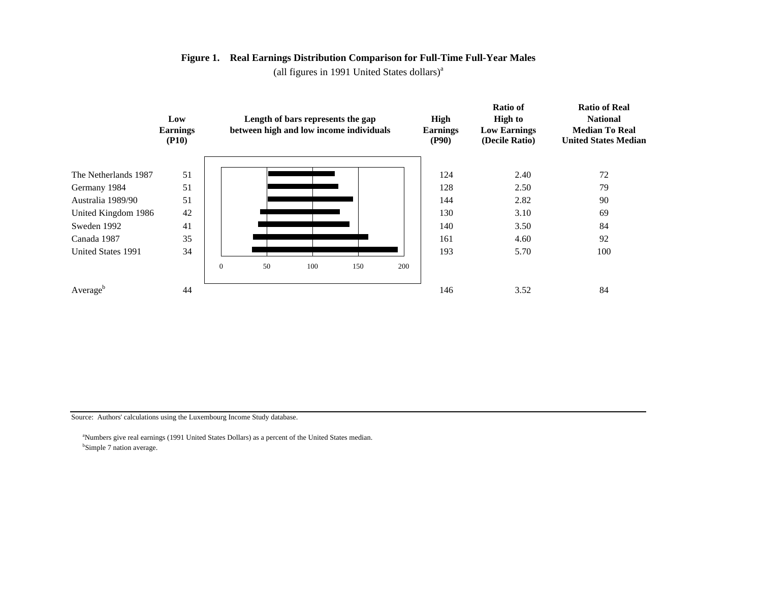#### **Figure 1. Real Earnings Distribution Comparison for Full-Time Full-Year Males**

(all figures in 1991 United States dollars) $a$ 



Source: Authors' calculations using the Luxembourg Income Study database.

<sup>a</sup>Numbers give real earnings (1991 United States Dollars) as a percent of the United States median. <sup>b</sup>Simple 7 nation average.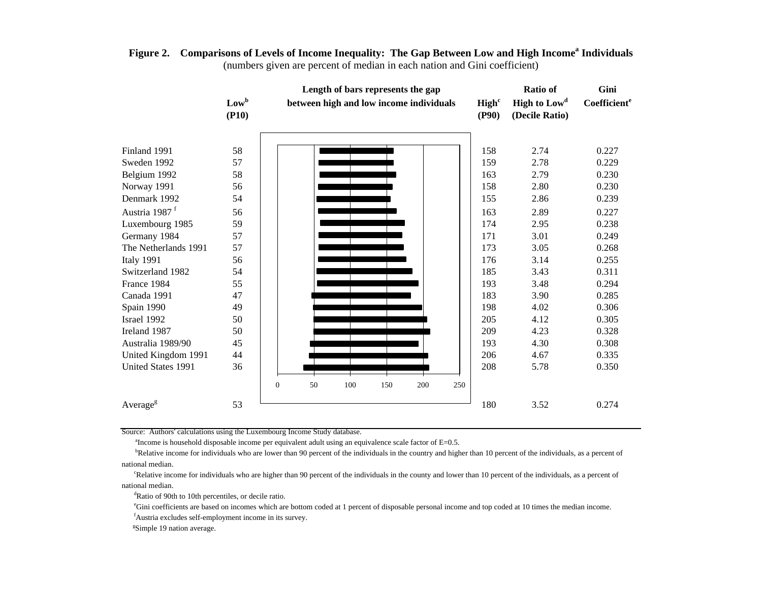|                           |                  | Length of bars represents the gap       |    |     |     |     |                            |                                            | <b>Ratio of</b>          | Gini  |
|---------------------------|------------------|-----------------------------------------|----|-----|-----|-----|----------------------------|--------------------------------------------|--------------------------|-------|
|                           | $Low^b$<br>(P10) | between high and low income individuals |    |     |     |     | High <sup>c</sup><br>(P90) | High to Low <sup>d</sup><br>(Decile Ratio) | Coefficient <sup>e</sup> |       |
|                           |                  |                                         |    |     |     |     |                            |                                            |                          |       |
| Finland 1991              | 58               |                                         |    |     |     |     |                            | 158                                        | 2.74                     | 0.227 |
| Sweden 1992               | 57               |                                         |    |     |     |     |                            | 159                                        | 2.78                     | 0.229 |
| Belgium 1992              | 58               |                                         |    |     |     |     |                            | 163                                        | 2.79                     | 0.230 |
| Norway 1991               | 56               |                                         |    |     |     |     |                            | 158                                        | 2.80                     | 0.230 |
| Denmark 1992              | 54               |                                         |    |     |     |     |                            | 155                                        | 2.86                     | 0.239 |
| Austria 1987 <sup>f</sup> | 56               |                                         |    |     |     |     |                            | 163                                        | 2.89                     | 0.227 |
| Luxembourg 1985           | 59               |                                         |    |     |     |     |                            | 174                                        | 2.95                     | 0.238 |
| Germany 1984              | 57               |                                         |    |     |     |     |                            | 171                                        | 3.01                     | 0.249 |
| The Netherlands 1991      | 57               |                                         |    |     |     |     |                            | 173                                        | 3.05                     | 0.268 |
| Italy 1991                | 56               |                                         |    |     |     |     |                            | 176                                        | 3.14                     | 0.255 |
| Switzerland 1982          | 54               |                                         |    |     |     |     |                            | 185                                        | 3.43                     | 0.311 |
| France 1984               | 55               |                                         |    |     |     |     |                            | 193                                        | 3.48                     | 0.294 |
| Canada 1991               | 47               |                                         |    |     |     |     |                            | 183                                        | 3.90                     | 0.285 |
| Spain 1990                | 49               |                                         |    |     |     |     |                            | 198                                        | 4.02                     | 0.306 |
| Israel 1992               | 50               |                                         |    |     |     |     |                            | 205                                        | 4.12                     | 0.305 |
| Ireland 1987              | 50               |                                         |    |     |     |     |                            | 209                                        | 4.23                     | 0.328 |
| Australia 1989/90         | 45               |                                         |    |     |     |     |                            | 193                                        | 4.30                     | 0.308 |
| United Kingdom 1991       | 44               |                                         |    |     |     |     |                            | 206                                        | 4.67                     | 0.335 |
| United States 1991        | 36               |                                         |    |     |     |     |                            | 208                                        | 5.78                     | 0.350 |
|                           |                  | $\mathbf{0}$                            | 50 | 100 | 150 | 200 | 250                        |                                            |                          |       |
| Average <sup>g</sup>      | 53               |                                         |    |     |     |     |                            | 180                                        | 3.52                     | 0.274 |

#### **Figure 2. Comparisons of Levels of Income Inequality: The Gap Between Low and High Income<sup>a</sup> Individuals** (numbers given are percent of median in each nation and Gini coefficient)

Source: Authors' calculations using the Luxembourg Income Study database.

 $a$ Income is household disposable income per equivalent adult using an equivalence scale factor of  $E=0.5$ .

bRelative income for individuals who are lower than 90 percent of the individuals in the country and higher than 10 percent of the individuals, as a percent of national median.

<sup>c</sup>Relative income for individuals who are higher than 90 percent of the individuals in the county and lower than 10 percent of the individuals, as a percent of national median.

<sup>d</sup>Ratio of 90th to 10th percentiles, or decile ratio.

<sup>e</sup>Gini coefficients are based on incomes which are bottom coded at 1 percent of disposable personal income and top coded at 10 times the median income. <sup>f</sup>Austria excludes self-employment income in its survey.

<sup>g</sup>Simple 19 nation average.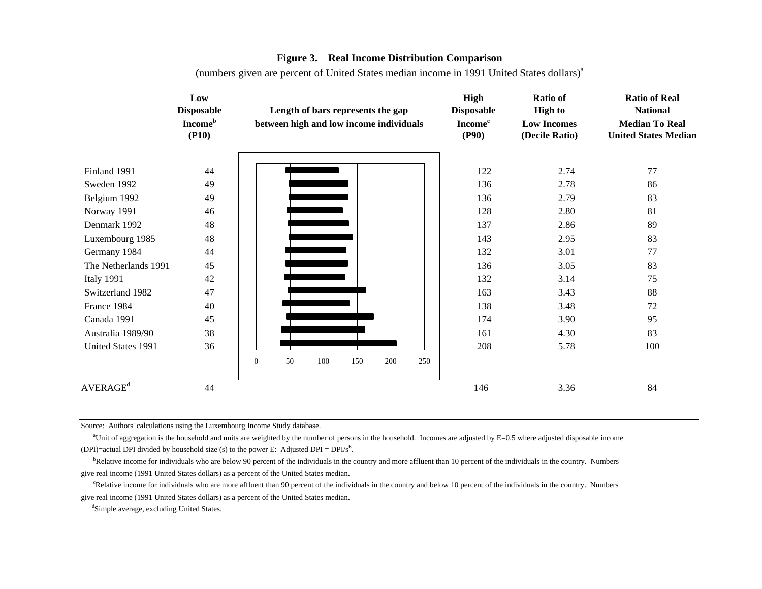#### **Figure 3. Real Income Distribution Comparison**

(numbers given are percent of United States median income in 1991 United States dollars)<sup>a</sup>

|                               | Low<br><b>Disposable</b>            |                  |    |     |     | Length of bars represents the gap       |     | High<br><b>Disposable</b>           | <b>Ratio of</b><br><b>High to</b>    |  | <b>Ratio of Real</b><br><b>National</b>              |  |
|-------------------------------|-------------------------------------|------------------|----|-----|-----|-----------------------------------------|-----|-------------------------------------|--------------------------------------|--|------------------------------------------------------|--|
|                               | <b>Income</b> <sup>b</sup><br>(P10) |                  |    |     |     | between high and low income individuals |     | <b>Income</b> <sup>c</sup><br>(P90) | <b>Low Incomes</b><br>(Decile Ratio) |  | <b>Median To Real</b><br><b>United States Median</b> |  |
| Finland 1991                  | 44                                  |                  |    |     |     |                                         |     | 122                                 | 2.74                                 |  | 77                                                   |  |
|                               |                                     |                  |    |     |     |                                         |     |                                     |                                      |  |                                                      |  |
| Sweden 1992                   | 49                                  |                  |    |     |     |                                         |     | 136                                 | 2.78                                 |  | 86                                                   |  |
| Belgium 1992                  | 49                                  |                  |    |     |     |                                         |     | 136                                 | 2.79                                 |  | 83                                                   |  |
| Norway 1991                   | 46                                  |                  |    |     |     |                                         |     | 128                                 | 2.80                                 |  | 81                                                   |  |
| Denmark 1992                  | 48                                  |                  |    |     |     |                                         |     | 137                                 | 2.86                                 |  | 89                                                   |  |
| Luxembourg 1985               | 48                                  |                  |    |     |     |                                         |     | 143                                 | 2.95                                 |  | 83                                                   |  |
| Germany 1984                  | 44                                  |                  |    |     |     |                                         |     | 132                                 | 3.01                                 |  | 77                                                   |  |
| The Netherlands 1991          | 45                                  |                  |    |     |     |                                         |     | 136                                 | 3.05                                 |  | 83                                                   |  |
| <b>Italy 1991</b>             | 42                                  |                  |    |     |     |                                         |     | 132                                 | 3.14                                 |  | 75                                                   |  |
| Switzerland 1982              | 47                                  |                  |    |     |     |                                         |     | 163                                 | 3.43                                 |  | 88                                                   |  |
| France 1984                   | 40                                  |                  |    |     |     |                                         |     | 138                                 | 3.48                                 |  | 72                                                   |  |
| Canada 1991                   | 45                                  |                  |    |     |     |                                         |     | 174                                 | 3.90                                 |  | 95                                                   |  |
| Australia 1989/90             | 38                                  |                  |    |     |     |                                         |     | 161                                 | 4.30                                 |  | 83                                                   |  |
| United States 1991            | 36                                  | $\boldsymbol{0}$ | 50 | 100 | 150 | 200                                     | 250 | 208                                 | 5.78                                 |  | 100                                                  |  |
|                               |                                     |                  |    |     |     |                                         |     |                                     |                                      |  |                                                      |  |
| $\mathsf{AVERAGE}^\mathsf{d}$ | 44                                  |                  |    |     |     |                                         |     | 146                                 | 3.36                                 |  | 84                                                   |  |

Source: Authors' calculations using the Luxembourg Income Study database.

<sup>a</sup>Unit of aggregation is the household and units are weighted by the number of persons in the household. Incomes are adjusted by  $E=0.5$  where adjusted disposable income (DPI)=actual DPI divided by household size (s) to the power E: Adjusted DPI =  $DPI/s<sup>E</sup>$ .

<sup>b</sup>Relative income for individuals who are below 90 percent of the individuals in the country and more affluent than 10 percent of the individuals in the country. Numbers give real income (1991 United States dollars) as a percent of the United States median.

<sup>c</sup>Relative income for individuals who are more affluent than 90 percent of the individuals in the country and below 10 percent of the individuals in the country. Numbers give real income (1991 United States dollars) as a percent of the United States median.

<sup>d</sup>Simple average, excluding United States.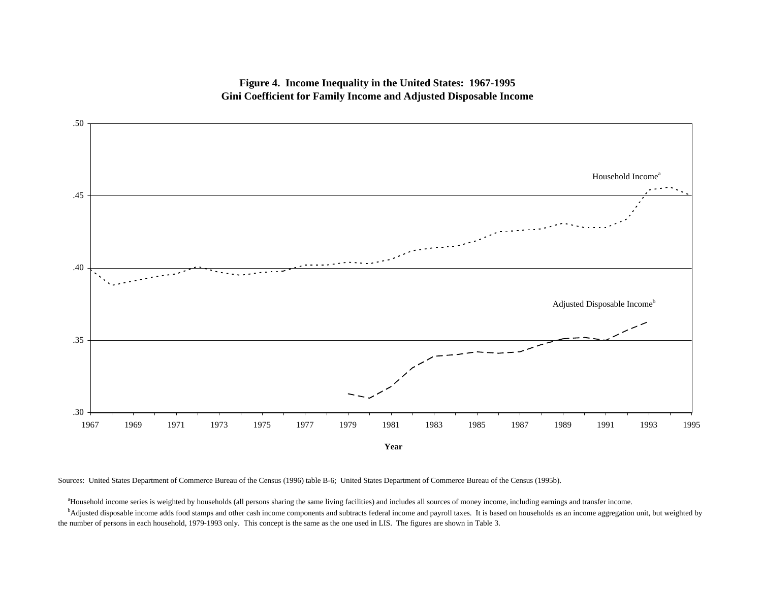**Figure 4. Income Inequality in the United States: 1967-1995 Gini Coefficient for Family Income and Adjusted Disposable Income**



Sources: United States Department of Commerce Bureau of the Census (1996) table B-6; United States Department of Commerce Bureau of the Census (1995b).

<sup>a</sup>Household income series is weighted by households (all persons sharing the same living facilities) and includes all sources of money income, including earnings and transfer income.

<sup>b</sup>Adjusted disposable income adds food stamps and other cash income components and subtracts federal income and payroll taxes. It is based on households as an income aggregation unit, but weighted by the number of persons in each household, 1979-1993 only. This concept is the same as the one used in LIS. The figures are shown in Table 3.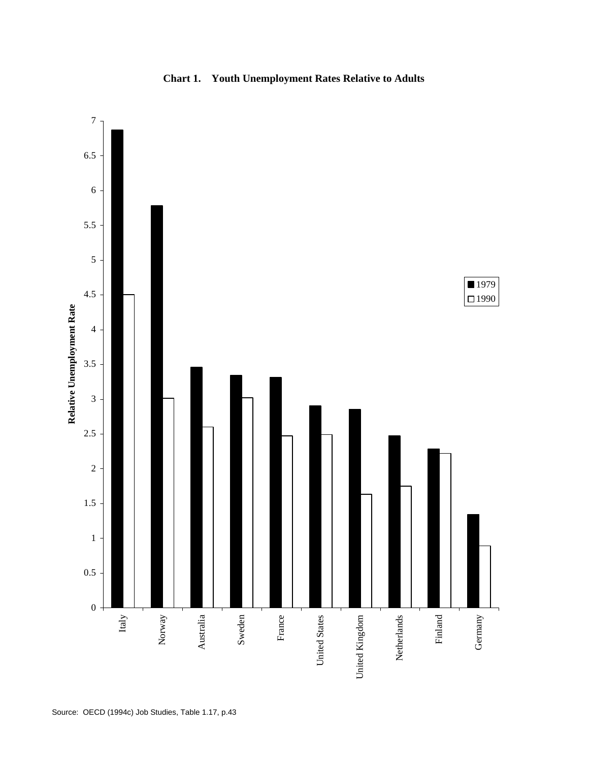

### **Chart 1. Youth Unemployment Rates Relative to Adults**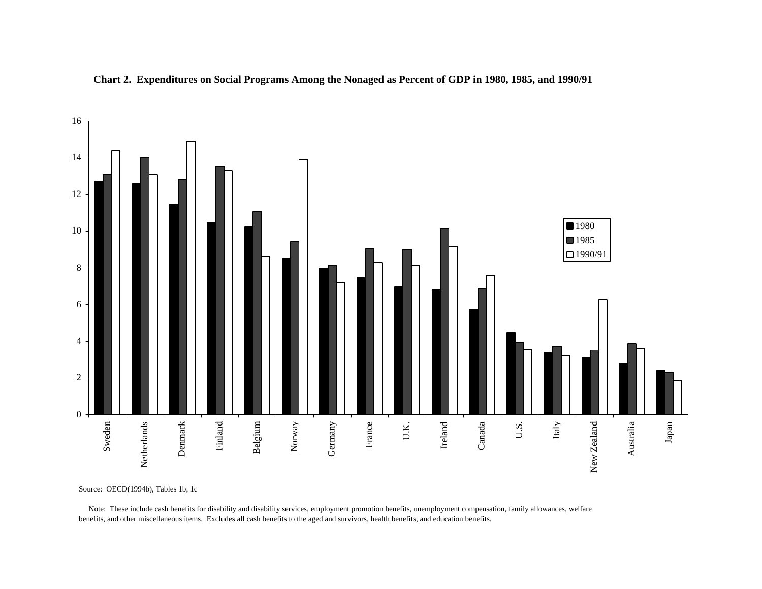



Source: OECD(1994b), Tables 1b, 1c

 Note: These include cash benefits for disability and disability services, employment promotion benefits, unemployment compensation, family allowances, welfare benefits, and other miscellaneous items. Excludes all cash benefits to the aged and survivors, health benefits, and education benefits.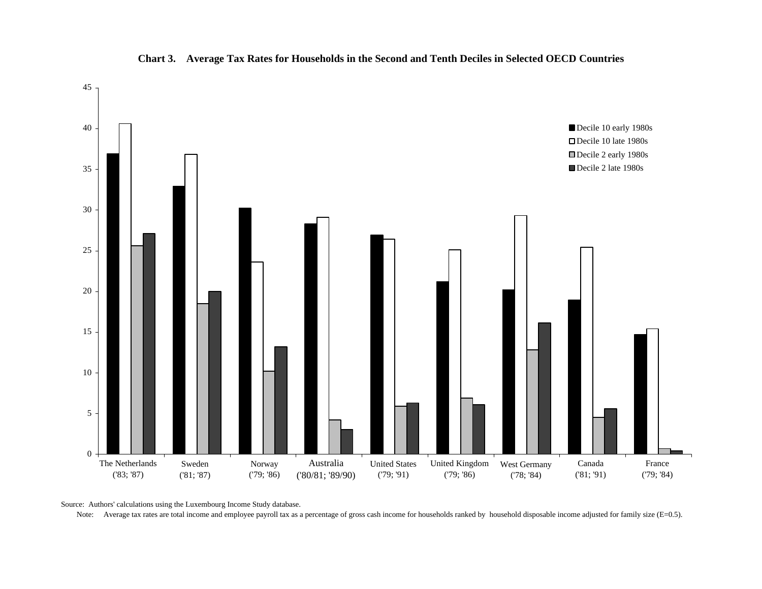

#### **Chart 3. Average Tax Rates for Households in the Second and Tenth Deciles in Selected OECD Countries**

Source: Authors' calculations using the Luxembourg Income Study database.

Note: Average tax rates are total income and employee payroll tax as a percentage of gross cash income for households ranked by household disposable income adjusted for family size (E=0.5).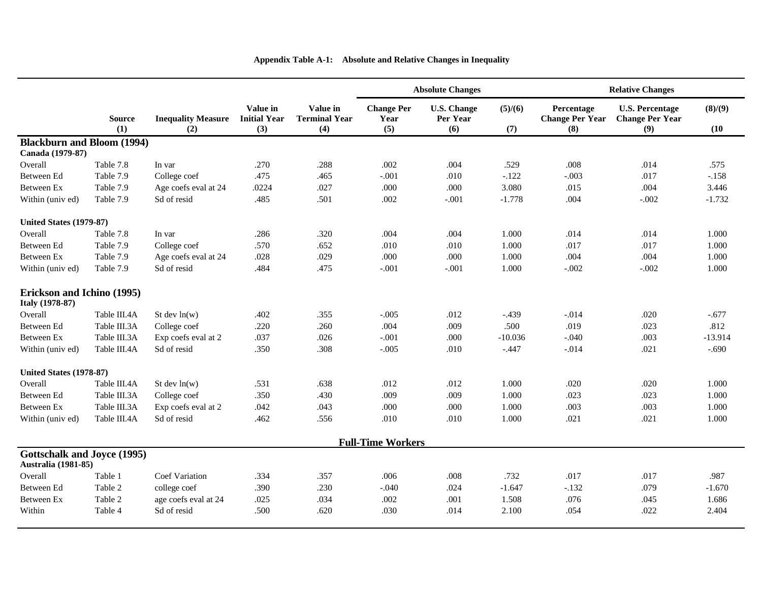|                                                                  |                      |                                  |                                        |                                         |                                  | <b>Absolute Changes</b>               |                |                                             | <b>Relative Changes</b>                                 |                 |
|------------------------------------------------------------------|----------------------|----------------------------------|----------------------------------------|-----------------------------------------|----------------------------------|---------------------------------------|----------------|---------------------------------------------|---------------------------------------------------------|-----------------|
|                                                                  | <b>Source</b><br>(1) | <b>Inequality Measure</b><br>(2) | Value in<br><b>Initial Year</b><br>(3) | Value in<br><b>Terminal Year</b><br>(4) | <b>Change Per</b><br>Year<br>(5) | <b>U.S. Change</b><br>Per Year<br>(6) | (5)/(6)<br>(7) | Percentage<br><b>Change Per Year</b><br>(8) | <b>U.S. Percentage</b><br><b>Change Per Year</b><br>(9) | (8)/(9)<br>(10) |
| <b>Blackburn and Bloom (1994)</b>                                |                      |                                  |                                        |                                         |                                  |                                       |                |                                             |                                                         |                 |
| Canada (1979-87)                                                 |                      |                                  |                                        |                                         |                                  |                                       |                |                                             |                                                         |                 |
| Overall                                                          | Table 7.8            | In var                           | .270                                   |                                         | .002                             | .004                                  | .529           | .008                                        | .014                                                    | .575            |
| Between Ed                                                       | Table 7.9            | College coef                     | .475                                   | .465                                    | $-.001$                          | .010                                  | $-.122$        | $-.003$                                     | .017                                                    | $-.158$         |
| Between Ex                                                       | Table 7.9            | Age coefs eval at 24             | .0224                                  | .027                                    | .000                             | .000                                  | 3.080          | .015                                        | .004                                                    | 3.446           |
| Within (univ ed)                                                 | Table 7.9            | Sd of resid                      | .485                                   | .501                                    | .002                             | $-.001$                               | $-1.778$       | .004                                        | $-.002$                                                 | $-1.732$        |
| <b>United States (1979-87)</b>                                   |                      |                                  |                                        |                                         |                                  |                                       |                |                                             |                                                         |                 |
| Overall                                                          | Table 7.8            | In var                           | .286                                   | .320                                    | .004                             | .004                                  | 1.000          | .014                                        | .014                                                    | 1.000           |
| Between Ed                                                       | Table 7.9            | College coef                     | .570                                   | .652                                    | .010<br>.010                     |                                       | 1.000          | .017                                        | .017                                                    | 1.000           |
| Between Ex                                                       | Table 7.9            | Age coefs eval at 24             | .028                                   | .029                                    | .000                             | .000                                  | 1.000          | .004                                        | .004                                                    | 1.000           |
| Within (univ ed)                                                 | Table 7.9            | Sd of resid                      | .484                                   | .475                                    | $-.001$                          | $-.001$                               | 1.000          | $-.002$                                     | $-.002$                                                 | 1.000           |
| Erickson and Ichino (1995)<br><b>Italy</b> (1978-87)             |                      |                                  |                                        |                                         |                                  |                                       |                |                                             |                                                         |                 |
| Overall                                                          | Table III.4A         | St dev $ln(w)$                   | .402                                   | .355                                    | $-.005$                          | .012                                  | $-.439$        | $-.014$                                     | .020                                                    | $-.677$         |
| Between Ed                                                       | Table III.3A         | College coef                     | .220                                   | .260                                    | .004                             | .009                                  | .500           | .019                                        | .023                                                    | .812            |
| Between Ex                                                       | Table III.3A         | Exp coefs eval at 2              | .037                                   | .026                                    | $-.001$                          | .000                                  | $-10.036$      | $-.040$                                     | .003                                                    | $-13.914$       |
| Within (univ ed)                                                 | Table III.4A         | Sd of resid                      | .350                                   | .308                                    | $-.005$                          | .010                                  | $-.447$        | $-0.014$                                    | .021                                                    | $-.690$         |
| <b>United States (1978-87)</b>                                   |                      |                                  |                                        |                                         |                                  |                                       |                |                                             |                                                         |                 |
| Overall                                                          | Table III.4A         | St dev $ln(w)$                   | .531                                   | .638                                    | .012                             | .012                                  | 1.000          | .020                                        | .020                                                    | 1.000           |
| Between Ed                                                       | Table III.3A         | College coef                     | .350                                   | .430                                    | .009                             | .009                                  | 1.000          | .023                                        | .023                                                    | 1.000           |
| Between Ex                                                       | Table III.3A         | Exp coefs eval at 2              | .042                                   | .043                                    | .000                             | .000                                  | 1.000<br>.003  |                                             | .003                                                    | 1.000           |
| Within (univ ed)                                                 | Table III.4A         | Sd of resid                      | .462                                   | .556                                    | .010                             | .010                                  | 1.000          | .021                                        | .021                                                    | 1.000           |
|                                                                  |                      |                                  |                                        |                                         | <b>Full-Time Workers</b>         |                                       |                |                                             |                                                         |                 |
| <b>Gottschalk and Joyce (1995)</b><br><b>Australia</b> (1981-85) |                      |                                  |                                        |                                         |                                  |                                       |                |                                             |                                                         |                 |
| Overall                                                          | Table 1              | <b>Coef Variation</b>            | .334                                   | .357                                    | .006                             | .008                                  | .732           | .017                                        | .017                                                    | .987            |
| Between Ed                                                       | Table 2              | college coef                     | .390                                   | .230                                    | $-.040$                          | .024                                  | $-1.647$       | $-.132$                                     | .079                                                    | $-1.670$        |
| <b>Between Ex</b>                                                | Table 2              | age coefs eval at 24             | .025                                   | .034                                    | .002                             | .001                                  | 1.508          | .076                                        | .045                                                    | 1.686           |
| Within                                                           | Table 4              | Sd of resid                      | .500                                   | .620                                    | .030                             | .014                                  | 2.100          | .054                                        | .022                                                    | 2.404           |

### **Appendix Table A-1: Absolute and Relative Changes in Inequality**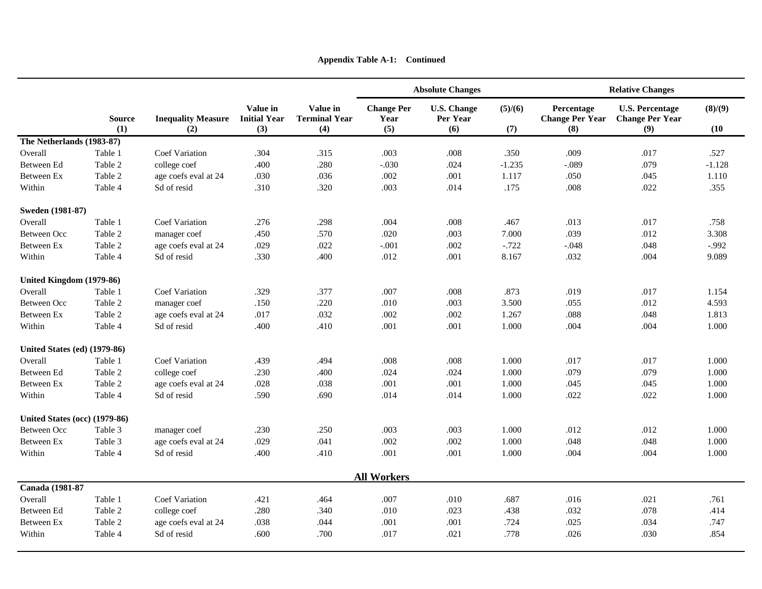|                                     |                      |                                  |                                        |                                         |                                  | <b>Absolute Changes</b>               |                | <b>Relative Changes</b>                     |                                                         |                 |  |  |
|-------------------------------------|----------------------|----------------------------------|----------------------------------------|-----------------------------------------|----------------------------------|---------------------------------------|----------------|---------------------------------------------|---------------------------------------------------------|-----------------|--|--|
|                                     | <b>Source</b><br>(1) | <b>Inequality Measure</b><br>(2) | Value in<br><b>Initial Year</b><br>(3) | Value in<br><b>Terminal Year</b><br>(4) | <b>Change Per</b><br>Year<br>(5) | <b>U.S. Change</b><br>Per Year<br>(6) | (5)/(6)<br>(7) | Percentage<br><b>Change Per Year</b><br>(8) | <b>U.S. Percentage</b><br><b>Change Per Year</b><br>(9) | (8)/(9)<br>(10) |  |  |
| The Netherlands (1983-87)           |                      |                                  |                                        |                                         |                                  |                                       |                |                                             |                                                         |                 |  |  |
| Overall                             | Table 1              | <b>Coef Variation</b><br>.304    |                                        | .315                                    | .003<br>.008                     |                                       | .350           | .009                                        | .017                                                    | .527            |  |  |
| Between Ed                          | Table 2              | college coef                     | .400<br>.280                           |                                         | $-.030$                          | .024                                  | $-1.235$       | $-.089$                                     | .079                                                    | $-1.128$        |  |  |
| Between Ex                          | Table 2              | age coefs eval at 24             | .030                                   | .036                                    | .002                             | .001                                  | 1.117          | .050                                        | .045                                                    | 1.110           |  |  |
| Within                              | Table 4              | Sd of resid                      | .310                                   | .320                                    | .003                             | .014                                  | .175           | .008                                        | .022                                                    | .355            |  |  |
| Sweden (1981-87)                    |                      |                                  |                                        |                                         |                                  |                                       |                |                                             |                                                         |                 |  |  |
| Overall                             | Table 1              | <b>Coef Variation</b>            | .276                                   | .298                                    | .004                             | .008                                  | .467           | .013                                        | .017                                                    | .758            |  |  |
| <b>Between Occ</b>                  | Table 2              | manager coef                     | .450                                   | .570                                    | .020                             | .003                                  | 7.000          | .039                                        | .012                                                    | 3.308           |  |  |
| Between Ex                          | Table 2              | age coefs eval at 24             | .029                                   | .022                                    | $-.001$                          | .002                                  | $-.722$        | $-.048$                                     | .048                                                    | $-.992$         |  |  |
| Within                              | Table 4              | Sd of resid                      | .330                                   | .400                                    | .012                             | .001                                  | 8.167          | .032                                        | .004                                                    | 9.089           |  |  |
| United Kingdom (1979-86)            |                      |                                  |                                        |                                         |                                  |                                       |                |                                             |                                                         |                 |  |  |
| Overall                             | Table 1              | <b>Coef Variation</b>            | .329                                   | .377                                    | .007                             | .008                                  | .873           | .019                                        | .017                                                    | 1.154           |  |  |
| Between Occ                         | Table 2              | manager coef                     | .150                                   | .220                                    | .010                             | .003                                  | 3.500          | .055                                        | .012                                                    | 4.593           |  |  |
| <b>Between Ex</b>                   | Table 2              | age coefs eval at 24             | .017                                   | .032                                    | .002                             | .002                                  | 1.267          | .088                                        | .048                                                    | 1.813           |  |  |
| Within                              | Table 4              | Sd of resid                      | .400                                   | .410                                    | .001                             | .001                                  | 1.000          | .004                                        | .004                                                    | 1.000           |  |  |
| <b>United States (ed) (1979-86)</b> |                      |                                  |                                        |                                         |                                  |                                       |                |                                             |                                                         |                 |  |  |
| Overall                             | Table 1              | <b>Coef Variation</b>            | .439                                   | .494                                    | .008                             | .008                                  | 1.000          | .017                                        | .017                                                    | 1.000           |  |  |
| Between Ed                          | Table 2              | college coef                     | .230                                   | .400                                    | .024                             | .024                                  | 1.000          | .079                                        | .079                                                    | 1.000           |  |  |
| Between Ex                          | Table 2              | age coefs eval at 24             | .028                                   | .038                                    | .001                             | .001                                  | 1.000          | .045                                        | .045                                                    | 1.000           |  |  |
| Within                              | Table 4              | Sd of resid                      | .590                                   | .690                                    | .014                             | .014                                  | 1.000          | .022                                        | .022                                                    | 1.000           |  |  |
| United States (occ) (1979-86)       |                      |                                  |                                        |                                         |                                  |                                       |                |                                             |                                                         |                 |  |  |
| <b>Between Occ</b>                  | Table 3              | manager coef                     | .230                                   | .250                                    | .003                             | .003                                  | 1.000          | .012                                        | .012                                                    | 1.000           |  |  |
| <b>Between Ex</b>                   | Table 3              | age coefs eval at 24             | .029                                   | .041                                    | .002                             | .002                                  | 1.000          | .048                                        | .048                                                    | 1.000           |  |  |
| Within                              | Table 4              | Sd of resid                      | .400                                   | .410                                    | .001                             | .001                                  | 1.000          | .004                                        | .004                                                    | 1.000           |  |  |
|                                     |                      |                                  |                                        |                                         | <b>All Workers</b>               |                                       |                |                                             |                                                         |                 |  |  |
| Canada (1981-87                     |                      |                                  |                                        |                                         |                                  |                                       |                |                                             |                                                         |                 |  |  |
| Overall                             | Table 1              | <b>Coef Variation</b>            | .421                                   | .464                                    | .007                             | .010                                  | .687           | .016                                        | .021                                                    | .761            |  |  |
| Between Ed                          | Table 2              | college coef                     | .280                                   | .340                                    | .010                             | .023                                  | .438           | .032                                        | .078                                                    | .414            |  |  |
| Between Ex                          | Table 2              | age coefs eval at 24             | .038                                   | .044                                    | .001                             | .001                                  | .724           | .025                                        | .034                                                    | .747            |  |  |
| Within                              | Table 4              | Sd of resid                      | .600                                   | .700                                    | .017                             | .021<br>.778<br>.026                  |                |                                             | .030                                                    | .854            |  |  |

**Appendix Table A-1: Continued**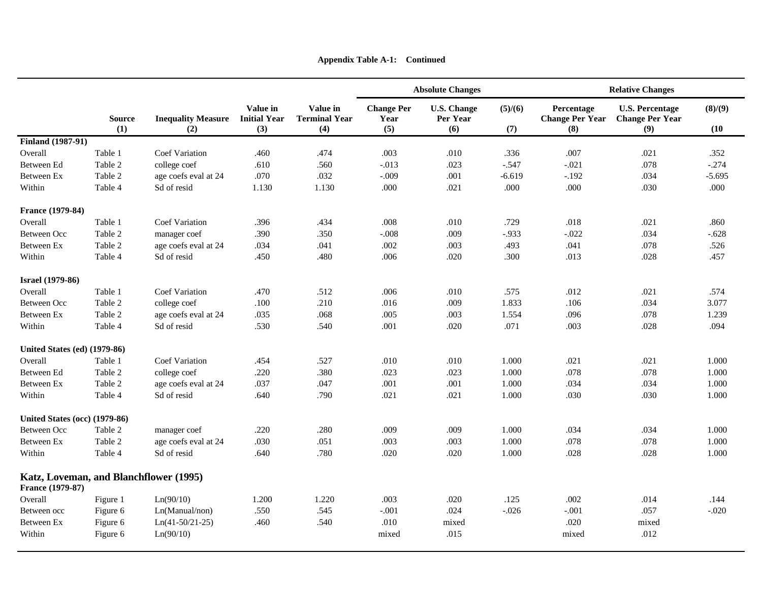|                                                            |                                  |                                  |                                        |                                         |                                  | <b>Absolute Changes</b>               |                | <b>Relative Changes</b>                     |                                                         |                 |  |  |
|------------------------------------------------------------|----------------------------------|----------------------------------|----------------------------------------|-----------------------------------------|----------------------------------|---------------------------------------|----------------|---------------------------------------------|---------------------------------------------------------|-----------------|--|--|
|                                                            | <b>Source</b><br>(1)             | <b>Inequality Measure</b><br>(2) | Value in<br><b>Initial Year</b><br>(3) | Value in<br><b>Terminal Year</b><br>(4) | <b>Change Per</b><br>Year<br>(5) | <b>U.S. Change</b><br>Per Year<br>(6) | (5)/(6)<br>(7) | Percentage<br><b>Change Per Year</b><br>(8) | <b>U.S. Percentage</b><br><b>Change Per Year</b><br>(9) | (8)/(9)<br>(10) |  |  |
| <b>Finland</b> (1987-91)                                   |                                  |                                  |                                        |                                         |                                  |                                       |                |                                             |                                                         |                 |  |  |
| Overall                                                    | Table 1<br><b>Coef Variation</b> |                                  | .460                                   | .474                                    | .003                             | .010                                  | .336           | .007                                        | .021                                                    | .352            |  |  |
| Between Ed                                                 | Table 2                          | college coef                     | .610                                   | .560                                    | $-.013$                          | .023                                  | $-.547$        | $-.021$                                     | .078                                                    | $-.274$         |  |  |
| Between Ex                                                 | Table 2                          | age coefs eval at 24             | .070                                   | .032                                    | $-.009$                          | .001                                  | $-6.619$       | $-.192$                                     | .034                                                    | $-5.695$        |  |  |
| Within                                                     | Table 4                          | Sd of resid                      | 1.130                                  | 1.130                                   | .000                             | .021                                  | .000           | .000                                        | .030                                                    | .000            |  |  |
| France (1979-84)                                           |                                  |                                  |                                        |                                         |                                  |                                       |                |                                             |                                                         |                 |  |  |
| Overall                                                    | Table 1                          | <b>Coef Variation</b>            | .396                                   | .434                                    | .008                             | .010                                  | .729           | .018                                        | .021                                                    | .860            |  |  |
| <b>Between Occ</b>                                         | Table 2                          | manager coef                     | .390                                   | .350                                    | $-.008$                          | .009                                  | $-.933$        | $-.022$                                     | .034                                                    | $-.628$         |  |  |
| Between Ex                                                 | Table 2                          | age coefs eval at 24             | .034                                   | .041                                    | .002                             | .003                                  | .493           | .041                                        | .078                                                    | .526            |  |  |
| Within                                                     | Table 4                          | Sd of resid                      | .450                                   | .480                                    | .006                             | .020                                  | .300           | .013                                        | .028                                                    | .457            |  |  |
| <b>Israel</b> (1979-86)                                    |                                  |                                  |                                        |                                         |                                  |                                       |                |                                             |                                                         |                 |  |  |
| Overall                                                    | Table 1                          | Coef Variation                   | .470                                   | .512                                    | .006                             | .010                                  | .575           | .012                                        | .021                                                    | .574            |  |  |
| Between Occ                                                | Table 2                          | college coef                     | .100                                   | .210                                    | .016                             | .009                                  | 1.833          | .106                                        | .034                                                    | 3.077           |  |  |
| Between Ex                                                 | Table 2                          | age coefs eval at 24             | .035                                   | .068                                    | .005                             | .003                                  |                | .096                                        | .078                                                    | 1.239           |  |  |
| Within                                                     | Table 4                          | Sd of resid                      | .530                                   | .540                                    | .001                             | .020                                  | .071           | .003                                        | .028                                                    | .094            |  |  |
| <b>United States (ed) (1979-86)</b>                        |                                  |                                  |                                        |                                         |                                  |                                       |                |                                             |                                                         |                 |  |  |
| Overall                                                    | Table 1                          | <b>Coef Variation</b>            | .454                                   | .527                                    | .010                             | .010                                  | 1.000          | .021                                        | .021                                                    | 1.000           |  |  |
| Between Ed                                                 | Table 2                          | college coef                     | .220                                   | .380                                    | .023                             | .023                                  | 1.000          | .078                                        | .078                                                    | 1.000           |  |  |
| Between Ex                                                 | Table 2                          | age coefs eval at 24             | .037                                   | .047                                    | .001                             | .001                                  | 1.000          | .034                                        | .034                                                    | 1.000           |  |  |
| Within                                                     | Table 4                          | Sd of resid                      | .640                                   | .790                                    | .021                             | .021                                  | 1.000          | .030                                        | .030                                                    | 1.000           |  |  |
| United States (occ) (1979-86)                              |                                  |                                  |                                        |                                         |                                  |                                       |                |                                             |                                                         |                 |  |  |
| <b>Between Occ</b>                                         | Table 2                          | manager coef                     | .220                                   | .280                                    | .009                             | .009                                  | 1.000          | .034                                        | .034                                                    | 1.000           |  |  |
| <b>Between Ex</b>                                          | Table 2                          | age coefs eval at 24             | .030                                   | .051                                    | .003                             | .003                                  | 1.000          | .078                                        | .078                                                    | 1.000           |  |  |
| Within                                                     | Table 4                          | Sd of resid                      | .640                                   | .780                                    | .020                             | .020                                  | 1.000          | .028                                        | .028                                                    | 1.000           |  |  |
| Katz, Loveman, and Blanchflower (1995)<br>France (1979-87) |                                  |                                  |                                        |                                         |                                  |                                       |                |                                             |                                                         |                 |  |  |
| Overall                                                    | Figure 1                         | Ln(90/10)                        | 1.200                                  | 1.220                                   | .003                             | .020                                  | .125           | .002                                        | .014                                                    | .144            |  |  |
| Between occ                                                | Figure 6                         | Ln(Manual/non)                   | .550                                   | .545                                    | $-.001$                          | .024                                  | $-.026$        | $-.001$                                     | .057                                                    | $-.020$         |  |  |
| Between Ex                                                 | Figure 6                         | $Ln(41-50/21-25)$                | .460                                   | .540                                    | .010                             | mixed                                 |                | .020                                        | mixed                                                   |                 |  |  |
| Within                                                     | Figure 6                         | Ln(90/10)                        |                                        |                                         | mixed                            | .015                                  |                | mixed                                       | .012                                                    |                 |  |  |

**Appendix Table A-1: Continued**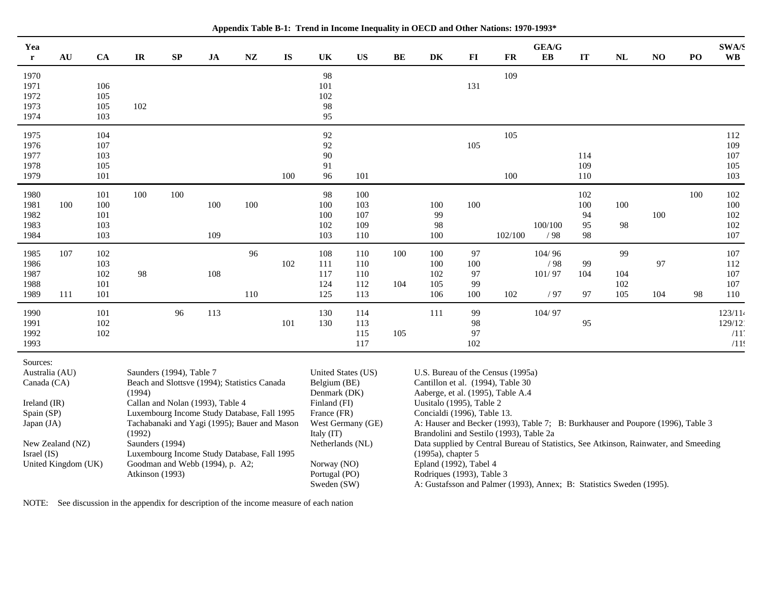| Yea<br>$\mathbf{r}$        | AU                                                                                                                                | CA         | $\ensuremath{\mathbf{IR}}\xspace$ | $\mathbf{S}\mathbf{P}$                                                         | $\mathbf{JA}$ | ${\bf N}{\bf Z}$                                                                                                           | <b>IS</b> | UK                                                            | <b>US</b>          | BE                                                                   | DK                                           | $\bf{FI}$ | <b>FR</b>                                                                            | GEA/G<br>EB   | IT        | NL  | NO  | PO  | <b>SWA/S</b><br><b>WB</b> |
|----------------------------|-----------------------------------------------------------------------------------------------------------------------------------|------------|-----------------------------------|--------------------------------------------------------------------------------|---------------|----------------------------------------------------------------------------------------------------------------------------|-----------|---------------------------------------------------------------|--------------------|----------------------------------------------------------------------|----------------------------------------------|-----------|--------------------------------------------------------------------------------------|---------------|-----------|-----|-----|-----|---------------------------|
| 1970                       |                                                                                                                                   |            |                                   |                                                                                |               |                                                                                                                            |           | 98                                                            |                    |                                                                      |                                              |           | 109                                                                                  |               |           |     |     |     |                           |
| 1971<br>1972               |                                                                                                                                   | 106<br>105 |                                   |                                                                                |               |                                                                                                                            |           | 101<br>102                                                    |                    |                                                                      |                                              | 131       |                                                                                      |               |           |     |     |     |                           |
| 1973                       |                                                                                                                                   | 105        | 102                               |                                                                                |               |                                                                                                                            |           | 98                                                            |                    |                                                                      |                                              |           |                                                                                      |               |           |     |     |     |                           |
| 1974                       |                                                                                                                                   | 103        |                                   |                                                                                |               |                                                                                                                            |           | 95                                                            |                    |                                                                      |                                              |           |                                                                                      |               |           |     |     |     |                           |
| 1975                       |                                                                                                                                   | 104        |                                   |                                                                                |               |                                                                                                                            |           | 92                                                            |                    |                                                                      |                                              |           | 105                                                                                  |               |           |     |     |     | 112                       |
| 1976<br>1977               |                                                                                                                                   | 107<br>103 |                                   |                                                                                |               |                                                                                                                            |           | 92<br>90                                                      |                    |                                                                      |                                              | 105       |                                                                                      |               | 114       |     |     |     | 109<br>107                |
| 1978                       |                                                                                                                                   | 105        |                                   |                                                                                |               |                                                                                                                            |           | 91                                                            |                    |                                                                      |                                              |           |                                                                                      |               | 109       |     |     |     | 105                       |
| 1979                       |                                                                                                                                   | 101        |                                   |                                                                                |               |                                                                                                                            | 100       | 96                                                            | 101                |                                                                      |                                              |           | 100                                                                                  |               | 110       |     |     |     | 103                       |
| 1980                       |                                                                                                                                   | 101        | 100                               | 100                                                                            |               |                                                                                                                            |           | 98                                                            | 100                |                                                                      |                                              |           |                                                                                      |               | 102       |     |     | 100 | 102                       |
| 1981<br>1982               | 100                                                                                                                               | 100<br>101 |                                   |                                                                                | 100           | 100                                                                                                                        |           | 100<br>100                                                    | 103<br>107         |                                                                      | 100<br>99                                    | 100       |                                                                                      |               | 100<br>94 | 100 | 100 |     | 100<br>102                |
| 1983                       |                                                                                                                                   | 103        |                                   |                                                                                |               |                                                                                                                            |           | 102                                                           | 109                |                                                                      | 98                                           |           |                                                                                      | 100/100       | 95        | 98  |     |     | 102                       |
| 1984                       |                                                                                                                                   | 103        |                                   |                                                                                | 109           |                                                                                                                            |           | 103                                                           | 110                |                                                                      | 100                                          |           | 102/100                                                                              | /98           | 98        |     |     |     | 107                       |
| 1985                       | 107                                                                                                                               | 102        |                                   |                                                                                |               | 96                                                                                                                         |           | 108                                                           | 110                | 100                                                                  | 100                                          | 97        |                                                                                      | 104/96        |           | 99  |     |     | 107                       |
| 1986<br>1987               |                                                                                                                                   | 103<br>102 | 98                                |                                                                                | 108           |                                                                                                                            | 102       | 111<br>117                                                    | 110<br>110         |                                                                      | 100<br>102                                   | 100<br>97 |                                                                                      | /98<br>101/97 | 99<br>104 | 104 | 97  |     | 112<br>107                |
| 1988                       |                                                                                                                                   | 101        |                                   |                                                                                |               |                                                                                                                            |           | 124                                                           | 112                | 104                                                                  | 105                                          | 99        |                                                                                      |               |           | 102 |     |     | 107                       |
| 1989                       | 111                                                                                                                               | 101        |                                   |                                                                                |               | 110                                                                                                                        |           | 125                                                           | 113                |                                                                      | 106                                          | 100       | 102                                                                                  | /97           | 97        | 105 | 104 | 98  | 110                       |
| 1990                       |                                                                                                                                   | 101        |                                   | 96                                                                             | 113           |                                                                                                                            |           | 130                                                           | 114                |                                                                      | 111                                          | 99        |                                                                                      | 104/97        |           |     |     |     | 123/114                   |
| 1991<br>1992               |                                                                                                                                   | 102<br>102 |                                   |                                                                                |               |                                                                                                                            | 101       | 130                                                           | 113<br>115         | 105                                                                  |                                              | 98<br>97  |                                                                                      |               | 95        |     |     |     | 129/12<br>/11             |
| 1993                       |                                                                                                                                   |            |                                   |                                                                                |               |                                                                                                                            |           |                                                               | 117                |                                                                      |                                              | 102       |                                                                                      |               |           |     |     |     | /11!                      |
| Sources:<br>Australia (AU) |                                                                                                                                   |            |                                   | Saunders (1994), Table 7                                                       |               |                                                                                                                            |           |                                                               | United States (US) |                                                                      |                                              |           | U.S. Bureau of the Census (1995a)                                                    |               |           |     |     |     |                           |
| Canada (CA)                |                                                                                                                                   |            | (1994)                            | Beach and Slottsve (1994); Statistics Canada                                   |               |                                                                                                                            |           | Belgium (BE)<br>Denmark (DK)                                  |                    |                                                                      |                                              |           | Cantillon et al. (1994), Table 30                                                    |               |           |     |     |     |                           |
| Ireland (IR)               |                                                                                                                                   |            | Callan and Nolan (1993), Table 4  |                                                                                | Finland (FI)  |                                                                                                                            |           | Aaberge, et al. (1995), Table A.4<br>Uusitalo (1995), Table 2 |                    |                                                                      |                                              |           |                                                                                      |               |           |     |     |     |                           |
|                            | Spain (SP)<br>Luxembourg Income Study Database, Fall 1995<br>Japan (JA)<br>Tachabanaki and Yagi (1995); Bauer and Mason<br>(1992) |            | France (FR)                       |                                                                                |               | Concialdi (1996), Table 13.                                                                                                |           |                                                               |                    |                                                                      |                                              |           |                                                                                      |               |           |     |     |     |                           |
|                            |                                                                                                                                   |            | West Germany (GE)<br>Italy (IT)   |                                                                                |               | A: Hauser and Becker (1993), Table 7; B: Burkhauser and Poupore (1996), Table 3<br>Brandolini and Sestilo (1993), Table 2a |           |                                                               |                    |                                                                      |                                              |           |                                                                                      |               |           |     |     |     |                           |
|                            | New Zealand (NZ)                                                                                                                  |            | Saunders (1994)                   |                                                                                |               |                                                                                                                            |           | Netherlands (NL)                                              |                    |                                                                      |                                              |           | Data supplied by Central Bureau of Statistics, See Atkinson, Rainwater, and Smeeding |               |           |     |     |     |                           |
| Israel (IS)                |                                                                                                                                   |            |                                   | Luxembourg Income Study Database, Fall 1995<br>Goodman and Webb (1994), p. A2; |               |                                                                                                                            |           | Norway (NO)                                                   |                    |                                                                      | (1995a), chapter 5<br>Epland (1992), Tabel 4 |           |                                                                                      |               |           |     |     |     |                           |
| United Kingdom (UK)        |                                                                                                                                   |            | Atkinson (1993)                   |                                                                                |               |                                                                                                                            |           | Portugal (PO)                                                 |                    |                                                                      | Rodriques (1993), Table 3                    |           |                                                                                      |               |           |     |     |     |                           |
|                            |                                                                                                                                   |            |                                   |                                                                                |               |                                                                                                                            |           | Sweden (SW)                                                   |                    | A: Gustafsson and Palmer (1993), Annex; B: Statistics Sweden (1995). |                                              |           |                                                                                      |               |           |     |     |     |                           |

**Appendix Table B-1: Trend in Income Inequality in OECD and Other Nations: 1970-1993\***

NOTE: See discussion in the appendix for description of the income measure of each nation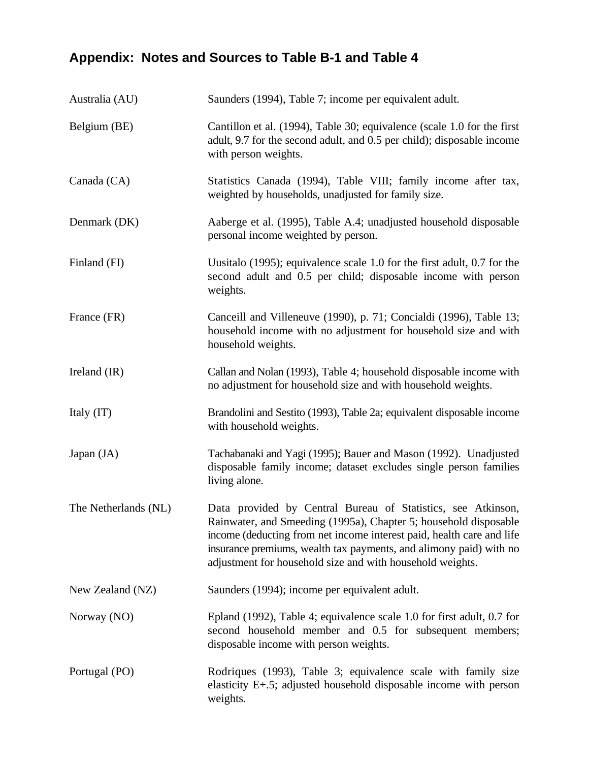# **Appendix: Notes and Sources to Table B-1 and Table 4**

| Australia (AU)       | Saunders (1994), Table 7; income per equivalent adult.                                                                                                                                                                                                                                                                                       |
|----------------------|----------------------------------------------------------------------------------------------------------------------------------------------------------------------------------------------------------------------------------------------------------------------------------------------------------------------------------------------|
| Belgium (BE)         | Cantillon et al. (1994), Table 30; equivalence (scale 1.0 for the first<br>adult, 9.7 for the second adult, and 0.5 per child); disposable income<br>with person weights.                                                                                                                                                                    |
| Canada (CA)          | Statistics Canada (1994), Table VIII; family income after tax,<br>weighted by households, unadjusted for family size.                                                                                                                                                                                                                        |
| Denmark (DK)         | Aaberge et al. (1995), Table A.4; unadjusted household disposable<br>personal income weighted by person.                                                                                                                                                                                                                                     |
| Finland (FI)         | Uusitalo (1995); equivalence scale 1.0 for the first adult, 0.7 for the<br>second adult and 0.5 per child; disposable income with person<br>weights.                                                                                                                                                                                         |
| France (FR)          | Canceill and Villeneuve (1990), p. 71; Concialdi (1996), Table 13;<br>household income with no adjustment for household size and with<br>household weights.                                                                                                                                                                                  |
| Ireland $(IR)$       | Callan and Nolan (1993), Table 4; household disposable income with<br>no adjustment for household size and with household weights.                                                                                                                                                                                                           |
| Italy (IT)           | Brandolini and Sestito (1993), Table 2a; equivalent disposable income<br>with household weights.                                                                                                                                                                                                                                             |
| Japan $(JA)$         | Tachabanaki and Yagi (1995); Bauer and Mason (1992). Unadjusted<br>disposable family income; dataset excludes single person families<br>living alone.                                                                                                                                                                                        |
| The Netherlands (NL) | Data provided by Central Bureau of Statistics, see Atkinson,<br>Rainwater, and Smeeding (1995a), Chapter 5; household disposable<br>income (deducting from net income interest paid, health care and life<br>insurance premiums, wealth tax payments, and alimony paid) with no<br>adjustment for household size and with household weights. |
| New Zealand (NZ)     | Saunders (1994); income per equivalent adult.                                                                                                                                                                                                                                                                                                |
| Norway (NO)          | Epland (1992), Table 4; equivalence scale 1.0 for first adult, 0.7 for<br>second household member and 0.5 for subsequent members;<br>disposable income with person weights.                                                                                                                                                                  |
| Portugal (PO)        | Rodriques (1993), Table 3; equivalence scale with family size<br>elasticity E+.5; adjusted household disposable income with person<br>weights.                                                                                                                                                                                               |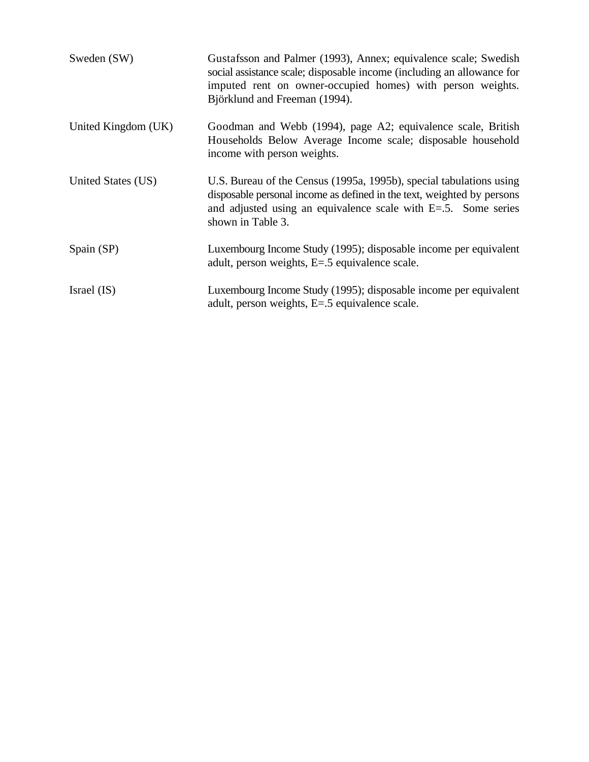| Sweden (SW)         | Gustafsson and Palmer (1993), Annex; equivalence scale; Swedish<br>social assistance scale; disposable income (including an allowance for<br>imputed rent on owner-occupied homes) with person weights.<br>Björklund and Freeman (1994). |
|---------------------|------------------------------------------------------------------------------------------------------------------------------------------------------------------------------------------------------------------------------------------|
| United Kingdom (UK) | Goodman and Webb (1994), page A2; equivalence scale, British<br>Households Below Average Income scale; disposable household<br>income with person weights.                                                                               |
| United States (US)  | U.S. Bureau of the Census (1995a, 1995b), special tabulations using<br>disposable personal income as defined in the text, weighted by persons<br>and adjusted using an equivalence scale with $E=5$ . Some series<br>shown in Table 3.   |
| Spain (SP)          | Luxembourg Income Study (1995); disposable income per equivalent<br>adult, person weights, E=.5 equivalence scale.                                                                                                                       |
| Israel (IS)         | Luxembourg Income Study (1995); disposable income per equivalent<br>adult, person weights, E=.5 equivalence scale.                                                                                                                       |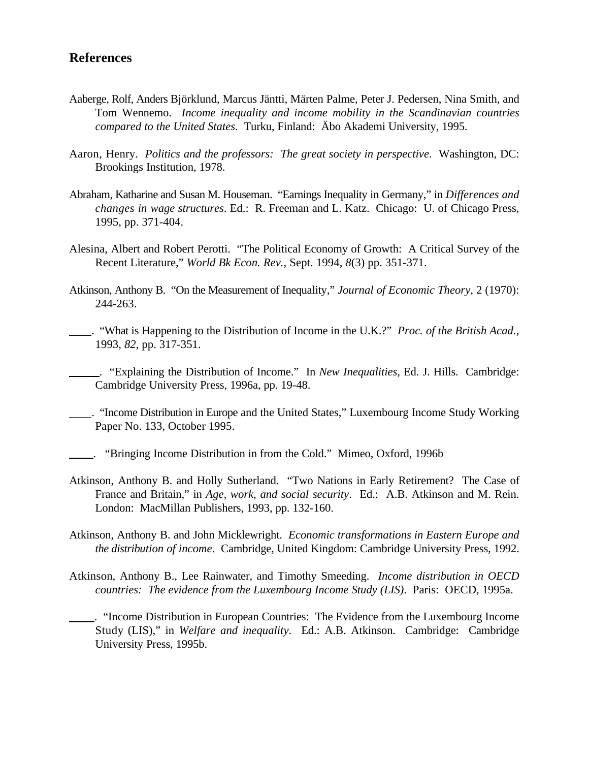## **References**

- Aaberge, Rolf, Anders Björklund, Marcus Jäntti, Märten Palme, Peter J. Pedersen, Nina Smith, and Tom Wennemo. *Income inequality and income mobility in the Scandinavian countries compared to the United States*. Turku, Finland: Äbo Akademi University, 1995.
- Aaron, Henry. *Politics and the professors: The great society in perspective*. Washington, DC: Brookings Institution, 1978.
- Abraham, Katharine and Susan M. Houseman. "Earnings Inequality in Germany," in *Differences and changes in wage structures*. Ed.: R. Freeman and L. Katz. Chicago: U. of Chicago Press, 1995, pp. 371-404.
- Alesina, Albert and Robert Perotti. "The Political Economy of Growth: A Critical Survey of the Recent Literature," *World Bk Econ. Rev.*, Sept. 1994, *8*(3) pp. 351-371.
- Atkinson, Anthony B. "On the Measurement of Inequality," *Journal of Economic Theory*, 2 (1970): 244-263.
- . "What is Happening to the Distribution of Income in the U.K.?" *Proc. of the British Acad.*, 1993, *82*, pp. 317-351.

 . "Explaining the Distribution of Income." In *New Inequalities*, Ed. J. Hills. Cambridge: Cambridge University Press, 1996a, pp. 19-48.

- . "Income Distribution in Europe and the United States," Luxembourg Income Study Working Paper No. 133, October 1995.
- . "Bringing Income Distribution in from the Cold." Mimeo, Oxford, 1996b
- Atkinson, Anthony B. and Holly Sutherland. "Two Nations in Early Retirement? The Case of France and Britain," in *Age, work, and social security*. Ed.: A.B. Atkinson and M. Rein. London: MacMillan Publishers, 1993, pp. 132-160.
- Atkinson, Anthony B. and John Micklewright. *Economic transformations in Eastern Europe and the distribution of income*. Cambridge, United Kingdom: Cambridge University Press, 1992.
- Atkinson, Anthony B., Lee Rainwater, and Timothy Smeeding. *Income distribution in OECD countries: The evidence from the Luxembourg Income Study (LIS)*. Paris: OECD, 1995a.
	- . "Income Distribution in European Countries: The Evidence from the Luxembourg Income Study (LIS)," in *Welfare and inequality*. Ed.: A.B. Atkinson. Cambridge: Cambridge University Press, 1995b.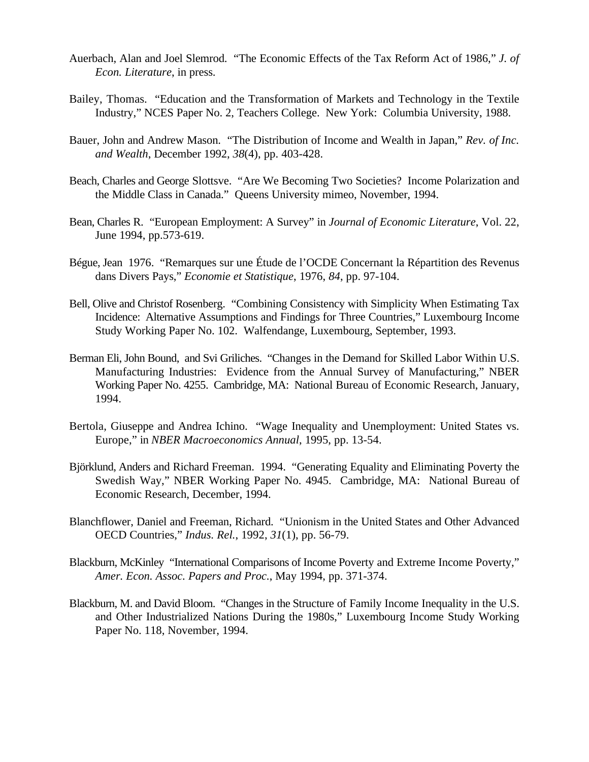- Auerbach, Alan and Joel Slemrod. "The Economic Effects of the Tax Reform Act of 1986," *J. of Econ. Literature*, in press.
- Bailey, Thomas. "Education and the Transformation of Markets and Technology in the Textile Industry," NCES Paper No. 2, Teachers College. New York: Columbia University, 1988.
- Bauer, John and Andrew Mason. "The Distribution of Income and Wealth in Japan," *Rev. of Inc. and Wealth*, December 1992, *38*(4), pp. 403-428.
- Beach, Charles and George Slottsve. "Are We Becoming Two Societies? Income Polarization and the Middle Class in Canada." Queens University mimeo, November, 1994.
- Bean, Charles R. "European Employment: A Survey" in *Journal of Economic Literature*, Vol. 22, June 1994, pp.573-619.
- Bégue, Jean 1976. "Remarques sur une Étude de l'OCDE Concernant la Répartition des Revenus dans Divers Pays," *Economie et Statistique*, 1976, *84*, pp. 97-104.
- Bell, Olive and Christof Rosenberg. "Combining Consistency with Simplicity When Estimating Tax Incidence: Alternative Assumptions and Findings for Three Countries," Luxembourg Income Study Working Paper No. 102. Walfendange, Luxembourg, September, 1993.
- Berman Eli, John Bound, and Svi Griliches. "Changes in the Demand for Skilled Labor Within U.S. Manufacturing Industries: Evidence from the Annual Survey of Manufacturing," NBER Working Paper No. 4255. Cambridge, MA: National Bureau of Economic Research, January, 1994.
- Bertola, Giuseppe and Andrea Ichino. "Wage Inequality and Unemployment: United States vs. Europe," in *NBER Macroeconomics Annual*, 1995, pp. 13-54.
- Björklund, Anders and Richard Freeman. 1994. "Generating Equality and Eliminating Poverty the Swedish Way," NBER Working Paper No. 4945. Cambridge, MA: National Bureau of Economic Research, December, 1994.
- Blanchflower, Daniel and Freeman, Richard. "Unionism in the United States and Other Advanced OECD Countries," *Indus. Rel.*, 1992, *31*(1), pp. 56-79.
- Blackburn, McKinley "International Comparisons of Income Poverty and Extreme Income Poverty," *Amer. Econ. Assoc. Papers and Proc.*, May 1994, pp. 371-374.
- Blackburn, M. and David Bloom. "Changes in the Structure of Family Income Inequality in the U.S. and Other Industrialized Nations During the 1980s," Luxembourg Income Study Working Paper No. 118, November, 1994.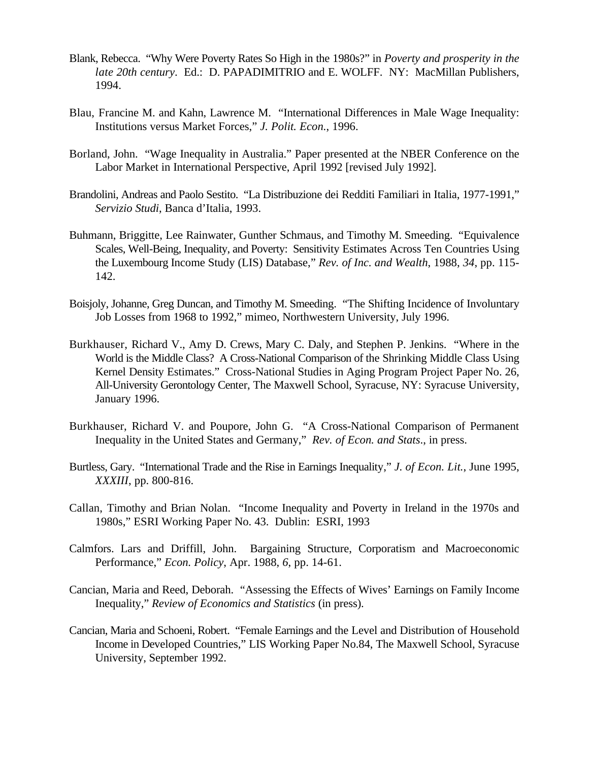- Blank, Rebecca. "Why Were Poverty Rates So High in the 1980s?" in *Poverty and prosperity in the late 20th century*. Ed.: D. PAPADIMITRIO and E. WOLFF. NY: MacMillan Publishers, 1994.
- Blau, Francine M. and Kahn, Lawrence M. "International Differences in Male Wage Inequality: Institutions versus Market Forces," *J. Polit. Econ.*, 1996.
- Borland, John. "Wage Inequality in Australia." Paper presented at the NBER Conference on the Labor Market in International Perspective, April 1992 [revised July 1992].
- Brandolini, Andreas and Paolo Sestito. "La Distribuzione dei Redditi Familiari in Italia, 1977-1991," *Servizio Studi*, Banca d'Italia, 1993.
- Buhmann, Briggitte, Lee Rainwater, Gunther Schmaus, and Timothy M. Smeeding. "Equivalence Scales, Well-Being, Inequality, and Poverty: Sensitivity Estimates Across Ten Countries Using the Luxembourg Income Study (LIS) Database," *Rev. of Inc. and Wealth*, 1988, *34*, pp. 115- 142.
- Boisjoly, Johanne, Greg Duncan, and Timothy M. Smeeding. "The Shifting Incidence of Involuntary Job Losses from 1968 to 1992," mimeo, Northwestern University, July 1996.
- Burkhauser, Richard V., Amy D. Crews, Mary C. Daly, and Stephen P. Jenkins. "Where in the World is the Middle Class? A Cross-National Comparison of the Shrinking Middle Class Using Kernel Density Estimates." Cross-National Studies in Aging Program Project Paper No. 26, All-University Gerontology Center, The Maxwell School, Syracuse, NY: Syracuse University, January 1996.
- Burkhauser, Richard V. and Poupore, John G. "A Cross-National Comparison of Permanent Inequality in the United States and Germany," *Rev. of Econ. and Stats*., in press.
- Burtless, Gary. "International Trade and the Rise in Earnings Inequality," *J. of Econ. Lit.*, June 1995, *XXXIII*, pp. 800-816.
- Callan, Timothy and Brian Nolan. "Income Inequality and Poverty in Ireland in the 1970s and 1980s," ESRI Working Paper No. 43. Dublin: ESRI, 1993
- Calmfors. Lars and Driffill, John. Bargaining Structure, Corporatism and Macroeconomic Performance," *Econ. Policy*, Apr. 1988, *6*, pp. 14-61.
- Cancian, Maria and Reed, Deborah. "Assessing the Effects of Wives' Earnings on Family Income Inequality," *Review of Economics and Statistics* (in press).
- Cancian, Maria and Schoeni, Robert. "Female Earnings and the Level and Distribution of Household Income in Developed Countries," LIS Working Paper No.84, The Maxwell School, Syracuse University, September 1992.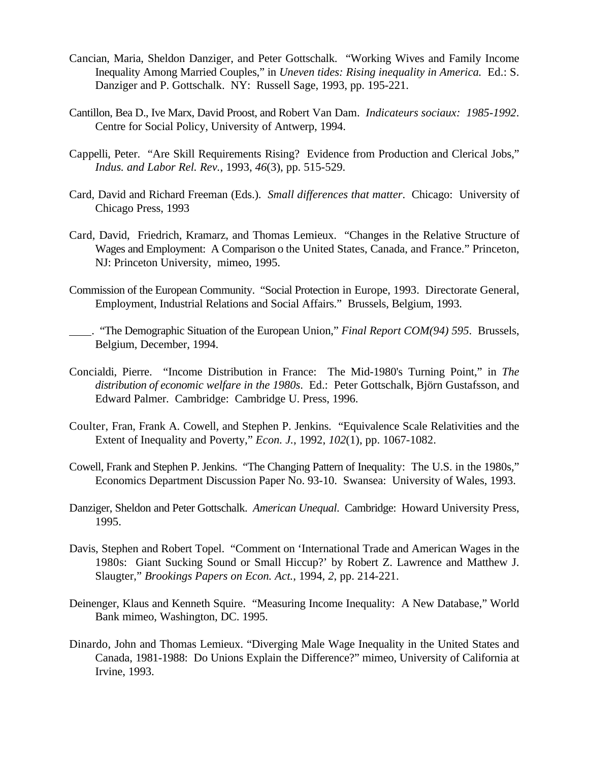- Cancian, Maria, Sheldon Danziger, and Peter Gottschalk. "Working Wives and Family Income Inequality Among Married Couples," in *Uneven tides: Rising inequality in America.* Ed.: S. Danziger and P. Gottschalk. NY: Russell Sage, 1993, pp. 195-221.
- Cantillon, Bea D., Ive Marx, David Proost, and Robert Van Dam. *Indicateurs sociaux: 1985-1992*. Centre for Social Policy, University of Antwerp, 1994.
- Cappelli, Peter. "Are Skill Requirements Rising? Evidence from Production and Clerical Jobs," *Indus. and Labor Rel. Rev.*, 1993, *46*(3), pp. 515-529.
- Card, David and Richard Freeman (Eds.). *Small differences that matter*. Chicago: University of Chicago Press, 1993
- Card, David, Friedrich, Kramarz, and Thomas Lemieux. "Changes in the Relative Structure of Wages and Employment: A Comparison o the United States, Canada, and France." Princeton, NJ: Princeton University, mimeo, 1995.
- Commission of the European Community. "Social Protection in Europe, 1993. Directorate General, Employment, Industrial Relations and Social Affairs." Brussels, Belgium, 1993.
- . "The Demographic Situation of the European Union," *Final Report COM(94) 595*. Brussels, Belgium, December, 1994.
- Concialdi, Pierre. "Income Distribution in France: The Mid-1980's Turning Point," in *The distribution of economic welfare in the 1980s*. Ed.: Peter Gottschalk, Björn Gustafsson, and Edward Palmer. Cambridge: Cambridge U. Press, 1996.
- Coulter, Fran, Frank A. Cowell, and Stephen P. Jenkins. "Equivalence Scale Relativities and the Extent of Inequality and Poverty," *Econ. J.*, 1992, *102*(1), pp. 1067-1082.
- Cowell, Frank and Stephen P. Jenkins. "The Changing Pattern of Inequality: The U.S. in the 1980s," Economics Department Discussion Paper No. 93-10. Swansea: University of Wales, 1993.
- Danziger, Sheldon and Peter Gottschalk. *American Unequal*. Cambridge: Howard University Press, 1995.
- Davis, Stephen and Robert Topel. "Comment on 'International Trade and American Wages in the 1980s: Giant Sucking Sound or Small Hiccup?' by Robert Z. Lawrence and Matthew J. Slaugter," *Brookings Papers on Econ. Act.*, 1994, *2*, pp. 214-221.
- Deinenger, Klaus and Kenneth Squire. "Measuring Income Inequality: A New Database," World Bank mimeo, Washington, DC. 1995.
- Dinardo, John and Thomas Lemieux. "Diverging Male Wage Inequality in the United States and Canada, 1981-1988: Do Unions Explain the Difference?" mimeo, University of California at Irvine, 1993.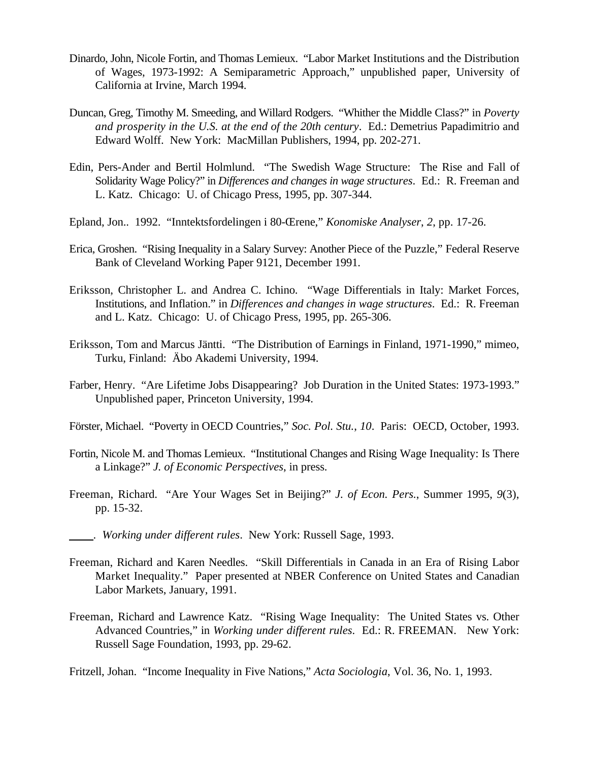- Dinardo, John, Nicole Fortin, and Thomas Lemieux. "Labor Market Institutions and the Distribution of Wages, 1973-1992: A Semiparametric Approach," unpublished paper, University of California at Irvine, March 1994.
- Duncan, Greg, Timothy M. Smeeding, and Willard Rodgers. "Whither the Middle Class?" in *Poverty and prosperity in the U.S. at the end of the 20th century*. Ed.: Demetrius Papadimitrio and Edward Wolff. New York: MacMillan Publishers, 1994, pp. 202-271.
- Edin, Pers-Ander and Bertil Holmlund. "The Swedish Wage Structure: The Rise and Fall of Solidarity Wage Policy?" in *Differences and changes in wage structures*. Ed.: R. Freeman and L. Katz. Chicago: U. of Chicago Press, 1995, pp. 307-344.
- Epland, Jon.. 1992. "Inntektsfordelingen i 80-Œrene," *Konomiske Analyser*, *2*, pp. 17-26.
- Erica, Groshen. "Rising Inequality in a Salary Survey: Another Piece of the Puzzle," Federal Reserve Bank of Cleveland Working Paper 9121, December 1991.
- Eriksson, Christopher L. and Andrea C. Ichino. "Wage Differentials in Italy: Market Forces, Institutions, and Inflation." in *Differences and changes in wage structures*. Ed.: R. Freeman and L. Katz. Chicago: U. of Chicago Press, 1995, pp. 265-306.
- Eriksson, Tom and Marcus Jäntti. "The Distribution of Earnings in Finland, 1971-1990," mimeo, Turku, Finland: Äbo Akademi University, 1994.
- Farber, Henry. "Are Lifetime Jobs Disappearing? Job Duration in the United States: 1973-1993." Unpublished paper, Princeton University, 1994.
- Förster, Michael. "Poverty in OECD Countries," *Soc. Pol. Stu.*, *10*. Paris: OECD, October, 1993.
- Fortin, Nicole M. and Thomas Lemieux. "Institutional Changes and Rising Wage Inequality: Is There a Linkage?" *J. of Economic Perspectives*, in press.
- Freeman, Richard. "Are Your Wages Set in Beijing?" *J. of Econ. Pers.*, Summer 1995, *9*(3), pp. 15-32.
- . *Working under different rules*. New York: Russell Sage, 1993.
- Freeman, Richard and Karen Needles. "Skill Differentials in Canada in an Era of Rising Labor Market Inequality." Paper presented at NBER Conference on United States and Canadian Labor Markets, January, 1991.
- Freeman, Richard and Lawrence Katz. "Rising Wage Inequality: The United States vs. Other Advanced Countries," in *Working under different rules*. Ed.: R. FREEMAN. New York: Russell Sage Foundation, 1993, pp. 29-62.

Fritzell, Johan. "Income Inequality in Five Nations," *Acta Sociologia*, Vol. 36, No. 1, 1993.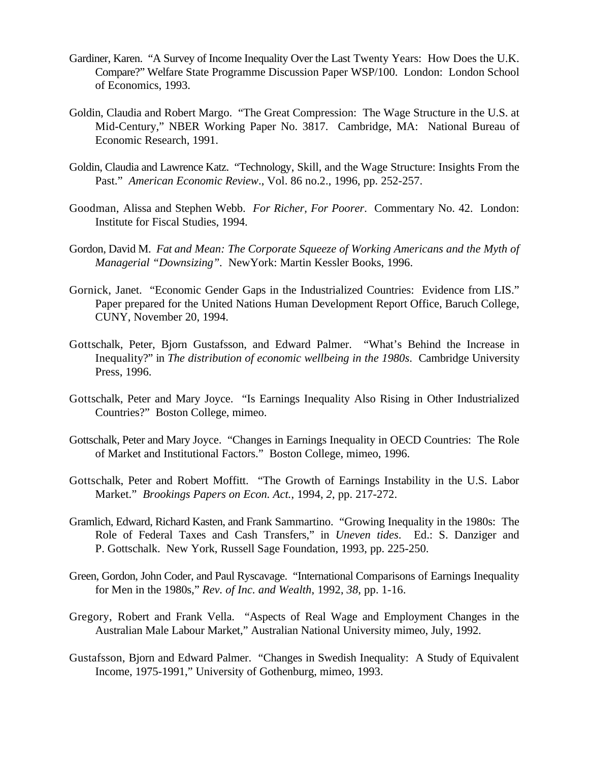- Gardiner, Karen. "A Survey of Income Inequality Over the Last Twenty Years: How Does the U.K. Compare?" Welfare State Programme Discussion Paper WSP/100. London: London School of Economics, 1993.
- Goldin, Claudia and Robert Margo. "The Great Compression: The Wage Structure in the U.S. at Mid-Century," NBER Working Paper No. 3817. Cambridge, MA: National Bureau of Economic Research, 1991.
- Goldin, Claudia and Lawrence Katz. "Technology, Skill, and the Wage Structure: Insights From the Past." *American Economic Review*., Vol. 86 no.2., 1996, pp. 252-257.
- Goodman, Alissa and Stephen Webb. *For Richer, For Poorer*. Commentary No. 42. London: Institute for Fiscal Studies, 1994.
- Gordon, David M. *Fat and Mean: The Corporate Squeeze of Working Americans and the Myth of Managerial "Downsizing".* NewYork: Martin Kessler Books, 1996.
- Gornick, Janet. "Economic Gender Gaps in the Industrialized Countries: Evidence from LIS." Paper prepared for the United Nations Human Development Report Office, Baruch College, CUNY, November 20, 1994.
- Gottschalk, Peter, Bjorn Gustafsson, and Edward Palmer. "What's Behind the Increase in Inequality?" in *The distribution of economic wellbeing in the 1980s*. Cambridge University Press, 1996.
- Gottschalk, Peter and Mary Joyce. "Is Earnings Inequality Also Rising in Other Industrialized Countries?" Boston College, mimeo.
- Gottschalk, Peter and Mary Joyce. "Changes in Earnings Inequality in OECD Countries: The Role of Market and Institutional Factors." Boston College, mimeo, 1996.
- Gottschalk, Peter and Robert Moffitt. "The Growth of Earnings Instability in the U.S. Labor Market." *Brookings Papers on Econ. Act.*, 1994, *2*, pp. 217-272.
- Gramlich, Edward, Richard Kasten, and Frank Sammartino. "Growing Inequality in the 1980s: The Role of Federal Taxes and Cash Transfers," in *Uneven tides*. Ed.: S. Danziger and P. Gottschalk. New York, Russell Sage Foundation, 1993, pp. 225-250.
- Green, Gordon, John Coder, and Paul Ryscavage. "International Comparisons of Earnings Inequality for Men in the 1980s," *Rev. of Inc. and Wealth*, 1992, *38*, pp. 1-16.
- Gregory, Robert and Frank Vella. "Aspects of Real Wage and Employment Changes in the Australian Male Labour Market," Australian National University mimeo, July, 1992.
- Gustafsson, Bjorn and Edward Palmer. "Changes in Swedish Inequality: A Study of Equivalent Income, 1975-1991," University of Gothenburg, mimeo, 1993.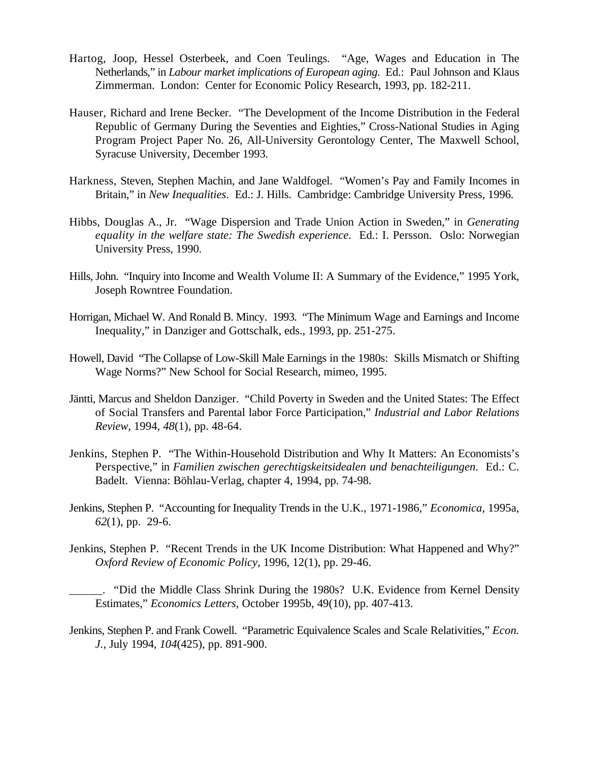- Hartog, Joop, Hessel Osterbeek, and Coen Teulings. "Age, Wages and Education in The Netherlands," in *Labour market implications of European aging*. Ed.: Paul Johnson and Klaus Zimmerman. London: Center for Economic Policy Research, 1993, pp. 182-211.
- Hauser, Richard and Irene Becker. "The Development of the Income Distribution in the Federal Republic of Germany During the Seventies and Eighties," Cross-National Studies in Aging Program Project Paper No. 26, All-University Gerontology Center, The Maxwell School, Syracuse University, December 1993.
- Harkness, Steven, Stephen Machin, and Jane Waldfogel. "Women's Pay and Family Incomes in Britain," in *New Inequalities*. Ed.: J. Hills. Cambridge: Cambridge University Press, 1996.
- Hibbs, Douglas A., Jr. "Wage Dispersion and Trade Union Action in Sweden," in *Generating equality in the welfare state: The Swedish experience*. Ed.: I. Persson. Oslo: Norwegian University Press, 1990.
- Hills, John. "Inquiry into Income and Wealth Volume II: A Summary of the Evidence," 1995 York, Joseph Rowntree Foundation.
- Horrigan, Michael W. And Ronald B. Mincy. 1993. "The Minimum Wage and Earnings and Income Inequality," in Danziger and Gottschalk, eds., 1993, pp. 251-275.
- Howell, David "The Collapse of Low-Skill Male Earnings in the 1980s: Skills Mismatch or Shifting Wage Norms?" New School for Social Research, mimeo, 1995.
- Jäntti, Marcus and Sheldon Danziger. "Child Poverty in Sweden and the United States: The Effect of Social Transfers and Parental labor Force Participation," *Industrial and Labor Relations Review*, 1994, *48*(1), pp. 48-64.
- Jenkins, Stephen P. "The Within-Household Distribution and Why It Matters: An Economists's Perspective," in *Familien zwischen gerechtigskeitsidealen und benachteiligungen*. Ed.: C. Badelt. Vienna: Böhlau-Verlag, chapter 4, 1994, pp. 74-98.
- Jenkins, Stephen P. "Accounting for Inequality Trends in the U.K., 1971-1986," *Economica*, 1995a, *62*(1), pp. 29-6.
- Jenkins, Stephen P. "Recent Trends in the UK Income Distribution: What Happened and Why?" *Oxford Review of Economic Policy*, 1996, 12(1), pp. 29-46.

 . "Did the Middle Class Shrink During the 1980s? U.K. Evidence from Kernel Density Estimates," *Economics Letters*, October 1995b, 49(10), pp. 407-413.

Jenkins, Stephen P. and Frank Cowell. "Parametric Equivalence Scales and Scale Relativities," *Econ. J.*, July 1994, *104*(425), pp. 891-900.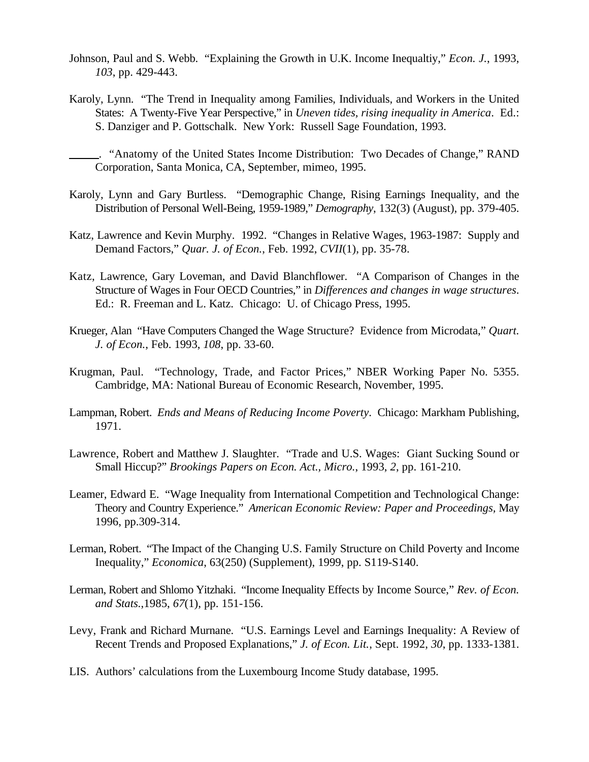- Johnson, Paul and S. Webb. "Explaining the Growth in U.K. Income Inequaltiy," *Econ. J.*, 1993, *103*, pp. 429-443.
- Karoly, Lynn. "The Trend in Inequality among Families, Individuals, and Workers in the United States: A Twenty-Five Year Perspective," in *Uneven tides, rising inequality in America*. Ed.: S. Danziger and P. Gottschalk. New York: Russell Sage Foundation, 1993.

 . "Anatomy of the United States Income Distribution: Two Decades of Change," RAND Corporation, Santa Monica, CA, September, mimeo, 1995.

- Karoly, Lynn and Gary Burtless. "Demographic Change, Rising Earnings Inequality, and the Distribution of Personal Well-Being, 1959-1989," *Demography*, 132(3) (August), pp. 379-405.
- Katz, Lawrence and Kevin Murphy. 1992. "Changes in Relative Wages, 1963-1987: Supply and Demand Factors," *Quar. J. of Econ.*, Feb. 1992, *CVII*(1), pp. 35-78.
- Katz, Lawrence, Gary Loveman, and David Blanchflower. "A Comparison of Changes in the Structure of Wages in Four OECD Countries," in *Differences and changes in wage structures*. Ed.: R. Freeman and L. Katz. Chicago: U. of Chicago Press, 1995.
- Krueger, Alan "Have Computers Changed the Wage Structure? Evidence from Microdata," *Quart. J. of Econ.*, Feb. 1993, *108*, pp. 33-60.
- Krugman, Paul. "Technology, Trade, and Factor Prices," NBER Working Paper No. 5355. Cambridge, MA: National Bureau of Economic Research, November, 1995.
- Lampman, Robert. *Ends and Means of Reducing Income Poverty*. Chicago: Markham Publishing, 1971.
- Lawrence, Robert and Matthew J. Slaughter. "Trade and U.S. Wages: Giant Sucking Sound or Small Hiccup?" *Brookings Papers on Econ. Act., Micro.*, 1993, *2*, pp. 161-210.
- Leamer, Edward E. "Wage Inequality from International Competition and Technological Change: Theory and Country Experience." *American Economic Review: Paper and Proceedings,* May 1996, pp.309-314.
- Lerman, Robert. "The Impact of the Changing U.S. Family Structure on Child Poverty and Income Inequality," *Economica*, 63(250) (Supplement), 1999, pp. S119-S140.
- Lerman, Robert and Shlomo Yitzhaki. "Income Inequality Effects by Income Source," *Rev. of Econ. and Stats.*,1985, *67*(1), pp. 151-156.
- Levy, Frank and Richard Murnane. "U.S. Earnings Level and Earnings Inequality: A Review of Recent Trends and Proposed Explanations," *J. of Econ. Lit.*, Sept. 1992, *30*, pp. 1333-1381.
- LIS. Authors' calculations from the Luxembourg Income Study database, 1995.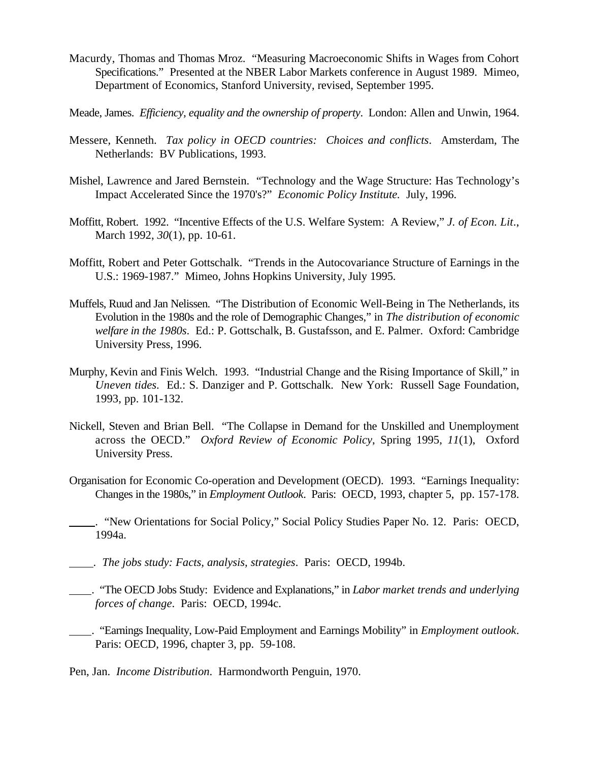- Macurdy, Thomas and Thomas Mroz. "Measuring Macroeconomic Shifts in Wages from Cohort Specifications." Presented at the NBER Labor Markets conference in August 1989. Mimeo, Department of Economics, Stanford University, revised, September 1995.
- Meade, James. *Efficiency, equality and the ownership of property*. London: Allen and Unwin, 1964.
- Messere, Kenneth. *Tax policy in OECD countries: Choices and conflicts*. Amsterdam, The Netherlands: BV Publications, 1993.
- Mishel, Lawrence and Jared Bernstein. "Technology and the Wage Structure: Has Technology's Impact Accelerated Since the 1970's?" *Economic Policy Institute.* July, 1996.
- Moffitt, Robert. 1992. "Incentive Effects of the U.S. Welfare System: A Review," *J. of Econ. Lit*., March 1992, *30*(1), pp. 10-61.
- Moffitt, Robert and Peter Gottschalk. "Trends in the Autocovariance Structure of Earnings in the U.S.: 1969-1987." Mimeo, Johns Hopkins University, July 1995.
- Muffels, Ruud and Jan Nelissen. "The Distribution of Economic Well-Being in The Netherlands, its Evolution in the 1980s and the role of Demographic Changes," in *The distribution of economic welfare in the 1980s*. Ed.: P. Gottschalk, B. Gustafsson, and E. Palmer. Oxford: Cambridge University Press, 1996.
- Murphy, Kevin and Finis Welch. 1993. "Industrial Change and the Rising Importance of Skill," in *Uneven tides*. Ed.: S. Danziger and P. Gottschalk. New York: Russell Sage Foundation, 1993, pp. 101-132.
- Nickell, Steven and Brian Bell. "The Collapse in Demand for the Unskilled and Unemployment across the OECD." *Oxford Review of Economic Policy*, Spring 1995, *11*(1), Oxford University Press.
- Organisation for Economic Co-operation and Development (OECD). 1993. "Earnings Inequality: Changes in the 1980s," in *Employment Outlook*. Paris: OECD, 1993, chapter 5, pp. 157-178.
- . "New Orientations for Social Policy," Social Policy Studies Paper No. 12. Paris: OECD, 1994a.
- . *The jobs study: Facts, analysis, strategies*. Paris: OECD, 1994b.
- . "The OECD Jobs Study: Evidence and Explanations," in *Labor market trends and underlying forces of change*. Paris: OECD, 1994c.
- . "Earnings Inequality, Low-Paid Employment and Earnings Mobility" in *Employment outlook*. Paris: OECD, 1996, chapter 3, pp. 59-108.

Pen, Jan. *Income Distribution*. Harmondworth Penguin, 1970.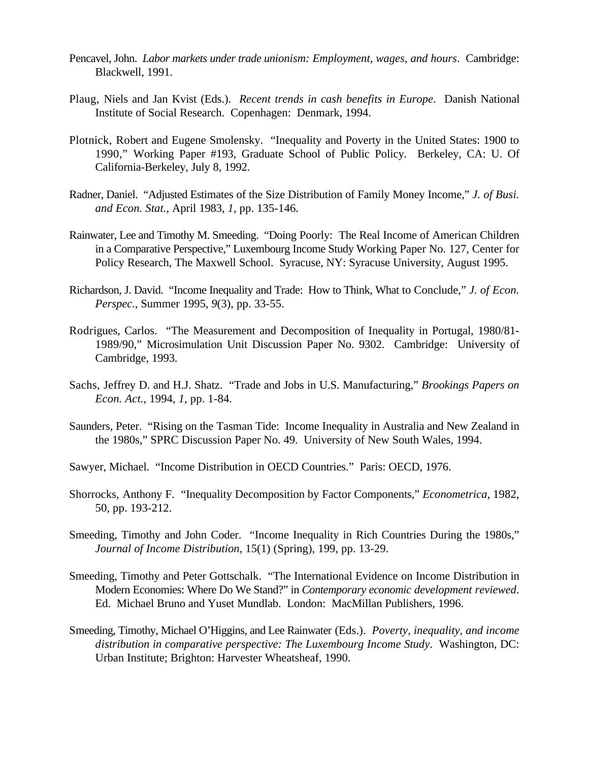- Pencavel, John. *Labor markets under trade unionism: Employment, wages, and hours*. Cambridge: Blackwell, 1991.
- Plaug, Niels and Jan Kvist (Eds.). *Recent trends in cash benefits in Europe*. Danish National Institute of Social Research. Copenhagen: Denmark, 1994.
- Plotnick, Robert and Eugene Smolensky. "Inequality and Poverty in the United States: 1900 to 1990," Working Paper #193, Graduate School of Public Policy. Berkeley, CA: U. Of California-Berkeley, July 8, 1992.
- Radner, Daniel. "Adjusted Estimates of the Size Distribution of Family Money Income," *J. of Busi. and Econ. Stat.*, April 1983, *1*, pp. 135-146.
- Rainwater, Lee and Timothy M. Smeeding. "Doing Poorly: The Real Income of American Children in a Comparative Perspective," Luxembourg Income Study Working Paper No. 127, Center for Policy Research, The Maxwell School. Syracuse, NY: Syracuse University, August 1995.
- Richardson, J. David. "Income Inequality and Trade: How to Think, What to Conclude," *J. of Econ. Perspec.*, Summer 1995, *9*(3), pp. 33-55.
- Rodrigues, Carlos. "The Measurement and Decomposition of Inequality in Portugal, 1980/81- 1989/90," Microsimulation Unit Discussion Paper No. 9302. Cambridge: University of Cambridge, 1993.
- Sachs, Jeffrey D. and H.J. Shatz. "Trade and Jobs in U.S. Manufacturing," *Brookings Papers on Econ. Act.*, 1994, *1*, pp. 1-84.
- Saunders, Peter. "Rising on the Tasman Tide: Income Inequality in Australia and New Zealand in the 1980s," SPRC Discussion Paper No. 49. University of New South Wales, 1994.
- Sawyer, Michael. "Income Distribution in OECD Countries." Paris: OECD, 1976.
- Shorrocks, Anthony F. "Inequality Decomposition by Factor Components," *Econometrica*, 1982, 50, pp. 193-212.
- Smeeding, Timothy and John Coder. "Income Inequality in Rich Countries During the 1980s," *Journal of Income Distribution*, 15(1) (Spring), 199, pp. 13-29.
- Smeeding, Timothy and Peter Gottschalk. "The International Evidence on Income Distribution in Modern Economies: Where Do We Stand?" in *Contemporary economic development reviewed*. Ed. Michael Bruno and Yuset Mundlab. London: MacMillan Publishers, 1996.
- Smeeding, Timothy, Michael O'Higgins, and Lee Rainwater (Eds.). *Poverty, inequality, and income distribution in comparative perspective: The Luxembourg Income Study*. Washington, DC: Urban Institute; Brighton: Harvester Wheatsheaf, 1990.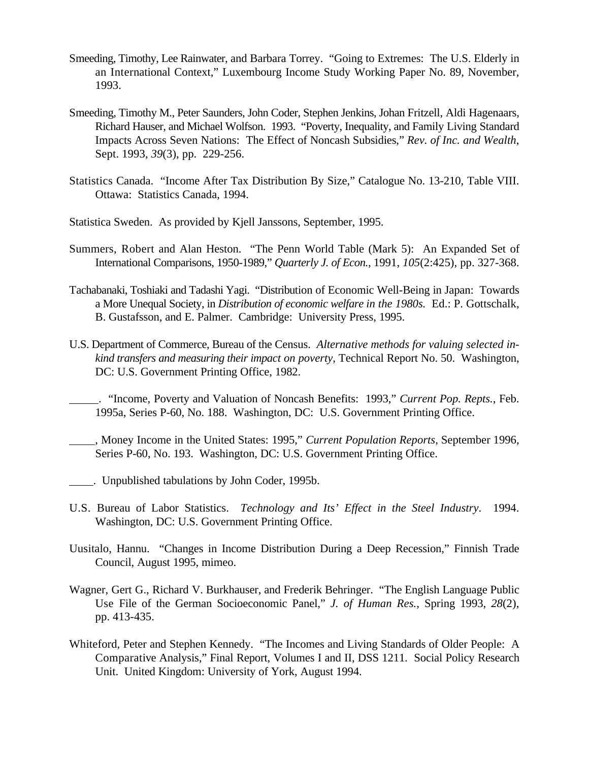- Smeeding, Timothy, Lee Rainwater, and Barbara Torrey. "Going to Extremes: The U.S. Elderly in an International Context," Luxembourg Income Study Working Paper No. 89, November, 1993.
- Smeeding, Timothy M., Peter Saunders, John Coder, Stephen Jenkins, Johan Fritzell, Aldi Hagenaars, Richard Hauser, and Michael Wolfson. 1993. "Poverty, Inequality, and Family Living Standard Impacts Across Seven Nations: The Effect of Noncash Subsidies," *Rev. of Inc. and Wealth*, Sept. 1993, *39*(3), pp. 229-256.
- Statistics Canada. "Income After Tax Distribution By Size," Catalogue No. 13-210, Table VIII. Ottawa: Statistics Canada, 1994.
- Statistica Sweden. As provided by Kjell Janssons, September, 1995.
- Summers, Robert and Alan Heston. "The Penn World Table (Mark 5): An Expanded Set of International Comparisons, 1950-1989," *Quarterly J. of Econ.*, 1991, *105*(2:425), pp. 327-368.
- Tachabanaki, Toshiaki and Tadashi Yagi. "Distribution of Economic Well-Being in Japan: Towards a More Unequal Society, in *Distribution of economic welfare in the 1980s.* Ed.: P. Gottschalk, B. Gustafsson, and E. Palmer. Cambridge: University Press, 1995.
- U.S. Department of Commerce, Bureau of the Census. *Alternative methods for valuing selected inkind transfers and measuring their impact on poverty*, Technical Report No. 50. Washington, DC: U.S. Government Printing Office, 1982.
- . "Income, Poverty and Valuation of Noncash Benefits: 1993," *Current Pop. Repts.*, Feb. 1995a, Series P-60, No. 188. Washington, DC: U.S. Government Printing Office.
- , Money Income in the United States: 1995," *Current Population Reports*, September 1996, Series P-60, No. 193. Washington, DC: U.S. Government Printing Office.
- . Unpublished tabulations by John Coder, 1995b.
- U.S. Bureau of Labor Statistics. *Technology and Its' Effect in the Steel Industry*. 1994. Washington, DC: U.S. Government Printing Office.
- Uusitalo, Hannu. "Changes in Income Distribution During a Deep Recession," Finnish Trade Council, August 1995, mimeo.
- Wagner, Gert G., Richard V. Burkhauser, and Frederik Behringer. "The English Language Public Use File of the German Socioeconomic Panel," *J. of Human Res.*, Spring 1993, *28*(2), pp. 413-435.
- Whiteford, Peter and Stephen Kennedy. "The Incomes and Living Standards of Older People: A Comparative Analysis," Final Report, Volumes I and II, DSS 1211. Social Policy Research Unit. United Kingdom: University of York, August 1994.